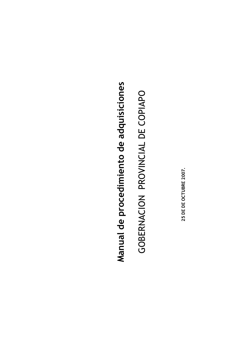# Manual de procedimiento de adquisiciones

# GOBERNACION PROVINCIAL DE COPIAPO

25 DE DE OCTUBRE 2007.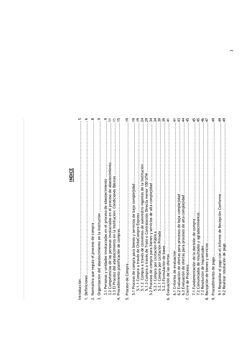### **INDICE**

| Introducción                                                                                                                                                                                                                                                              |
|---------------------------------------------------------------------------------------------------------------------------------------------------------------------------------------------------------------------------------------------------------------------------|
| $\ddot{\circ}$<br>1. Definiciones                                                                                                                                                                                                                                         |
| ∞<br>2. Normativa que regula el proceso de compra                                                                                                                                                                                                                         |
| Organización del abastecimiento en la Institución<br>.<br>س                                                                                                                                                                                                               |
| $\ddot{1}$<br>3.1 Personas y unidades involucradas en el proceso de abastecimiento<br>3.2 Competencias de las personas involucradas en el proceso de abastecimiento<br>3.3 El Proceso del abastecimiento en la Institución: Con<br>Procedimiento planificación de compras |
| $\frac{9}{2}$<br>Proceso de Compra<br><u>ທີ່</u>                                                                                                                                                                                                                          |
| ۹,<br>e,<br>5.1.2 Compra a través de convenios de suministro vigentes de la Institución<br>5.1 Proceso de compra para bienes y servicios de baja complejidad<br>5.1.1 Compra a través de ChileCompra Express.                                                             |
| 29<br>34<br>5.1.3 Compra a través de Trato o Contratación Directa menor 100 UTM<br>2 Procesos de compra para bienes y servicios de alta complejidad<br>.2.1 Compra por Licitación Pública<br>ட்<br>ம்                                                                     |
| $\frac{39}{2}$<br>$\ddot{3}$<br>स्<br>.2.1 Compra por Licitación Privada<br>5.2.3 Formulación de bases.<br>Evaluación de las ofertas<br>ம்<br>Ġ                                                                                                                           |
| $45$ .<br>$\div$<br>43<br>43<br>6.2 Evaluación de ofertas para procesos de baja complejidad<br>6.3 Evaluación de ofertas para procesos de alta complejidad<br>6.1 Criterios de evaluación<br>Cierre de Procesos                                                           |
| 4.<br>46<br>47.<br>45.<br>7.2 Comunicados de resultados y agradecimientos<br>7.1 Fundamentación de la decisión de compra<br>Recepción de bienes y servicios<br>7.3 Resolución de inquietudes.<br>ထဲ                                                                       |
| $\frac{4}{3}$<br>Procedimiento de pago<br>o:                                                                                                                                                                                                                              |
| <del>ব্</del><br>$rac{4}{3}$<br>9.1 Respaldar el pago con el Informe de Recepción Conforme<br>9.2 Realizar resolución de pago                                                                                                                                             |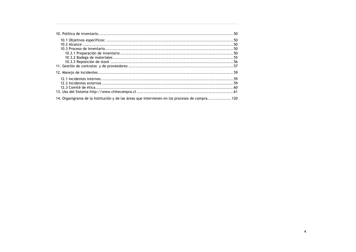| 14. Organigrama de la Institución y de las áreas que intervienen en los procesos de compra 120 |  |
|------------------------------------------------------------------------------------------------|--|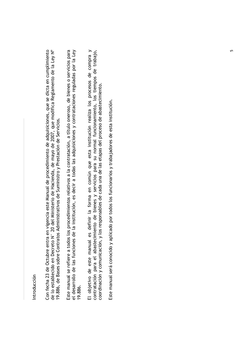### Introducción

Con fecha 23 de Octubre entra en vigencia este Manual de procedimiento de adquisiciones, que se dicta en cumplimiento<br>de lo establecido en Decreto N° 20 del Ministerio de Hacienda, de mayo de 2007, que modifica Reglamento 19.886, de Bases sobre Contratos Administrativos de Suministro y Prestación de Servicios. Este manual se refiere a todos los procedimientos relativos a la contratación, a título oneroso, de bienes o servicios para<br>el desarrollo de las funciones de la institución, es decir a todas las adquisiciones y contratacio 19.886.

El objetivo de este manual es definir la forma en común que esta institución realiza los procesos de compra y contratación para el abastecimiento de bienes y servicios para su normal funcionamiento, los tiempos de trabajo, coordinación y comunicación, y los responsables de cada una de las etapas del proceso de abastecimiento.

Este manual será conocido y aplicado por todos los funcionarios y trabajadores de esta institución.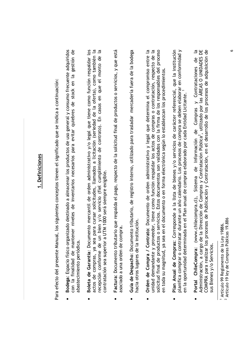### I. Definiciones

Para efecto del presente Manual, los siguientes conceptos tienen el significado que se indica a continuación:

- Bodega: Espacio físico organizado destinado a almacenar los productos de uso general y consumo frecuente adquiridos con la finalidad de mantener niveles de inventarios necesarios para evitar quiebres de stock en la gestión de abastecimiento periódica.
- $\overline{a}$ Boleta de Garantía: Documento mercantil de orden administrativo y/o legal que tiene como función respaldar los actos de compras, ya sea para cursar solicitudes, llamados a licitación (seriedad de la oferta), como también la recepción conforme de un bien y/o servicio (fiel cumplimiento de contrato). En casos en que el monto de contratación sea superior a UTM 1000 será siempre exigible.
- Factura: Documento tributario que respalda el pago, respecto de la solicitud final de productos o servicios, y que está asociado a una orden de compra.  $\bullet$
- Guía de Despacho: Documento tributario, de registro interno, utilizado para trasladar mercadería fuera de la bodega hacia otros lugares de la institución.  $\bullet$
- Orden de Compra / Contrato: Documento de orden administrativo y legal que determina el compromiso entre la unidad demandante y proveedor, tiene como función respaldar los actos de compras o contratación, respecto de la solicitud final de productos o servicios. Estos documentos son validados con la firma de los responsables del proceso en toda su magnitud, ya sea en el documento o en forma electrónica según lo establezcan los procedimientos.  $\bullet$
- planifica comprar o contratar durante un año calendario. Los procesos de compra se deben elaborar en conformidad y Plan Anual de Compras: Corresponde a la lista de bienes y/o servicios de carácter referencial, que la institución en la oportunidad determinada en el Plan anual de compras elaborado por cada Entidad Licitante.<sup>1</sup>  $\bullet$
- **Portal ChileCompra:** (www.chilecompra.cl), Sistema de Información de Compras y Contrataciones de la<br>Administración, a cargo de la Dirección de Compras y Contratación Pública<sup>2</sup>, utilizado por las ÁREAS O UNIDADES DE<br>COMPR sus Bienes y/o Servicios.

<sup>&</sup>lt;sup>1</sup> Artículo 99 Reglamento de la Ley 19886.<br><sup>2</sup> Artículo 19 ley de Compras Públicas 19.886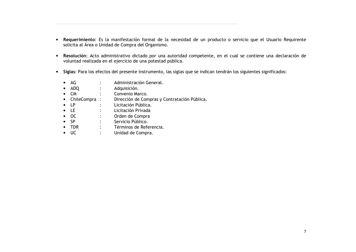- · Requerimiento: Es la manifestación formal de la necesidad de un producto o servicio que el Usuario Requirente solicita al Área o Unidad de Compra del Organismo.
- · Resolución: Acto administrativo dictado por una autoridad competente, en el cual se contiene una declaración de voluntad realizada en el ejercicio de una potestad pública.
- Siglas: Para los efectos del presente instrumento, las siglas que se indican tendrán los siguientes significados:
	- $\bullet$  AG Administración General.  $\cdot$
	- $\bullet$  ADQ Adquisición.  $\mathbb{R}^{\mathbb{Z}}$
	- $\bullet$  CM Convenio Marco.
	- ChileCompra: Dirección de Compras y Contratación Pública.
	- $\bullet$  LP Licitación Pública.
	- $\bullet$  LE Licitación Privada  $\bullet$  .
	- $\bullet$  OC Orden de Compra  $\mathbb{R}^{\mathbb{Z}}$
	- $\bullet$  SP Servicio Público.  $\mathbb{R}^{\mathbb{Z}}$
	- $\bullet$  TDR Términos de Referencia.  $\mathbb{R}^n$
	- $\bullet$  UC  $\mathbb{R}^{\mathbb{Z}}$ Unidad de Compra.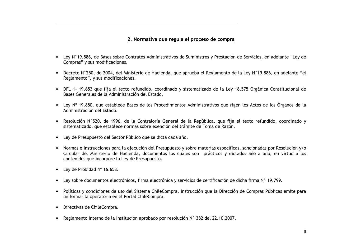### 2. Normativa que regula el proceso de compra

- Ley N°19,886, de Bases sobre Contratos Administrativos de Suministros y Prestación de Servicios, en adelante "Ley de Compras" y sus modificaciones.
- Decreto N°250, de 2004, del Ministerio de Hacienda, que aprueba el Reglamento de la Ley N°19.886, en adelante "el Reglamento", y sus modificaciones.
- · DFL 1-19.653 que fija el texto refundido, coordinado y sistematizado de la Ley 18.575 Orgánica Constitucional de Bases Generales de la Administración del Estado.
- Ley N° 19,880, que establece Bases de los Procedimientos Administrativos que rigen los Actos de los Órganos de la Administración del Estado.
- · Resolución N°520, de 1996, de la Contraloría General de la República, que fija el texto refundido, coordinado y sistematizado, que establece normas sobre exención del trámite de Toma de Razón.
- Ley de Presupuesto del Sector Público que se dicta cada año.
- Normas e Instrucciones para la ejecución del Presupuesto y sobre materias específicas, sancionadas por Resolución y/o Circular del Ministerio de Hacienda, documentos los cuales son prácticos y dictados año a año, en virtud a los contenidos que incorpore la Ley de Presupuesto.
- Lev de Probidad  $N^{\circ}$  16.653.
- Ley sobre documentos electrónicos, firma electrónica y servicios de certificación de dicha firma N° 19.799.
- Políticas y condiciones de uso del Sistema ChileCompra, instrucción que la Dirección de Compras Públicas emite para uniformar la operatoria en el Portal ChileCompra.
- Directivas de ChileCompra.
- Reglamento Interno de la Institución aprobado por resolución N° 382 del 22.10.2007.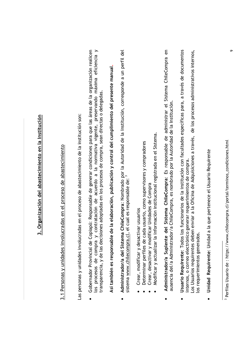# 3. Organización del abastecimiento en la Institución

# 3.1 Personas y unidades involucradas en el proceso de abastecimiento

Las personas y unidades involucradas en el proceso de abastecimiento de la institución son:

los procesos de compra y contratación de acuerdo a la normativa vigente, preservando máxima eficiencia y Gobernador Provincial de Copiapó: Responsable de generar condiciones para que las áreas de la organización realicen transparencia, y de las decisiones adoptadas en los procesos de compra, sean directas o delegadas.

Así también es responsable de la elaboración, publicación y control del cumplimiento del presente manual

- Administrador/a del Sistema ChileCompra: Nombrado por la Autoridad de la Institución, corresponde a un perfil del<br>sistema www.chilecompra.cl, el cual es responsable de: <sup>3</sup>  $\bullet$
- Crear, modificar y desactivar usuarios
- Determinar perfiles de cada usuario, como supervisores y compradores
- Crear, desactivar y modificar Unidades de Compra
- Modificar y actualizar la información institucional registrada en el Sistema.
- Administrador/a Suplente del Sistema ChileCompra: Es responsable de administrar el Sistema ChileCompra en ausencia del/a Administrador/a ChileCompra, es nombrado por la Autoridad de la Institución.  $\bullet$
- Usuario Requirente: Todos los funcionarios de la institución con facultades específicas para, a través de documentos os Usuarios requirentes deben enviar a la Oficina de Adquisiciones a través, de los procesos administrativos internos, internos, o correo electrónico generar requerimientos de compra. os requerimientos generados.  $\bullet$
- Unidad Requirente: Unidad a la que pertenece el Usuario Requirente

<sup>&</sup>lt;sup>3</sup> Perfiles Usuario de : https://www.chilecompra.cl/portal/terminos\_condiciones.html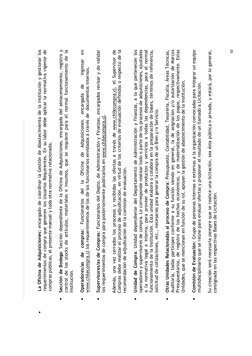- La Oficina de Adquisiciones: encargado de coordinar la Gestión de Abastecimiento de la institución y gestionar los requerimientos de compra que generen los Usuarios Requirentes. En su labor debe aplicar la normativa vigente de compras públicas, el presente manual y toda otra normativa relacionada.
- Sección de Bodega: Sección dependiente de la Oficina de Adquisiciones, encargada del almacenamiento, registro y control de los stocks de artículos, materiales e insumos, que se requiere para el normal funcionamiento de la nstitución.  $\bullet$
- ingresar en www.chilecompra.cl los requerimientos de los de los funcionarios envidados a través de documentos internos. Operadores/as de compras: Funcionarios del la Oficina de Adquisiciones. encargada de  $\bullet$
- Supervisores/as de Compras: Funcionarios del Depto. de Administración y Finanzas, encargados revisar y de validar los requerimientos de compra para posteriormente publicarlos en www.chilecompra.cl  $\bullet$

Además, una vez cerrados los procesos y recibidas las ofertas a través de www.chilecompra.cl, el Supervisor de Compras debe realizar el proceso de adjudicación, en virtud de los criterios de evaluación definidos o respecto de la recomendación de adjudicación de la comisión de evaluación.

- Unidad de Compra: Unidad dependiente del Departamento de Administración y finanzas, a la que pertenecen los operadores y supervisores de compra. Le corresponde realizar todo o parte de los procesos de adquisiciones, ajustadas a la normativa legal e interna, para proveer de productos y servicios a todas las dependencias, para el normal funcionamiento de la Institución. Esta unidad elabora o colabora en la preparación de bases, términos de referencia, solicitud de cotizaciones, etc., necesarias para generar la compra de un Bien y/o Servicio.  $\bullet$
- Presupuestarios, de registro de los hechos económicos, y de materialización de los pagos, respectivamente. Estas<br>Unidades, que se mencionan en función de su rol, apoyan la gestión de abastecimiento de la institución. Auditoría, todas partícipes conforme a su función siendo en general, la de asignación y/o autorización de Marcos Otras Unidades Relacionadas al proceso de Compra: Presupuesto, Contabilidad, Tesorería, Fiscalía, Áreas Técnicas,  $\bullet$
- Comisión de Evaluación: Grupo de personas internas o externas a la organización convocadas para integrar un equipo multidisciplinario que se reúne para evaluar ofertas y proponer el resultado de un llamado a Licitación.  $\bullet$

Su creación será necesaria siempre que se realice una licitación, sea ésta pública o privada, y estará, por lo general, consignada en las respectivas Bases de Licitación.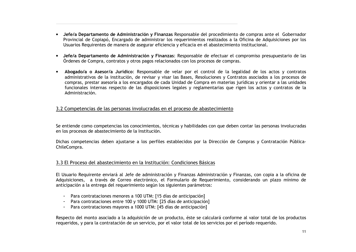- Jefe/a Departamento de Administración y Finanzas Responsable del procedimiento de compras ante el Gobernador Provincial de Copiapó, Encargado de administrar los requerimientos realizados a la Oficina de Adquisiciones por los Usuarios Requirentes de manera de asegurar eficiencia y eficacia en el abastecimiento institucional.
- · Jefe/a Departamento de Administración y Finanzas: Responsable de efectuar el compromiso presupuestario de las Órdenes de Compra, contratos y otros pagos relacionados con los procesos de compras.
- Abogado/a o Asesor/a Jurídico: Responsable de velar por el control de la legalidad de los actos y contratos administrativos de la institución, de revisar y visar las Bases, Resoluciones y Contratos asociados a los procesos de compras, prestar asesoría a los encargados de cada Unidad de Compra en materias jurídicas y orientar a las unidades funcionales internas respecto de las disposiciones legales y reglamentarias que rigen los actos y contratos de la Administración.

### 3.2 Competencias de las personas involucradas en el proceso de abastecimiento

Se entiende como competencias los conocimientos, técnicas y habilidades con que deben contar las personas involucradas en los procesos de abastecimiento de la Institución.

Dichas competencias deben ajustarse a los perfiles establecidos por la Dirección de Compras y Contratación Pública-ChileCompra.

### 3.3 El Proceso del abastecimiento en la Institución: Condiciones Básicas

El Usuario Requirente enviará al Jefe de administración y Finanzas Administración y Finanzas, con copia a la oficina de Adquisiciones, a través de Correo electrónico, el Formulario de Requerimiento, considerando un plazo mínimo de anticipación a la entrega del requerimiento según los siguientes parámetros:

- Para contrataciones menores a 100 UTM: [15 días de anticipación]
- Para contrataciones entre 100 y 1000 UTM: [25 días de anticipación]
- Para contrataciones mayores a 1000 UTM: [45 días de anticipación]  $\frac{1}{2} \left( \frac{1}{2} \right)$

Respecto del monto asociado a la adquisición de un producto, éste se calculará conforme al valor total de los productos requeridos, y para la contratación de un servicio, por el valor total de los servicios por el período requerido.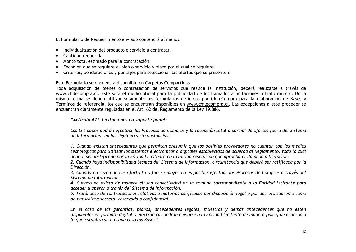El Formulario de Requerimiento enviado contendrá al menos:

- · Individualización del producto o servicio a contratar.
- Cantidad requerida.
- · Monto total estimado para la contratación.
- Fecha en que se requiere el bien o servicio y plazo por el cual se requiere.
- Criterios, ponderaciones y puntajes para seleccionar las ofertas que se presenten.

### Este Formulario se encuentra disponible en Carpetas Compartidas

Toda adquisición de bienes o contratación de servicios que realice la Institución, deberá realizarse a través de www.chilecompra.cl. Este será el medio oficial para la publicidad de los llamados a licitaciones o trato directo. De la misma forma se deben utilizar solamente los formularios definidos por ChileCompra para la elaboración de Bases y Términos de referencia, los que se encuentran disponibles en www.chilecompra.cl. Las excepciones a este proceder se encuentran claramente reguladas en el Art. 62 del Reglamento de la Ley 19.886.

### "Artículo 62º. Licitaciones en soporte papel:

Las Entidades podrán efectuar los Procesos de Compras y la recepción total o parcial de ofertas fuera del Sistema de Información, en las siguientes circunstancias:

1. Cuando existan antecedentes que permitan presumir que los posibles proveedores no cuentan con los medios tecnológicos para utilizar los sistemas electrónicos o digitales establecidos de acuerdo al Reglamento, todo lo cual deberá ser justificado por la Entidad Licitante en la misma resolución que aprueba el llamado a licitación.

2. Cuando haya indisponibilidad técnica del Sistema de Información, circunstancia que deberá ser ratificada por la Dirección.

3. Cuando en razón de caso fortuito o fuerza mayor no es posible efectuar los Procesos de Compras a través del Sistema de Información.

4. Cuando no exista de manera alguna conectividad en la comuna correspondiente a la Entidad Licitante para acceder u operar a través del Sistema de Información.

5. Tratándose de contrataciones relativas a materias calificadas por disposición legal o por decreto supremo como de naturaleza secreta, reservada o confidencial.

En el caso de las garantías, planos, antecedentes legales, muestras y demás antecedentes que no estén disponibles en formato digital o electrónico, podrán enviarse a la Entidad Licitante de manera física, de acuerdo a lo que establezcan en cada caso las Bases".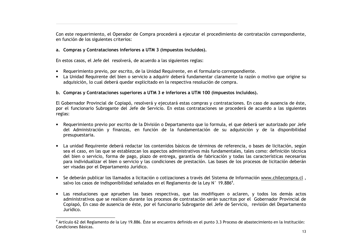Con este requerimiento, el Operador de Compra procederá a ejecutar el procedimiento de contratación correspondiente, en función de los siguientes criterios:

### a. Compras y Contrataciones inferiores a UTM 3 (impuestos incluidos).

En estos casos, el Jefe del resolverá, de acuerdo a las siguientes reglas:

- Requerimiento previo, por escrito, de la Unidad Requirente, en el formulario correspondiente.
- La Unidad Requirente del bien o servicio a adquirir deberá fundamentar claramente la razón o motivo que origine su adquisición, lo cual deberá quedar explicitado en la respectiva resolución de compra.

### b. Compras y Contrataciones superiores a UTM 3 e inferiores a UTM 100 (impuestos incluidos).

El Gobernador Provincial de Copiapó, resolverá y ejecutará estas compras y contrataciones. En caso de ausencia de éste, por el funcionario Subrogante del Jefe de Servicio. En estas contrataciones se procederá de acuerdo a las siguientes reglas:

- Requerimiento previo por escrito de la División o Departamento que lo formula, el que deberá ser autorizado por Jefe del Administración y finanzas, en función de la fundamentación de su adquisición y de la disponibilidad presupuestaria.
- La unidad Requirente deberá redactar los contenidos básicos de términos de referencia, o bases de licitación, según sea el caso, en las que se establezcan los aspectos administrativos más fundamentales, tales como: definición técnica del bien o servicio, forma de pago, plazo de entrega, garantía de fabricación y todas las características necesarias para individualizar el bien o servicio y las condiciones de prestación. Las bases de los procesos de licitación deberán ser visadas por el Departamento Jurídico.
- Se deberán publicar los llamados a licitación o cotizaciones a través del Sistema de Información www.chilecompra.cl, salvo los casos de indisponibilidad señalados en el Reglamento de la Ley N° 19.886<sup>4</sup>.
- Las resoluciones que aprueben las bases respectivas, que las modifiquen o aclaren, y todos los demás actos administrativos que se realicen durante los procesos de contratación serán suscritos por el Gobernador Provincial de Copiapó, En caso de ausencia de éste, por el funcionario Subrogante del Jefe de Servicio, revisión del Departamento Jurídico.

<sup>4</sup> Artículo 62 del Reglamento de la Ley 19.886. Éste se encuentra definido en el punto 3.3 Proceso de abastecimiento en la Institución: Condiciones Básicas.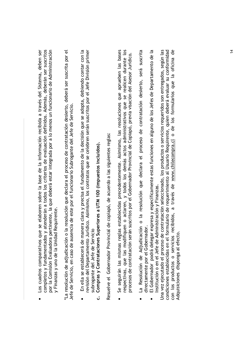completos y fundamentados y atenderán a todos los criterios de evaluación definidos. Además, deberán ser suscritos por la Comisión Evaluadora pertinente, la que deberá estar integrada por a lo menos un funcionario de Administración Los cuadros comparativos que se elaboren sobre la base de la información recibida a través del Sistema, deben ser y Finanzas y uno de la Unidad Requirente. La resolución de adjudicación o la resolución que declara el proceso de contratación desierto, deberá ser suscrita por el Jefe de Servicio, en caso de ausencia de este por el funcionario Subrogante del Jefe de Servicio.

- En ella se establecerá de manera clara y precisa el fundamento de la decisión que se adopta, debiendo contar con la revisión del Departamento Jurídico. Asimismo, los contratos que se celebren serán suscritos por el Jefe División primer subrogante del Jefe de Servicio
	- Compras y Contrataciones Superiores a UTM 100 (impuestos incluidos). ن

Resuelve el Gobernador Provincial de copiapó, de acuerdo a las siguientes reglas:

- respectivas, que las modifiquen o aclaren, y todos los demás actos administrativos que se realicen durante los<br>procesos de contratación serán suscritos por el Gobernador Provincial de Copiapó, previa visación del Asesor Ju Se seguirán las mismas reglas establecidas precedentemente. Asimismo, las resoluciones que aprueben las bases
- La Resolución de Adjudicación o la resolución que declara el proceso de contratación desierto, será suscrita directamente por el Gobernador.  $\bullet$ 
	- El Gobernador podrá delegar expresa y específicamente estas funciones en alguno de los Jefes de Departamento de la Institución o en el Jefe de Administración y Finanzas.

Una vez ejecutado el proceso de contratación seleccionado, los productos o servicios requeridos son entregados, según las condiciones establecidas en el formulario de requerimiento al Usuario Requirente, quien deberá evaluar su conformidad con los productos o servicios recibidos, a través de www.chilecompra.cl o de los formularios que la oficina de Adquisiciones disponga al efecto.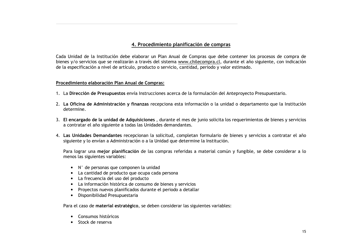### 4. Procedimiento planificación de compras

Cada Unidad de la Institución debe elaborar un Plan Anual de Compras que debe contener los procesos de compra de bienes y/o servicios que se realizarán a través del sistema www.chilecompra.cl, durante el año siguiente, con indicación de la especificación a nivel de artículo, producto o servicio, cantidad, periodo y valor estimado.

### Procedimiento elaboración Plan Anual de Compras:

- 1. La Dirección de Presupuestos envía Instrucciones acerca de la formulación del Anteprovecto Presupuestario.
- 2. La Oficina de Administración y finanzas recepciona esta información o la unidad o departamento que la Institución determine.
- 3. El encargado de la unidad de Adquisiciones, durante el mes de junio solicita los requerimientos de bienes y servicios a contratar el año siguiente a todas las Unidades demandantes.
- 4. Las Unidades Demandantes recepcionan la solicitud, completan formulario de bienes y servicios a contratar el año siguiente y lo envían a Administración o a la Unidad que determine la Institución.

Para lograr una mejor planificación de las compras referidas a material común y fungible, se debe considerar a lo menos las siguientes variables:

- N° de personas que componen la unidad
- La cantidad de producto que ocupa cada persona
- La frecuencia del uso del producto
- La información histórica de consumo de bienes y servicios
- Proyectos nuevos planificados durante el periodo a detallar
- Disponibilidad Presupuestaria

Para el caso de material estratégico, se deben considerar las siguientes variables:

- Consumos históricos
- Stock de reserva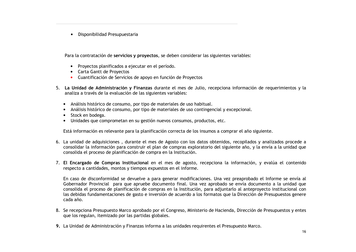· Disponibilidad Presupuestaria

Para la contratación de servicios y proyectos, se deben considerar las siguientes variables:

- Provectos planificados a ejecutar en el período.
- Carta Gantt de Provectos
- Cuantificación de Servicios de apoyo en función de Proyectos
- 5. La Unidad de Administración y Finanzas durante el mes de Julio, recepciona información de requerimientos y la analiza a través de la evaluación de las siguientes variables:
	- · Análisis histórico de consumo, por tipo de materiales de uso habitual.
	- Análisis histórico de consumo, por tipo de materiales de uso contingencial y excepcional.
	- · Stock en bodega.
	- · Unidades que comprometan en su gestión nuevos consumos, productos, etc.

Está información es relevante para la planificación correcta de los insumos a comprar el año siguiente.

- 6. La unidad de adquisiciones, durante el mes de Agosto con los datos obtenidos, recopilados y analizados procede a consolidar la información para construir el plan de compras exploratorio del siguiente año, y la envía a la unidad que consolida el proceso de planificación de compra en la Institución.
- 7. El Encargado de Compras Institucional en el mes de agosto, recepciona la información, y evalúa el contenido respecto a cantidades, montos y tiempos expuestos en el informe.

En caso de disconformidad se devuelve a para generar modificaciones. Una vez preaprobado el Informe se envía al Gobernador Provincial para que apruebe documento final. Una vez aprobado se envía documento a la unidad que consolida el proceso de planificación de compras en la Institución, para adjuntarlo al anteprovecto institucional con las debidas fundamentaciones de gasto e inversión de acuerdo a los formatos que la Dirección de Presupuestos genere cada año.

- 8. Se recepciona Presupuesto Marco aprobado por el Congreso, Ministerio de Hacienda, Dirección de Presupuestos y entes que los regulan, itemizado por las partidas globales.
- 9. La Unidad de Administración y Finanzas informa a las unidades requirentes el Presupuesto Marco.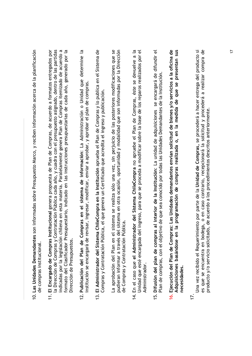- 10. Las Unidades Demandantes son informadas sobre Presupuesto Marco, y reciben información acerca de la planificación de compras institucional.
- la Dirección de Compras y Contratación Pública cada año, y cuadra con el presupuesto asignado, dentro de las partidas indicadas por la legislación chilena en esta materia. Paralelamente genera Plan de Compras itemizado de acuerdo a formato del Clasificador Presupuestario, indicado en las instrucciones presupuestarias de cada año, generado por la 11. El Encargado de Compras Institucional genera propuesta de Plan de Compras, de acuerdo a formatos entregados por Dirección de Presupuestos.
- 12. Publicación del Plan de Compras en el sistema de información: La Administración o Unidad que determine la institución se encargará de revisar, ingresar, modificar, enviar a aprobar, y aprobar el plan de compras.
- 13. El Administrador del Sistema ChileCompra en la Institución aprueba el Plan de Compras y lo publica en el Sistema de Compras y Contratación Pública, el que genera un Certificado que acredita el ingreso y publicación.

La aprobación del Plan en el sistema se realiza sólo una vez, sin perjuicio de las posteriores modificaciones que se pudieran informar a través del sistema en otra ocasión, oportunidad y modalidad que son informadas por la Dirección de Compras y Contratación Pública.

- 14. En el caso que el Administrador del Sistema ChileCompra no apruebe el Plan de Compras, éste se devuelve a la  $\vec{0}$ Unidad que esté encargada del ingreso, para que se proceda a modificar sobre la base de los reparos realizados por Administrador.
- 15. Difusión del plan de compras al interior de la Institución: La unidad de adquisiciones se encargará de difundir el Plan de compras, con el objetivo de que sea conocido por todas las Unidades Demandantes de la Institución.
- Adquisiciones basándose en la programación de compras realizada o, en la medida de que se presentan sus Ejecución del Plan de Compras: Las Unidades demandantes envían solicitud de bienes y/o servicios a la oficina de necesidades.  $\ddot{\mathbf{6}}$

İŻ.

Una vez recibido el Requerimiento por parte de la Unidad de Compras, se procederá a hacer entrega del producto si es que se encuentra en bodega, o en caso contrario, recepcionará la solicitud y procederá a realizar compra de producto y/o servicio solicitado, de acuerdo a los procedimientos descritos anteriormente.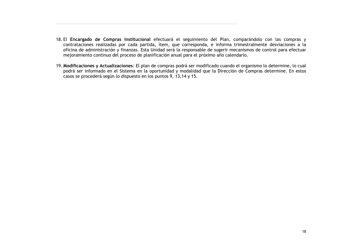- 18. El Encargado de Compras Institucional efectuará el seguimiento del Plan, comparándolo con las compras y contrataciones realizadas por cada partida, ítem, que corresponda, e informa trimestralmente desviaciones a la oficina de administración y finanzas. Esta Unidad será la responsable de sugerir mecanismos de control para efectuar mejoramiento continuo del proceso de planificación anual para el próximo año calendario.
- 19. Modificaciones y Actualizaciones: El plan de compras podrá ser modificado cuando el organismo lo determine, lo cual podrá ser informado en el Sistema en la oportunidad y modalidad que la Dirección de Compras determine. En estos casos se procederá según lo dispuesto en los puntos 9, 13,14 y 15.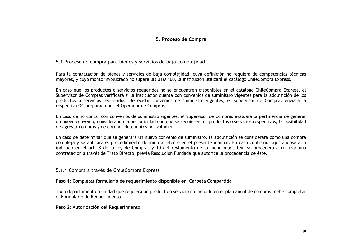### 5. Proceso de Compra

### 5.1 Proceso de compra para bienes y servicios de baja complejidad

Para la contratación de bienes y servicios de baja complejidad, cuya definición no requiera de competencias técnicas mayores, y cuyo monto involucrado no supere las UTM 100, la institución utilizará el catálogo ChileCompra Express.

En caso que los productos o servicios requeridos no se encuentren disponibles en el catálogo ChileCompra Express, el Supervisor de Compras verificará si la institución cuenta con convenios de suministro vigentes para la adquisición de los productos o servicios requeridos. De existir convenios de suministro vigentes, el Supervisor de Compras enviará la respectiva OC preparada por el Operador de Compras.

En caso de no contar con convenios de suministro vigentes, el Supervisor de Compras evaluará la pertinencia de generar un nuevo convenio, considerando la periodicidad con que se requieren los productos o servicios respectivos, la posibilidad de agregar compras y de obtener descuentos por volumen.

En caso de determinar que se generará un nuevo convenio de suministro, la adquisición se considerará como una compra compleja y se aplicará el procedimiento definido al efecto en el presente manual. En caso contrario, ajustándose a lo indicado en el art. 8 de la ley de Compras y 10 del reglamento de la mencionada ley, se procederá a realizar una contratación a través de Trato Directo, previa Resolución Fundada que autorice la procedencia de éste.

### 5.1.1 Compra a través de ChileCompra Express

### Paso 1: Completar formulario de requerimiento disponible en Carpeta Compartida

Todo departamento o unidad que requiera un producto o servicio no incluido en el plan anual de compras, debe completar el Formulario de Requerimiento.

### Paso 2: Autorización del Requerimiento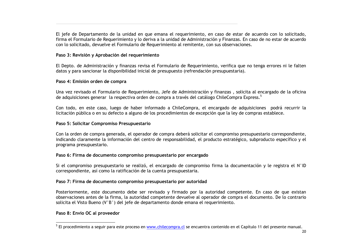El jefe de Departamento de la unidad en que emana el requerimiento, en caso de estar de acuerdo con lo solicitado, firma el Formulario de Requerimiento y lo deriva a la unidad de Administración y Finanzas. En caso de no estar de acuerdo con lo solicitado, devuelve el Formulario de Requerimiento al remitente, con sus observaciones.

### Paso 3: Revisión y Aprobación del requerimiento

El Depto, de Administración y finanzas revisa el Formulario de Requerimiento, verifica que no tenga errores ni le falten datos y para sancionar la disponibilidad inicial de presupuesto (refrendación presupuestaria).

### Paso 4: Emisión orden de compra

Una vez revisado el Formulario de Requerimiento, Jefe de Administración y finanzas, solicita al encargado de la oficina de adquisiciones generar la respectiva orden de compra a través del catálogo ChileCompra Express.<sup>5</sup>

Con todo, en este caso, luego de haber informado a ChileCompra, el encargado de adquisiciones podrá recurrir la licitación pública o en su defecto a alguno de los procedimientos de excepción que la ley de compras establece.

### Paso 5: Solicitar Compromiso Presupuestario

Con la orden de compra generada, el operador de compra deberá solicitar el compromiso presupuestario correspondiente, indicando claramente la información del centro de responsabilidad, el producto estratégico, subproducto específico y el programa presupuestario.

### Paso 6: Firma de documento compromiso presupuestario por encargado

Si el compromiso presupuestario se realizó, el encargado de compromiso firma la documentación y le registra el N°ID correspondiente, así como la ratificación de la cuenta presupuestaria.

### Paso 7: Firma de documento compromiso presupuestario por autoridad

Posteriormente, este documento debe ser revisado y firmado por la autoridad competente. En caso de que existan observaciones antes de la firma, la autoridad competente devuelve al operador de compra el documento. De lo contrario solicita el Visto Bueno (V°B°) del jefe de departamento donde emana el requerimiento.

### Paso 8: Envío OC al proveedor

<sup>&</sup>lt;sup>5</sup> El procedimiento a seguir para este proceso en www.chilecompra.cl se encuentra contenido en el Capítulo 11 del presente manual.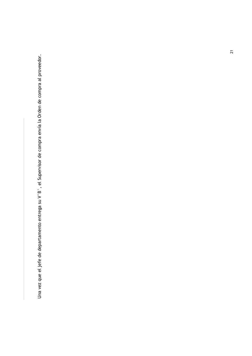Una vez que el jefe de departamento entrega su V°B°, el Supervisor de compra envía la Orden de compra al proveedor.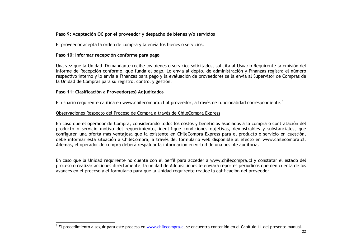### Paso 9: Aceptación OC por el proveedor y despacho de bienes y/o servicios

El proveedor acepta la orden de compra y la envía los bienes o servicios.

### Paso 10: Informar recepción conforme para pago

Una vez que la Unidad Demandante recibe los bienes o servicios solicitados, solicita al Usuario Requirente la emisión del Informe de Recepción conforme, que funda el pago. Lo envía al depto, de administración y Finanzas registra el número respectivo interno y lo envía a Finanzas para pago y la evaluación de proveedores se la envía al Supervisor de Compras de la Unidad de Compras para su registro, control y gestión.

### Paso 11: Clasificación a Proveedor(es) Adjudicados

El usuario requirente califica en www.chilecompra.cl al proveedor, a través de funcionalidad correspondiente.<sup>6</sup>

### Observaciones Respecto del Proceso de Compra a través de ChileCompra Express

En caso que el operador de Compra, considerando todos los costos y beneficios asociados a la compra o contratación del producto o servicio motivo del requerimiento, identifique condiciones objetivas, demostrables y substanciales, que configuren una oferta más ventajosa que la existente en ChileCompra Express para el producto o servicio en cuestión, debe informar esta situación a ChileCompra, a través del formulario web disponible al efecto en www.chilecompra.cl. Además, el operador de compra deberá respaldar la información en virtud de una posible auditoría.

En caso que la Unidad requirente no cuente con el perfil para acceder a www.chilecompra.cl y constatar el estado del proceso o realizar acciones directamente, la unidad de Adquisiciones le enviará reportes periodicos que den cuenta de los avances en el proceso y el formulario para que la Unidad requirente realice la calificación del proveedor.

<sup>&</sup>lt;sup>6</sup> El procedimiento a seguir para este proceso en www.chilecompra.cl se encuentra contenido en el Capítulo 11 del presente manual.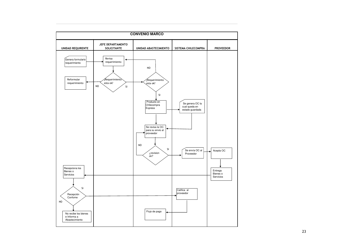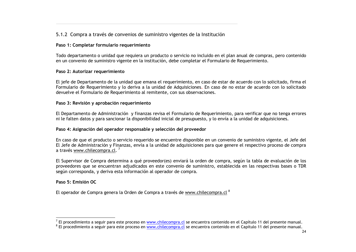### 5.1.2 Compra a través de convenios de suministro vigentes de la Institución

### Paso 1: Completar formulario requerimiento

Todo departamento o unidad que requiera un producto o servicio no incluido en el plan anual de compras, pero contenido en un convenio de suministro vigente en la institución, debe completar el Formulario de Requerimiento.

### Paso 2: Autorizar requerimiento

El jefe de Departamento de la unidad que emana el requerimiento, en caso de estar de acuerdo con lo solicitado, firma el Formulario de Requerimiento y lo deriva a la unidad de Adquisiciones. En caso de no estar de acuerdo con lo solicitado devuelve el Formulario de Requerimiento al remitente, con sus observaciones.

### Paso 3: Revisión y aprobación requerimiento

El Departamento de Administración y finanzas revisa el Formulario de Requerimiento, para verificar que no tenga errores ni le falten datos y para sancionar la disponibilidad inicial de presupuesto, y lo envía a la unidad de adquisiciones.

### Paso 4: Asignación del operador responsable y selección del proveedor

En caso de que el producto o servicio requerido se encuentre disponible en un convenio de suministro vigente, el Jefe del El Jefe de Administración y Finanzas, envía a la unidad de adquisiciones para que genere el respectivo proceso de compra a través www.chilecompra.cl.<sup>7</sup>

El Supervisor de Compra determina a qué proveedor(es) enviará la orden de compra, según la tabla de evaluación de los proveedores que se encuentran adjudicados en este convenio de suministro, establecida en las respectivas bases o TDR según corresponda, y deriva esta información al operador de compra.

### Paso 5: Emisión OC

El operador de Compra genera la Orden de Compra a través de www.chilecompra.cl<sup>8</sup>

<sup>7</sup> El procedimiento a seguir para este proceso en www.chilecompra.cl se encuentra contenido en el Capítulo 11 del presente manual.

<sup>8</sup> El procedimiento a seguir para este proceso en www.chilecompra.cl se encuentra contenido en el Capítulo 11 del presente manual.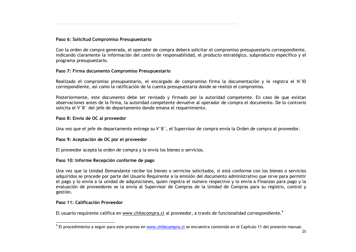### Paso 6: Solicitud Compromiso Presupuestario

Con la orden de compra generada, el operador de compra deberá solicitar el compromiso presupuestario correspondiente, indicando claramente la información del centro de responsabilidad, el producto estratégico, subproducto específico y el programa presupuestario.

### Paso 7: Firma documento Compromiso Presupuestario

Realizado el compromiso presupuestario, el encargado de compromiso firma la documentación y le registra el N°ID correspondiente, así como la ratificación de la cuenta presupuestaria donde se realizó el compromiso.

Posteriormente, este documento debe ser revisado y firmado por la autoridad competente. En caso de que existan observaciones antes de la firma, la autoridad competente devuelve al operador de compra el documento. De lo contrario solicita el V°B° del jefe de departamento donde emana el requerimiento.

### Paso 8: Envío de OC al proveedor

Una vez que el jefe de departamento entrega su V°B°, el Supervisor de compra envía la Orden de compra al proveedor.

### Paso 9: Aceptación de OC por el proveedor

El proveedor acepta la orden de compra y la envía los bienes o servicios.

### Paso 10: Informe Recepción conforme de pago

Una vez que la Unidad Demandante recibe los bienes o servicios solicitados, si está conforme con los bienes o servicios adquiridos se procede por parte del Usuario Requirente a la emisión del documento administrativo que sirve para permitir el pago y lo envía a la unidad de adquisiciones, quien registra el número respectivo y lo envía a Finanzas para pago y la evaluación de proveedores se la envía al Supervisor de Compras de la Unidad de Compras para su registro, control y gestión.

### Paso 11: Calificación Proveedor

El usuario requirente califica en www.chilecompra.cl al proveedor, a través de funcionalidad correspondiente.<sup>9</sup>

<sup>&</sup>lt;sup>9</sup> El procedimiento a seguir para este proceso en www.chilecompra.cl se encuentra contenido en el Capítulo 11 del presente manual.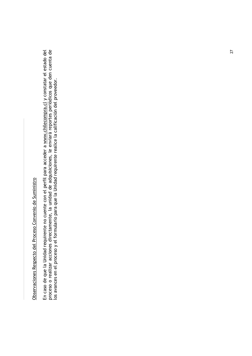# Observaciones Respecto del Proceso Convenio de Suministro

En caso de que la Unidad requirente no cuente con el perfil para acceder a <u>www.chilecompra.cl</u> y constatar el estado del<br>proceso o realizar acciones directamente, la unidad de adquisiciones, le enviará reportes periódicos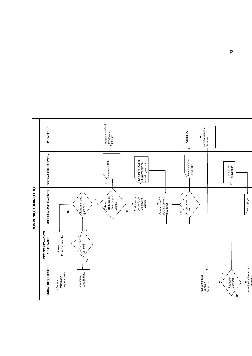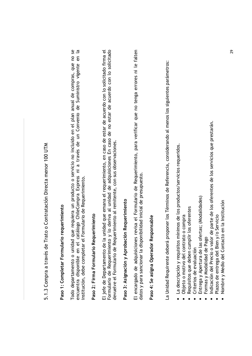5.1.3 Compra a través de Trato o Contratación Directa menor 100 UTM

# Paso 1: Completar Formulario requerimiento

Todo departamento o unidad que requiera un producto o servicio no incluido en el plan anual de compras, que no se<br>encuentra disponible en el catálogo ChileCompra Express ni a través de un Convenio de Suministro vigente en institución, debe completar el Formulario de Requerimiento.

## Paso 2: Firma Formulario Requerimiento

Formulario de Requerimiento y lo deriva al unidad de adquisiciones En caso de no estar de acuerdo con lo solicitado El jefe de Departamento de la unidad que emana el requerimiento, en caso de estar de acuerdo con lo solicitado firma el devuelve el Formulario de Requerimiento al remitente, con sus observaciones.

# Paso 3: Asignación y Aprobación Requerimiento

El encargado de adquisiciones revisa el Formulario de Requerimiento, para verificar que no tenga errores ni le falten datos y para sancionar la disponibilidad inicial de presupuesto.

## Paso 4: Se asigna Operador Responsable

La Unidad Requirente deberá proponer los Términos de Referencia, considerando al menos los siguientes parámetros:

- · La descripción y requisitos mínimos de los productos/servicios requeridos.
- Objeto o motivo del contrato o compra
- Requisitos que deben cumplir los oferentes
	- Criterios de evaluación
- Entrega y Apertura de las ofertas; (Modalidades)
	- Formas y Modalidad de Pago
- Indicación del Precio o valor de parte de los oferentes de los servicios que prestarán.
	- Plazos de entrega del Bien y/o Servicio
- Nombre y Medio del Contacto en la Institución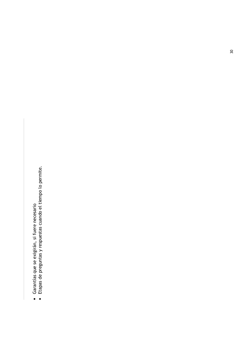- 
- Garantías que se exigirán, si fuere necesario<br>• Etapas de preguntas y respuestas cuando el tiempo lo permite.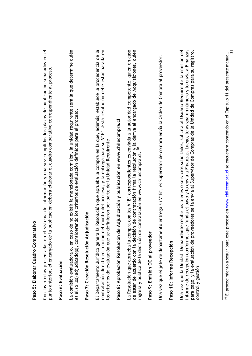| J           |  |
|-------------|--|
| ì           |  |
| i<br>ř<br>ı |  |
| j<br>ē<br>i |  |
| ů<br>j      |  |
| ١<br>ŗ      |  |

Con las ofertas presentadas en el sistema de información y una vez cumplidos los plazos de publicación señalados en el punto anterior, el encargado de la publicación deberá elaborar el cuadro comparativo correspondiente al proceso.

### Paso 6: Evaluación

La comisión evaluadora o, en caso de no existir la mencionada comisión, la unidad requirente será la que determine quién es el (o los) adjudicado(s), considerando los criterios de evaluación definidos para el proceso.

# Paso 7: Creación Resolución Adjudicación

El Departamento Jurídico genera la Resolución que aprueba la compra en la que, además, establece la procedencia de la<br>contratación directa en función del monto del proceso, y la entrega para su V°B°. Esta resolución debe e los criterios de evaluación que se definieron por parte de la Unidad Requirente.

# Paso 8: Aprobación Resolución de Adjudicación y publicación en www.chilecompra.cl

de estar de acuerdo con la decisión de contratación firma la resolución y la deriva al encargado de Adquisiciones, quien<br>ingresa y publica de la decisión de contratación en <u>www.chilecompra.cl</u>. <sup>10</sup> La Resolución que aprueba la compra con los V°B° correspondientes es enviada a la autoridad competente, quien en caso

## Paso 9: Emisión OC al proveedor

Una vez que el jefe de departamento entrega su V°B°, el Supervisor de compra envía la Orden de Compra al proveedor.

### Paso 10: Informe Recepción

informe de recepción conforme, que funda el pago y lo envía a Finanzas. Luego, le asigna un número y lo envía a Finanzas Una vez que la Unidad Demandante recibe los bienes o servicios solicitados, solicita al Usuario Requirente la emisión del para pago, y la evaluación de proveedores se la envía al Supervisor de Compras de la Unidad de Compras para su registro, control y gestión.

<sup>&</sup>lt;sup>10</sup> El procedimiento a seguir para este proceso en www.chilecompra.cl se encuentra contenido en el Capítulo 11 del presente manual.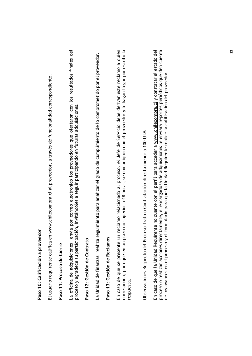| i      |
|--------|
|        |
|        |
|        |
|        |
|        |
|        |
|        |
| i<br>١ |
|        |
|        |
|        |
|        |
|        |
|        |
| í      |
|        |
|        |
|        |
|        |
|        |
|        |
| ţ      |
|        |
|        |
|        |
|        |
|        |
|        |
| ì      |
|        |
|        |

El usuario requirente califica en www.chilecompra.cl al proveedor, a través de funcionalidad correspondiente.

### Paso 11: Proceso de Cierre

La oficina de adquisiciones envía por correo electronico los proveedores que ofertaron con los resultados finales del proceso y agradece su participación, invitándoles a seguir participando en futuras adquisiciones.

### Paso 12: Gestión de Contrato

La Unidad de finanzas realiza seguimiento para analizar el grado de cumplimiento de lo comprometido por el proveedor.

### Paso 13: Gestión de Reclamos

En caso de que se presente un reclamo relacionado al proceso, el Jefe de Servicio debe derivar este reclamo a quien corresponda, para que en un plazo no superior a 48 horas, se comuniquen con el proveedor y le hagan llegar por escrito la respuesta.

# Observaciones Respecto del Proceso Trato o Contratación directa menor a 100 UTM

proceso o realizar acciones directamente, el encargado/a de adquisiciones le enviará reportes periódicos que den cuenta En caso de que la Unidad Requirente no cuente con el perfil para acceder a www.chilecompra.cl y constatar el estado del de los avances en el proceso y el formulario para que la Unidad Requirente realice la calificación del proveedor.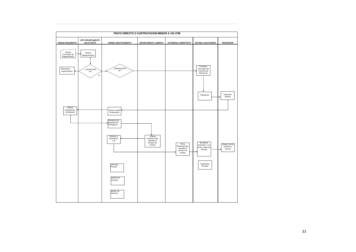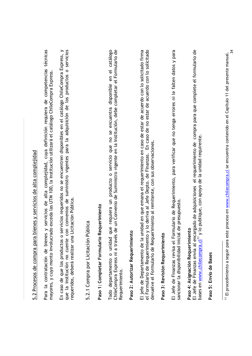| ם הבכת ה+ה סק טכנונינסט > טפפפה ה"ה ה"א ה"א סק סק סק |
|------------------------------------------------------|
|                                                      |
|                                                      |
| ) SSS SSS SSS S                                      |
|                                                      |
|                                                      |
|                                                      |
|                                                      |
|                                                      |
|                                                      |
|                                                      |
| )<br>!                                               |
| .<br>י                                               |
|                                                      |
|                                                      |
| ´                                                    |
|                                                      |
| ֺ֚֚֚<br>֧֚֚֚֚֚֚֚֚֚֚֚֚֝                               |
|                                                      |
|                                                      |
|                                                      |
|                                                      |

Para la contratación de bienes y servicios de alta complejidad, cuya definición requiera de competencias técnicas mayores, y cuyo monto involucrado exceda las UTM 100, la institución utilizará el catálogo ChileCompra Express.

que la institución no cuente con convenios de suministro vigentes para la adquisición de los productos o servicios En caso de que los productos o servicios requeridos no se encuentren disponibles en el catálogo ChileCompra Express, y requeridos, deberá realizar una Licitación Pública.

5.2.1 Compra por Licitación Pública

# Paso 1: Completar Formulario Requerimiento

Todo departamento o unidad que requiera un producto o servicio que no se encuentra disponible en el catálogo<br>ChileCompra Express ni a través de un Convenio de Suministro vigente en la Institución, debe completar el Formula Requerimiento.

## Paso 2: Autorizar Requerimiento

el Formulario de Requerimiento y lo deriva al Jefe Depto. de Finanzas. En caso de no estar de acuerdo con lo solicitado<br>devuelve el Formulario de Requerimiento al remitente, con sus observaciones. El jefe de Departamento de la unidad en que emana el requerimiento en caso de estar de acuerdo con lo solicitado firma

## Paso 3: Revisión Requerimiento

El Jefe de Finanzas revisa el Formulario de Requerimiento, para verificar que no tenga errores ni le falten datos y para sancionar la disponibilidad inicial de presupuesto.

## Paso 4: Asignación Requerimiento

El Jefe de Finanzas envía al encargado de adquisiciones el requerimiento de compra para que complete el formulario de bases en www.chilecompra.cl'1 y lo publique, con apoyo de la unidad requirente.

### Paso 5: Envío de Bases

<sup>&</sup>lt;sup>11</sup> El procedimiento a seguir para este proceso en www.chilecompra.cl se encuentra contenido en el Capítulo 11 del presente manual.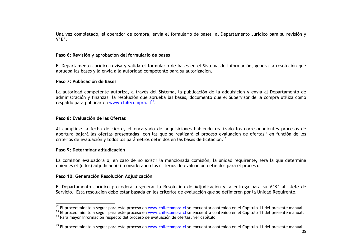Una vez completado, el operador de compra, envía el formulario de bases al Departamento Jurídico para su revisión y  $V^{\circ}B^{\circ}$ .

### Paso 6: Revisión y aprobación del formulario de bases

El Departamento Jurídico revisa y valida el formulario de bases en el Sistema de Información, genera la resolución que aprueba las bases y la envía a la autoridad competente para su autorización.

### Paso 7: Publicación de Bases

La autoridad competente autoriza, a través del Sistema, la publicación de la adquisición y envía al Departamento de administración y finanzas la resolución que aprueba las bases, documento que el Supervisor de la compra utiliza como respaldo para publicar en www.chilecompra.cl<sup>13</sup>.

### Paso 8: Evaluación de las Ofertas

Al cumplirse la fecha de cierre, el encargado de adquisiciones habiendo realizado los correspondientes procesos de apertura bajará las ofertas presentadas, con las que se realizará el proceso evaluación de ofertas<sup>14</sup> en función de los criterios de evaluación y todos los parámetros definidos en las bases de licitación.<sup>15</sup>

### Paso 9: Determinar adjudicación

La comisión evaluadora o, en caso de no existir la mencionada comisión, la unidad requirente, será la que determine quién es el (o los) adjudicado(s), considerando los criterios de evaluación definidos para el proceso.

### Paso 10: Generación Resolución Adjudicación

El Departamento Jurídico procederá a generar la Resolución de Adjudicación y la entrega para su V°B° al Jefe de Servicio, Esta resolución debe estar basada en los criterios de evaluación que se definieron por la Unidad Requirente.

<sup>&</sup>lt;sup>12</sup> El procedimiento a seguir para este proceso en www.chilecompra.cl se encuentra contenido en el Capítulo 11 del presente manual.

<sup>&</sup>lt;sup>13</sup> El procedimiento a seguir para este proceso en www.chilecompra.cl se encuentra contenido en el Capítulo 11 del presente manual. <sup>14</sup> Para mayor información respecto del proceso de evaluación de ofertas, ver capítulo

<sup>&</sup>lt;sup>15</sup> El procedimiento a seguir para este proceso en www.chilecompra.cl se encuentra contenido en el Capítulo 11 del presente manual.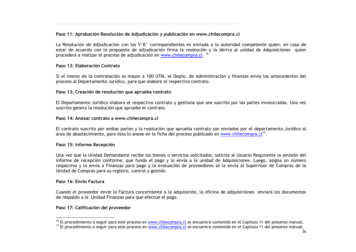### Paso 11: Aprobación Resolución de Adjudicación y publicación en www.chilecompra.cl

La Resolución de Adjudicación con los V°B° correspondientes es enviada a la autoridad competente quien, en caso de estar de acuerdo con la propuesta de adjudicación firma la resolución y la deriva al unidad de Adquisiciones quien procederá a realizar el proceso de adiudicación en www.chilecompra.cl.<sup>16</sup>

### Paso 12: Elaboración Contrato

Si el monto de la contratación es mayor a 100 UTM, el Depto, de Administración y finanzas envía los antecedentes del proceso al Departamento Jurídico, para que elabore el respectivo contrato.

### Paso 13: Creación de resolución que aprueba contrato

El Departamento Jurídico elabora el respectivo contrato y gestiona que sea suscrito por las partes involucradas. Una vez suscrito genera la resolución que apruebe el contrato.

### Paso 14: Anexar contrato a www.chilecompra.cl

El contrato suscrito por ambas partes y la resolución que aprueba contrato son enviados por el departamento Jurídico al área de abastecimiento, para ésta lo anexe en la ficha del proceso publicado en www.chilecompra.cl<sup>17</sup>.

### Paso 15: Informe Recepción

Una vez que la Unidad Demandante recibe los bienes o servicios solicitados, solicita al Usuario Requirente la emisión del informe de recepción conforme, que funda el pago y lo envía a la unidad de Adquisiciones. Luego, asigna un número respectivo y lo envía a Finanzas para pago y la evaluación de proveedores se la envía al Supervisor de Compras de la Unidad de Compras para su registro, control y gestión.

### Paso 16: Envío Factura

Cuando el proveedor envíe la Factura concerniente a la adquisición, la oficina de adquisiciones enviará los documentos de respaldo a la Unidad Finanzas para que efectúe el pago.

### Paso 17: Calificación del proveedor

<sup>&</sup>lt;sup>16</sup> El procedimiento a seguir para este proceso en www.chilecompra.cl se encuentra contenido en el Capítulo 11 del presente manual.

<sup>&</sup>lt;sup>17</sup> El procedimiento a seguir para este proceso en www.chilecompra.cl se encuentra contenido en el Capítulo 11 del presente manual.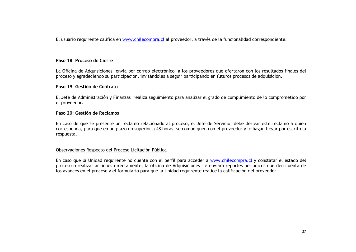El usuario requirente califica en www.chilecompra.cl al proveedor, a través de la funcionalidad correspondiente.

#### Paso 18: Proceso de Cierre

La Oficina de Adquisiciones envía por correo electrónico a los proveedores que ofertaron con los resultados finales del proceso y agradeciendo su participación, invitándoles a seguir participando en futuros procesos de adquisición,

#### Paso 19: Gestión de Contrato

El Jefe de Administración y Finanzas realiza seguimiento para analizar el grado de cumplimiento de lo comprometido por el proveedor.

#### Paso 20: Gestión de Reclamos

En caso de que se presente un reclamo relacionado al proceso, el Jefe de Servicio, debe derivar este reclamo a quien corresponda, para que en un plazo no superior a 48 horas, se comuniquen con el proveedor y le hagan llegar por escrito la respuesta.

#### Observaciones Respecto del Proceso Licitación Pública

En caso que la Unidad requirente no cuente con el perfil para acceder a www.chilecompra.cl y constatar el estado del proceso o realizar acciones directamente, la oficina de Adquisiciones le enviará reportes periódicos que den cuenta de los avances en el proceso y el formulario para que la Unidad requirente realice la calificación del proveedor.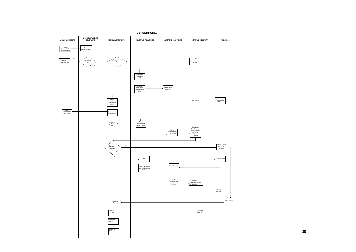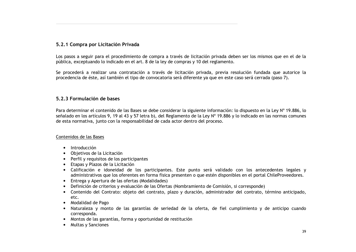#### 5.2.1 Compra por Licitación Privada

Los pasos a seguir para el procedimiento de compra a través de licitación privada deben ser los mismos que en el de la pública, exceptuando lo indicado en el art. 8 de la ley de compras y 10 del reglamento.

Se procederá a realizar una contratación a través de licitación privada, previa resolución fundada que autorice la procedencia de éste, así también el tipo de convocatoria será diferente ya que en este caso será cerrada (paso 7).

#### 5.2.3 Formulación de bases

Para determinar el contenido de las Bases se debe considerar la siguiente información: lo dispuesto en la Ley Nº 19.886, lo señalado en los artículos 9, 19 al 43 y 57 letra b), del Reglamento de la Ley Nº 19.886 y lo indicado en las normas comunes de esta normativa, junto con la responsabilidad de cada actor dentro del proceso.

#### Contenidos de las Bases

- $\bullet$  Introducción
- Objetivos de la Licitación
- Perfil y requisitos de los participantes
- Etapas y Plazos de la Licitación
- Calificación e idoneidad de los participantes. Este punto será validado con los antecedentes legales y administrativos que los oferentes en forma física presenten o que estén disponibles en el portal ChileProveedores.
- Entrega y Apertura de las ofertas (Modalidades)
- Definición de criterios y evaluación de las Ofertas (Nombramiento de Comisión, si corresponde)
- Contenido del Contrato: objeto del contrato, plazo y duración, administrador del contrato, término anticipado,  $etc.$
- Modalidad de Pago
- Naturaleza y monto de las garantías de seriedad de la oferta, de fiel cumplimiento y de anticipo cuando corresponda.
- Montos de las garantías, forma y oportunidad de restitución
- Multas y Sanciones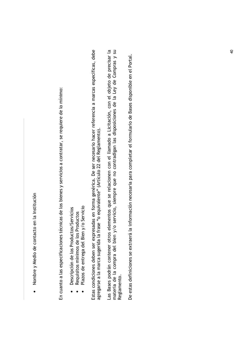· Nombre y Medio de contacto en la Institución

En cuanto a las especificaciones técnicas de los bienes y servicios a contratar, se requiere de lo mínimo:

- Descripción de los Productos/Servicios
- 
- Requisitos mínimos de los Productos<br>Plazos de entrega del Bien y/o Servicio

Estas condiciones deben ser expresadas en forma genérica. De ser necesario hacer referencia a marcas específicas, debe agregarse a la marca sugerida la frase "o equivalente" (Artículo 22 del Reglamento). Las Bases podrán contener otros elementos que se relacionen con el llamado a Licitación, con el objeto de precisar la<br>materia de la compra del bien y/o servicio, siempre que no contradigan las disposiciones de la Ley de Co Reglamento.

De estas definiciones se extraerá la información necesaria para completar el formulario de Bases disponible en el Portal.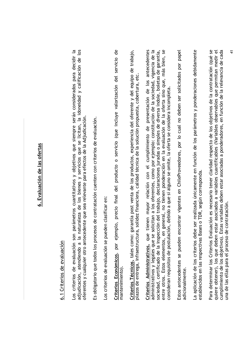# 6. Evaluación de las ofertas

# 6.1 Criterios de evaluación

os criterios de evaluación son parámetros cuantitativos y objetivos que siempre serán considerados para decidir la adjudicación, atendiendo a la naturaleza de los bienes y servicios que se licitan, la idoneidad y calificación de los oferentes y cualquier otro antecedente que sea relevante para efectos de la Adjudicación.

Es obligatorio que todos los procesos de contratación cuenten con criterios de evaluación.

Los criterios de evaluación se pueden clasificar en:

por ejemplo, precio final del producto o servicio (que incluye valorización del servicio de Criterios Económicos, mantenimiento). Criterios Técnicos, tales como: garantía post venta de los productos, experiencia del oferente y del equipo de trabajo, plazos de entrega, infraestructura, solidez financiera, calidad técnica de la solución propuesta, cobertura, etc.

entre otros. Estos elementos, en general, no tienen ponderación en la evaluación de la oferta sino que, más bien, se<br>consideran requisitos de postulación, debido a que si alguno se omite, la oferta se considera incompleta. administrativos y legales que se solicitan a los oferentes, como por ejemplo: constitución de la sociedad, vigencia de la Criterios Administrativos, que tienen mayor relación con el cumplimiento de presentación de los antecedentes sociedad, certificado de la inspección del trabajo, declaraciones juradas o simples de diversa índole, boletas de garantía,

Estos antecedentes se pueden encontrar vigentes en ChileProveedores, por lo cual no deben ser solicitados por papel adicionalmente. La aplicación de los criterios debe ser realizada únicamente en función de los parámetros y ponderaciones debidamente establecidos en las respectivas Bases o TDR, según corresponda. Para determinar los Criterios Evaluación es necesario tener claridad respecto de los objetivos de la contratación (qué se cumplimiento de los objetivos). Estas variables deben estar asociadas a ponderadores, en función de la relevancia de cada quiere obtener), los que deben estar asociados a variables cuantificables (Variables observables que permitan medir el una de las ellas para el proceso de contratación.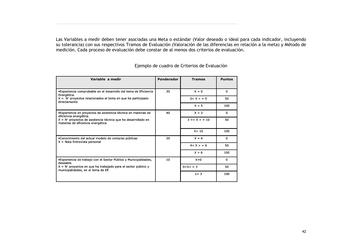Las Variables a medir deben tener asociadas una Meta o estándar (Valor deseado o ideal para cada indicador, incluyendo su tolerancia) con sus respectivos Tramos de Evaluación (Valoración de las diferencias en relación a la meta) y Método de medición. Cada proceso de evaluación debe constar de al menos dos criterios de evaluación.

| Variable a medir                                                                                     | Ponderador | <b>Tramos</b>    | <b>Puntos</b> |
|------------------------------------------------------------------------------------------------------|------------|------------------|---------------|
| •Experiencia comprobable en el desarrollo del tema de Eficiencia<br>Energética.                      | 30         | $X = 0$          | $\Omega$      |
| $X = No$ proyectos relacionados al tema en que ha participado<br>directamente                        |            | $0 < X > = 5$    | 50            |
|                                                                                                      |            | X > 5            | 100           |
| •Experiencia en proyectos de asistencia técnica en materias de<br>eficiencia energética.             | 40         | X < 3            | $\mathbf{0}$  |
| $X = No$ proyectos de asistencia técnica que ha desarrollado en<br>materias de eficiencia energética |            | $3 = < X > = 10$ | 50            |
|                                                                                                      |            | X > 10           | 100           |
| •Conocimiento del actual modelo de compras públicas<br>$X = Nota$ Entrevista personal                | 20         | $X = 4$          | $\mathbf{0}$  |
|                                                                                                      |            | 4 < X > 6        | 50            |
|                                                                                                      |            | X > 6            | 100           |
| •Experiencia de trabajo con el Sector Público y Municipalidades,<br>deseable.                        | 10         | $X=0$            | $\mathbf{0}$  |
| $X = No$ proyectos en que ha trabajado para el sector público y<br>municipalidades, en el tema de EE |            | $0 < X > = 3$    | 50            |
|                                                                                                      |            | x > 3            | 100           |

Ejemplo de cuadro de Criterios de Evaluación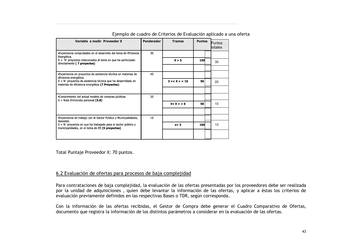| Variable a medir Proveedor X                                                                                                    | Ponderador | <b>Tramos</b>    | <b>Puntos</b> | <b>Puntos</b><br>totales |  |
|---------------------------------------------------------------------------------------------------------------------------------|------------|------------------|---------------|--------------------------|--|
| •Experiencia comprobable en el desarrollo del tema de Eficiencia<br>Energética.                                                 | 30         |                  |               |                          |  |
| $X = No$ proyectos relacionados al tema en que ha participado<br>directamente (7 proyectos)                                     |            | X > 5            | 100           | 30                       |  |
|                                                                                                                                 |            |                  |               |                          |  |
| •Experiencia en proyectos de asistencia técnica en materias de<br>eficiencia energética.                                        | 40         |                  |               |                          |  |
| $X = No$ proyectos de asistencia técnica que ha desarrollado en<br>materias de eficiencia energética (7 Proyectos)              |            | $3 = < X > = 10$ | 50            | 20                       |  |
|                                                                                                                                 |            |                  |               |                          |  |
| •Conocimiento del actual modelo de compras públicas<br>$X =$ Nota Entrevista personal (5.8)                                     | 20         |                  |               |                          |  |
|                                                                                                                                 |            | 4 < X > 56       | 50            | 10                       |  |
|                                                                                                                                 |            |                  |               |                          |  |
| •Experiencia de trabajo con el Sector Público y Municipalidades,                                                                | 10         |                  |               |                          |  |
| deseable.<br>$X = No$ proyectos en que ha trabajado para el sector público y<br>municipalidades, en el tema de EE (5 proyectos) |            | x > 3            | 100           | 10                       |  |
|                                                                                                                                 |            |                  |               |                          |  |

Ejemplo de cuadro de Criterios de Evaluación aplicado a una oferta

Total Puntaje Proveedor X: 70 puntos.

#### 6.2 Evaluación de ofertas para procesos de baja complejidad

Para contrataciones de baja complejidad, la evaluación de las ofertas presentadas por los proveedores debe ser realizada por la unidad de adquisiciones, quien debe levantar la información de las ofertas, y aplicar a éstas los criterios de evaluación previamente definidos en las respectivas Bases o TDR, según corresponda.

Con la información de las ofertas recibidas, el Gestor de Compra debe generar el Cuadro Comparativo de Ofertas, documento que registra la información de los distintos parámetros a considerar en la evaluación de las ofertas.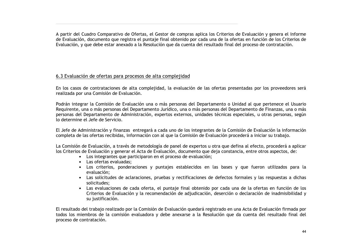A partir del Cuadro Comparativo de Ofertas, el Gestor de compras aplica los Criterios de Evaluación y genera el Informe de Evaluación, documento que registra el puntaje final obtenido por cada una de la ofertas en función de los Criterios de Evaluación, y que debe estar anexado a la Resolución que da cuenta del resultado final del proceso de contratación,

#### 6.3 Evaluación de ofertas para procesos de alta complejidad

En los casos de contrataciones de alta complejidad, la evaluación de las ofertas presentadas por los proveedores será realizada por una Comisión de Evaluación.

Podrán integrar la Comisión de Evaluación una o más personas del Departamento o Unidad al que pertenece el Usuario Requirente, una o más personas del Departamento Jurídico, una o más personas del Departamento de Finanzas, una o más personas del Departamento de Administración, expertos externos, unidades técnicas especiales, u otras personas, según lo determine el Jefe de Servicio.

El Jefe de Administración y finanzas entregará a cada uno de los integrantes de la Comisión de Evaluación la información completa de las ofertas recibidas, información con al que la Comisión de Evaluación procederá a iniciar su trabajo.

La Comisión de Evaluación, a través de metodología de panel de expertos u otra que defina al efecto, procederá a aplicar los Criterios de Evaluación y generar el Acta de Evaluación, documento que deja constancia, entre otros aspectos, de:

- Los integrantes que participaron en el proceso de evaluación;
- Las ofertas evaluadas:
- Los criterios, ponderaciones y puntajes establecidos en las bases y que fueron utilizados para la evaluación:
- Las solicitudes de aclaraciones, pruebas y rectificaciones de defectos formales y las respuestas a dichas solicitudes:
- · Las evaluaciones de cada oferta, el puntaje final obtenido por cada una de la ofertas en función de los Criterios de Evaluación y la recomendación de adjudicación, deserción o declaración de inadmisibilidad y su justificación.

El resultado del trabajo realizado por la Comisión de Evaluación quedará registrado en una Acta de Evaluación firmada por todos los miembros de la comisión evaluadora y debe anexarse a la Resolución que da cuenta del resultado final del proceso de contratación.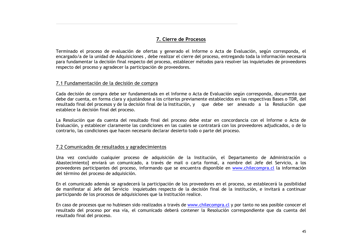#### 7. Cierre de Procesos

Terminado el proceso de evaluación de ofertas y generado el Informe o Acta de Evaluación, según corresponda, el encargado/a de la unidad de Adquisiciones, debe realizar el cierre del proceso, entregando toda la información necesaria para fundamentar la decisión final respecto del proceso, establecer métodos para resolver las inquietudes de proveedores respecto del proceso y agradecer la participación de proveedores.

#### 7.1 Fundamentación de la decisión de compra

Cada decisión de compra debe ser fundamentada en el Informe o Acta de Evaluación según corresponda, documento que debe dar cuenta, en forma clara y ajustándose a los criterios previamente establecidos en las respectivas Bases o TDR, del resultado final del procesos y de la decisión final de la Institución, y que debe ser anexado a la Resolución que establece la decisión final del proceso.

La Resolución que da cuenta del resultado final del proceso debe estar en concordancia con el Informe o Acta de Evaluación, y establecer claramente las condiciones en las cuales se contratará con los proveedores adjudicados, o de lo contrario, las condiciones que hacen necesario declarar desierto todo o parte del proceso.

#### 7.2 Comunicados de resultados y agradecimientos

Una vez concluido cualquier proceso de adquisición de la Institución, el Departamento de Administración o Abastecimiento] enviará un comunicado, a través de mail o carta formal, a nombre del Jefe del Servicio, a los proveedores participantes del proceso, informando que se encuentra disponible en www.chilecompra.cl la información del término del proceso de adquisición.

En el comunicado además se agradecerá la participación de los proveedores en el proceso, se establecerá la posibilidad de manifestar al Jefe del Servicio inquietudes respecto de la decisión final de la institución, e invitará a continuar participando de los procesos de adquisiciones que la Institución realice.

En caso de procesos que no hubiesen sido realizados a través de www.chilecompra.cl y por tanto no sea posible conocer el resultado del proceso por esa vía, el comunicado deberá contener la Resolución correspondiente que da cuenta del resultado final del proceso.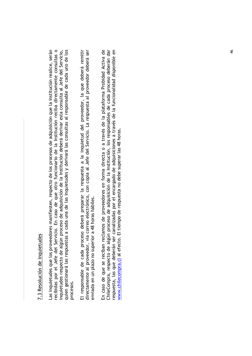# 7.3 Resolución de inquietudes

as inquietudes que los proveedores manifiesten, respecto de los procesos de adquisición que la Institución realice, serán recibidas por el Jefe del Servicio. En caso de que otro funcionario de la Institución reciba directamente consultas o quien gestionará las respuestas a cada una de las inquietudes y derivará las consultas al responsable de cada uno de los inquietudes respecto de algún proceso de adquisición de la Institución deberá derivar esta consulta al Jefe del Servicio, procesos. El responsable de cada proceso deberá preparar la respuesta a la inquietud del proveedor, la que deberá remitir directamente al proveedor, vía correo electrónico, con copia al Jefe del Servicio. La respuesta al proveedor deberá ser enviada en un plazo no superior a 48 horas hábiles. En caso de que se reciban reclamos de proveedores en forma directa o a través de la plataforma Probidad Activa de ChileCompra, respecto de algún proceso de adquisición de la Institución, los responsables de cada proceso deberán dar respuesta, las que deberán ser canalizadas por el encargado de adquisiciones a través de la funcionalidad disponible en www.chilecompra.cl al efecto. El tiempo de respuesta no debe superar las 48 horas.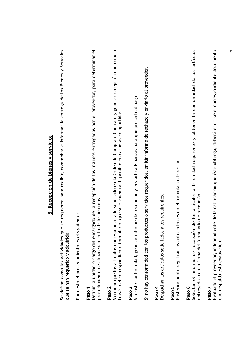| 8. Recepción de bienes y servicios                                                                                                                                                                                                |
|-----------------------------------------------------------------------------------------------------------------------------------------------------------------------------------------------------------------------------------|
| que se requieren para recibir, comprobar e informar la entrega de los Bienes y Servicios<br>de se han requeridatiridu<br>Se define como las actividades                                                                           |
| siguiente:<br>Para esto el procedimiento es el                                                                                                                                                                                    |
| Definir la unidad o cargo del encargado de la recepción de los insumos entregados por el proveedor, para determinar el<br>procedimiento de almacenamiento de los insumos<br>Paso <sub>1</sub>                                     |
| Verificar que los artículos corresponden a lo solicitado en la Orden de Compra o Contrato y generar recepción conforme a<br>través del correspondiente formulario, que se encuentra disponible en carpetas compartidas.<br>Paso 2 |
| Si existe conformidad, generar informe de recepción y enviarlo a Finanzas para que proceda al pago.<br>Paso 3                                                                                                                     |
| Si no hay conformidad con los productos o servicios requeridos, emitir informe de rechazo y enviarlo al proveedor.                                                                                                                |
| Despachar los artículos solicitados a los requirentes.<br>Paso 4                                                                                                                                                                  |
| Posteriormente registrar los antecedentes en el formulario de recibo.<br>Paso 5                                                                                                                                                   |
| a la unidad requirente y obtener la conformidad de los artículos<br>Solicitar el informe de recepción de los artículos<br>entregados con la firma del formulario de recepción.<br>Paso 6                                          |
| Evaluado el proveedor, independiente de la calificación que éste obtenga, deberá emitirse el correspondiente documento<br>que respalda esta evaluación.<br>Paso 7                                                                 |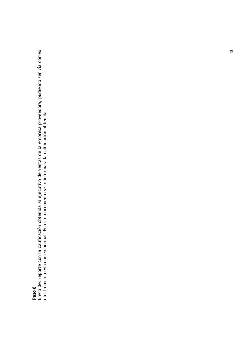**Paso 8**<br>Envío del reporte con la calificación obtenida al ejecutivo de ventas de la empresa proveedora, pudiendo ser vía correo<br>electrónico, o vía correo normal. En este documento se le informará la calificación obtenida.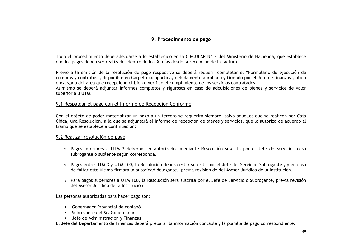#### 9. Procedimiento de pago

Todo el procedimiento debe adecuarse a lo establecido en la CIRCULAR N° 3 del Ministerio de Hacienda, que establece que los pagos deben ser realizados dentro de los 30 días desde la recepción de la factura.

Previo a la emisión de la resolución de pago respectivo se deberá reguerir completar el "Formulario de ejecución de compras y contratos", disponible en Carpeta compartida, debidamente aprobado y firmado por el Jefe de finanzas, nto o encargado del área que recepcionó el bien o verificó el cumplimiento de los servicios contratados.

Asimismo se deberá adjuntar informes completos y rigurosos en caso de adquisiciones de bienes y servicios de valor superior a 3 UTM.

#### 9.1 Respaldar el pago con el Informe de Recepción Conforme

Con el objeto de poder materializar un pago a un tercero se requerirá siempre, salvo aquellos que se realicen por Caja Chica, una Resolución, a la que se adjuntará el Informe de recepción de bienes y servicios, que lo autoriza de acuerdo al tramo que se establece a continuación:

#### 9.2 Realizar resolución de pago

- o Pagos inferiores a UTM 3 deberán ser autorizados mediante Resolución suscrita por el Jefe de Servicio o su subrogante o suplente según corresponda.
- Pagos entre UTM 3 y UTM 100, la Resolución deberá estar suscrita por el Jefe del Servicio, Subrogante, y en caso de faltar este último firmará la autoridad delegante, previa revisión de del Asesor Jurídico de la Institución.
- o Para pagos superiores a UTM 100, la Resolución será suscrita por el Jefe de Servicio o Subrogante, previa revisión del Asesor Jurídico de la Institución.

Las personas autorizadas para hacer pago son:

- Gobernador Provincial de copiapó
- · Subrogante del Sr. Gobernador
- Jefe de Administración y Finanzas

El Jefe del Departamento de Finanzas deberá preparar la información contable y la planilla de pago correspondiente.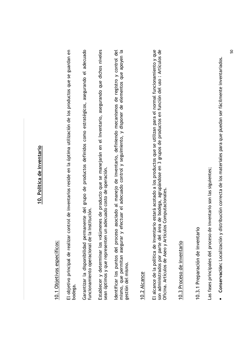# 10. Política de inventario

# 10.1 Objetivos específicos:

El objetivo principal de realizar control de inventarios reside en la óptima utilización de los productos que se guardan en bodega.

Garantizar la disponibilidad permanente del grupo de productos definidos como estratégicos, asegurando el adecuado funcionamiento operacional de la Institución. Establecer y determinar los volúmenes de producto que se manejarán en el Inventario, asegurando que dichos niveles sean óptimos y que representen un adecuado costo de operación.

mismo, que permitan asegurar y efectuar el adecuado control y seguimiento, y disponer de elementos que apoyen la dentificar los puntos del proceso asociado al manejo de inventario, definiendo mecanismos de registro y control del gestión del mismo.

## 10.2 Alcance

son administrados por parte del área de bodega, agrupándose en 3 grupos de productos en función del uso : Artículos de El alcance de la política de inventario estará acotado a los productos que se utilizan para el normal funcionamiento y que Oficina. Artículos de Aseo y Artículos Computacionales.

## 10.3 Proceso de inventario

# 10.3.1 Preparación de inventario

Las fases principales del proceso de inventario son las siguientes;

· Conservación: Localización y distribución correcta de los materiales para que puedan ser fácilmente inventariados.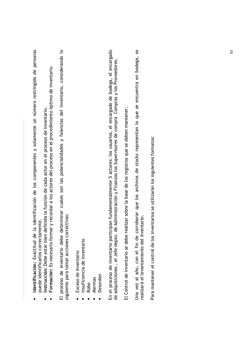- Identificación: Exactitud de la identificación de los componentes y solamente un número restringido de personas puede identificarlos correctamente.
	- Instrucción: Debe estar bien definida la función de cada actor en el proceso de inventario.
- Formación: Es necesario formar y recordar a los actores del proceso en el procedimiento óptimo de inventario.  $\bullet$

El proceso de inventario debe determinar cuales son las potencialidades y falencias del inventario, considerando lo siguiente para tomar acciones correctivas:

- Exceso de Inventario
- Insuficiencia de inventario
	- Robo
- Mermas
- Desorden

En el proceso de inventario participan fundamentalmente 5 actores: los usuarios, el encargado de bodega, el encargado<br>de adquisiciones , el Jefe depto. de Administración y Finanzas los Supervisores de compra Compras y los

El Control de Inventario se debe realizar sobre la base de los registros que se deben mantener.

Una vez al año, con el fin de corroborar que los archivos de stocks representan lo que se encuentra en bodega, se<br>realizará el levantamiento del inventario.

Para mantener el control de los inventarios se utilizarán los siguientes formatos: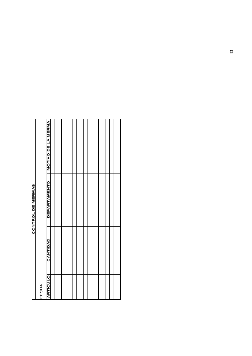|                          |        | <b>WASH AN ALCW</b> |  |  |  |  |  |  |  |  |  |
|--------------------------|--------|---------------------|--|--|--|--|--|--|--|--|--|
| <b>CONTROL DE MERMAS</b> |        | <b>DEPARTAMENTO</b> |  |  |  |  |  |  |  |  |  |
|                          |        | <b>GANTIDAD</b>     |  |  |  |  |  |  |  |  |  |
|                          | FECHA: | <b>ARTICULO</b>     |  |  |  |  |  |  |  |  |  |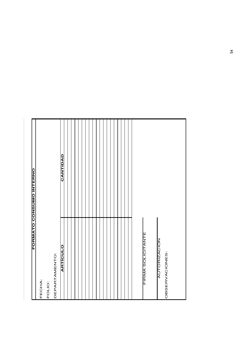| <b>ARTÍCULO</b><br>DEPARTAMENTO:<br>FECHA:<br>FOLIO:              | <b>CANTIDAD</b><br><b>FORMATO CONSUMO INTERNO</b> |
|-------------------------------------------------------------------|---------------------------------------------------|
|                                                                   |                                                   |
|                                                                   |                                                   |
|                                                                   |                                                   |
|                                                                   |                                                   |
| <b>FIRMA SOLICITANTE</b><br><b>AUTORIZACIÓN</b><br>OBSERVACIONES: |                                                   |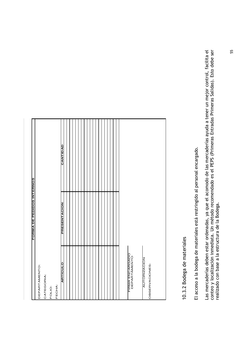|                                 | <b>FORMA DE PEDIDOS INTERNOS</b> |                 |
|---------------------------------|----------------------------------|-----------------|
| <b>DEPARTAMENTO:</b>            |                                  |                 |
| <b>ATEGORIA:</b>                |                                  |                 |
| <b>OLIO:</b>                    |                                  |                 |
| ECHA:                           |                                  |                 |
| <b>ARTICULO</b>                 | <b>NOIOVINES</b>                 | <b>CANTIDAD</b> |
|                                 |                                  |                 |
|                                 |                                  |                 |
|                                 |                                  |                 |
|                                 |                                  |                 |
|                                 |                                  |                 |
|                                 |                                  |                 |
|                                 |                                  |                 |
|                                 |                                  |                 |
|                                 |                                  |                 |
|                                 |                                  |                 |
|                                 |                                  |                 |
|                                 |                                  |                 |
|                                 |                                  |                 |
|                                 |                                  |                 |
|                                 |                                  |                 |
| FIRMA ENCARGADO<br>DEPARTAMENTO |                                  |                 |
| <b>AUTORIZACION</b>             |                                  |                 |
| <b>DBSERVACIONES:</b>           |                                  |                 |
|                                 |                                  |                 |
|                                 |                                  |                 |

10.3.2 Bodega de materiales

El acceso a la bodega de materiales está restringido al personal encargado.

Las mercaderías deben estar ordenadas, ya que el acomodo de las mercaderías ayuda a tener un mejor control, facilita el<br>conteo y localización inmediata. Un método recomendado es el PEPS (Primeras Entradas Primeras Salidas)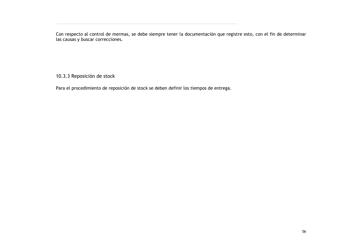Con respecto al control de mermas, se debe siempre tener la documentación que registre esto, con el fin de determinar<br>las causas y buscar correcciones.

10.3.3 Reposición de stock

Para el procedimiento de reposición de stock se deben definir los tiempos de entrega.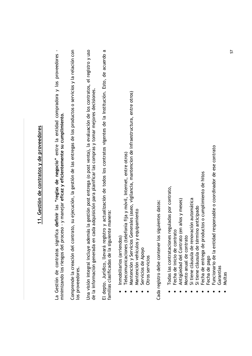# 11. Gestión de contratos y de proveedores

La Gestión de contratos significa **definir** las **"reglas de negocio"** entre la entidad compradora y los proveedores<br>minimizando los riesgos del proceso - y manejar **eficaz y eficientemente su cumplimiento**.

Comprende la creación del contrato, su ejecución, la gestión de las entregas de los productos o servicios y la relación con los proveedores. Una visión integral incluye además la gestión post entrega (o post venta), la evaluación de los contratos, el registro y uso de la información generada en cada adquisición para planificar las compras y tomar mejores decisiones. El depto. Jurídico, llevará registro y actualización de todos los contratos vigentes de la Institución. Esto, de acuerdo a familias clasificadas de la siguiente manera:

- Inmobiliarios (arriendos)
- Telecomunicaciones (telefonía fija y móvil, Internet, entre otros)
- Mantención y Servicios Generales (aseo, vigilancia, mantencion de infraestructura, entre otros)
	- Mantención vehículos y equipamiento
		- Servicios de Apoyo
			- Otros servicios

Cada registro debe contener los siguientes datos:

- Todas las contrataciones reguladas por contrato,
- Fecha de inicio de contrato
- Antigüedad del Contrato (en años y meses)
- Monto anual de contrato
- Si tiene cláusula de renovación automática
	- Si tiene cláusula de término anticipado
- Fecha de entrega de productos o cumplimiento de hitos
	- Fecha de pago
- Funcionario de la entidad responsable o coordinador de ese contrato
	- Garantias
		- Multas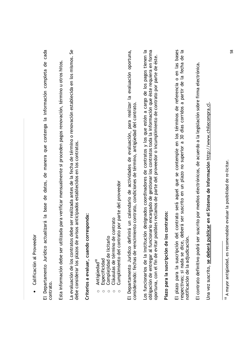| ఀ |
|---|
|   |
|   |
|   |
|   |
|   |
| ŗ |
|   |
|   |
|   |
|   |
|   |
| t |
|   |
|   |
|   |
| ١ |

El Departamento Jurídico actualizará la base de datos, de manera que contenga la información completa de cada contrato.

Esta información debe ser utilizada para verificar mensualmente si proceden pagos renovación, término u otros hitos.

La evaluación de los contratos debe ser realizada antes de la fecha de término o renovación establecida en los mismos. Se debe considerar los plazos de avisos anticipados establecidos en los contratos.

# Criterios a evaluar, cuando corresponda:

- Antigüedad<sup>18</sup>  $\circ$ 
	- Especificidad  $\circ$
- Complejidad de licitarlo  $\circ$
- Cláusulas de término de contrato  $\circ$
- Cumplimiento del contrato por parte del proveedor  $\circ$

El Departamento Jurídico definirá un calendario de actividades de evaluación, para realizar la evaluación oportuna, considerando: fechas de vencimiento contrato, condiciones de término, antigüedad del contrato. Los funcionarios de la institución designados coordinadores de contratos y los que estén a cargo de los pagos tienen la obligación de entregar al funcionario encargado de gestionar los contratos toda la información que éste requiera en forma oportuna, con el fin de evitar posibles reclamos de parte del proveedor o incumplimiento de contrato por parte de éste.

# Plazo para la suscripción de los contratos:

El plazo para la suscripción del contrato será aquel que se contemple en los términos de referencia o en las bases<br>respectivas; si nada se dice, deberá ser suscrito en un plazo no superior a 30 días corridos a partir de la notificación de la adjudicación.

El contrato definitivo podrá ser suscrito por medios electrónicos, de acuerdo a la legislación sobre firma electrónica.

Una vez suscrito, se deberá publicar en el Sistema de Información http://www.chilecompra.cl.

<sup>&</sup>lt;sup>18</sup> A mayor antigüedad, es recomendable evaluar la posibilidad de re-licitar.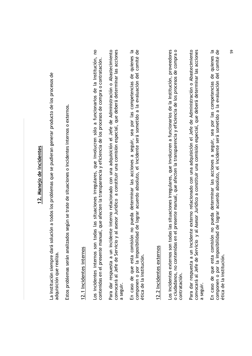# 12. Manejo de incidentes

La Institución siempre dará solución a todos los problemas que se pudieran generar producto de los procesos de adquisición que realiza.

Estos problemas serán analizados según se trate de situaciones o incidentes internos o externos.

## 12.1 Incidentes internos

Los incidentes internos son todas las situaciones irregulares, que involucren sólo a funcionarios de la Institución, no contenidas en el presente manual, que afecten la transparencia y eficiencia de los procesos de compra o contratación. Para dar respuesta a un incidente interno relacionado con una adquisición el Jefe de Administración o Abastecimiento convocará al Jefe de Servicio y al asesor Jurídico a constituir una comisión especial, que deberá determinar las acciones a seguir. En caso de que esta comisión no pueda determinar las acciones a seguir, sea por las competencias de quienes la componen o por la imposibilidad de lograr acuerdo absoluto, el incidente será sometido a la evaluación del comité de ética de la institución.

## 12.2 Incidentes externos

Los incidentes externos son todas las situaciones irregulares, que involucren a funcionarios de la Institución, proveedores o ciudadanos, no contenidas en el presente manual, que afecten la transparencia y eficiencia de los procesos de compra o contratación. Para dar respuesta a un incidente externo relacionado con una adquisición el Jefe de Administración o Abastecimiento convocará al Jefe de Servicio y al Asesor Jurídico a constituir una comisión especial, que deberá determinar las acciones a seguir.

 $\overline{a}$ componen o por la imposibilidad de lograr acuerdo absoluto, el incidente será sometido a la evaluación del comité de En caso de que esta comisión no pueda determinar las acciones a seguir, sea por las competencias de quienes ética de la institución.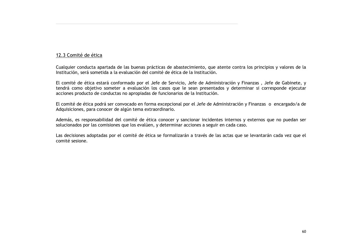#### 12.3 Comité de ética

Cualquier conducta apartada de las buenas prácticas de abastecimiento, que atente contra los principios y valores de la Institución, será sometida a la evaluación del comité de ética de la Institución.

El comité de ética estará conformado por el Jefe de Servicio, Jefe de Administración y Finanzas, Jefe de Gabinete, y tendrá como objetivo someter a evaluación los casos que le sean presentados y determinar si corresponde ejecutar acciones producto de conductas no apropiadas de funcionarios de la Institución.

El comité de ética podrá ser convocado en forma excepcional por el Jefe de Administración y Finanzas o encargado/a de Adquisiciones, para conocer de algún tema extraordinario.

Además, es responsabilidad del comité de ética conocer y sancionar incidentes internos y externos que no puedan ser solucionados por las comisiones que los evalúen, y determinar acciones a seguir en cada caso.

Las decisiones adoptadas por el comité de ética se formalizarán a través de las actas que se levantarán cada vez que el comité sesione.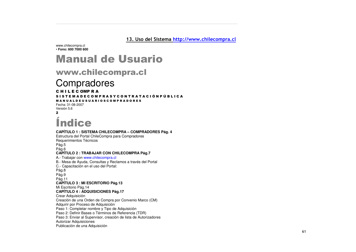<u>13. Uso del Sistema http://www.chilecompra.cl</u>

www.chilecompra.cl • **Fono: 600 7000 600**

#### Manual de Usuario

#### www.chilecompra.cl

#### **Compradores**

#### C H I L E C OMP R A

#### S I S T E M A D E C O M P R A S Y C O N T R A T A C I Ó N P Ú B L I C A

#### M A N U A L D E U S U A R I O S C O M P R A D O R E S

Fecha: 31-08-2007Versión 5.6 %

#### *<u>Índice</u>*

#### **CAPÍTULO 1 : SISTEMA CHILECOMPRA – COMPRADORES Pág. 4** Estructura del Portal ChileCompra para Compradores Requerimientos Técnicos Pág.5 Pág.6 **CAPÍTULO 2 : TRABAJAR CON CHILECOMPRA Pág.7** A.- Trabajar con www.chilecompra.cl B.- Mesa de Ayuda, Consultas y Reclamos <sup>a</sup> través del Portal C.- Capacitación en el uso del Portal: Pág.8 Pág.9 Pág.11 **CAPÍTULO 3 : MI ESCRITORIO Pág.13** Mi Escritorio Pág.14 **CAPÍTULO 4 : ADQUISICIONES Pág.17** Crear Adquisición Creación de una Orden de Compra por Convenio Marco (CM) Adquirir por Proceso de Adquisición Paso 1: Completar nombre y Tipo de Adquisición Paso 2: Definir Bases <sup>o</sup> Términos de Referencia (TDR) Paso 3: Enviar al Supervisor, creación de lista de Autorizadores Autorizar Adquisiciones Publicación de una Adquisición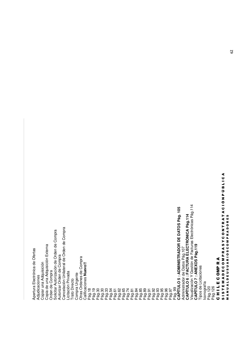ە<br>ت Gestión de Facturas Electrónicas Pág.114 **Pág. 105** ⋖ **Pág.114** Н. MPRADORES ⋖ ĸ <u>ທ</u> **D AT O** Н. Cancelación Unilateral de Orden de Compra Cancelación Unilateral de Orden de Compra Solicitar Autorización de Orden de Compra **ELE CTRÓNIC A**z Solicitar Autorización de Orden de Compra 0 ပ **D E** ≻ Copia de una Adquisición Externa **R** Copia de una Adquisición Externa **Pág.119** n o **DMINISTRADO** Administrador de Datos Pág.107 Apertura Electrónica de Ofertas ⋖ 0<br>0<br>0<br>2 Apertura Electrónica de Ofertas ĸ Autorizar Orden de Compra Autorizar Orden de Compra Δ. Otras Ordenes de Compra Otras Ordenes de Compra **CTURA**⋖ Σ A R <u>ທ</u> Copiar una Adquisición Calificaciones **Nuevo!! N E X O** ĸ Copiar una Adquisición 0 ALDEUSU Tipos de Licitaciones <u>≏</u> ပ Calificaciones **Nuev** Orden de Compra Σ Licitación Privada **ULO 6 : FA** ш Orden de Compra Licitación Privada Compra Urgente **ULO 5 : A ULO 7 : A** Compra Urgente 0 Adjudicaciones ٥ Visualización Y Adjudicaciones **Trato Directo** ⋖ ပ Trato Directo lconografía<br>Pág.120 Σ Iconografía ш ≤<br>⊃ Pág.126 ш コニエ Pág. 99 **C A PÍT** Pág.18 Pág.19 Pág.30 Pág.30 Pág.33 Pág.54 Pág.61 Pág.62 Pág.65 Pág.74 Pág.81 Pág.84 Pág.85 Pág.89 Pág.91 Pág.92 Pág.93 Pág.95 Pág.96 Pág.97 н. **CAPÍT C A PÍT** Z<br>2<br>2 თ<br>5<br>თ ပ

z <u>ρ.</u> 9

ن<br>1 ـا 1 ⋖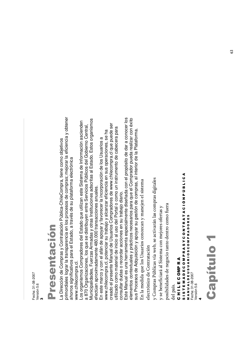Fecha: 31-08-2007 Fecha: 31-08-2007 Versión 5.6 Versión 5.6 **M** 

### Pres **enta** noio

primordiales lograr la transparencia en los procesos de compras; mejorar la eficiencia y obtener primordiales lograr la transparencia en los procesos de compras; mejorar la eficiencia y obtener -a Dirección de Compras y Contratación Pública-ChileCompra, tiene como objetivos La Dirección de Compras y Contratación Pública-ChileCompra, tiene como objetivos ahorros significativos para el Estado, a través de su plataforma electrónica ahorros significativos para el Estado, a través de su plataforma electrónica www.chilecompra.cl. www.chilecompra.cl.

Municipalidades, Fuerzas Armadas y otras Instituciones adscritas al Estado. Estos organismos Municipalidades, Fuerzas Armadas y otras Instituciones adscritas al Estado. Estos organismos Los organismos Compradores del Estado que utilizan este Sistema de Información ascienden Los organismos Compradores del Estado que utilizan este Sistema de Información ascienden a 870 Organizaciones, los que se distribuyen entre Servicios Públicos del Gobierno Central, 870 Organizaciones, los que se distribuyen entre Servicios Públicos del Gobierno Central, efectúan aproximadamente 480.000 transacciones anuales. efectúan aproximadamente 480.000 transacciones anuales.

creado el presente Manual de Usuarios Compradores de www.chilecompra.cl que puede ser creado el presente Manual de Usuarios Compradores de www.chilecompra.cl que puede ser utilizado como material de inicio al uso del Portal o como un instrumento de cabecera para utilizado como material de inicio al uso del Portal o como un instrumento de cabecera para www.chilecompra.cl, potenciar su trabajo y alcanzar eficiencia en sus operaciones, se ha www.chilecompra.cl, potenciar su trabajo y alcanzar eficiencia en sus operaciones, se ha En este marco y con el afán de apoyar y favorecer la incorporación de los Usuarios a En este marco y con el afán de apoyar y favorecer la incorporación de los Usuarios a consultar dudas o recordar acciones en su trabajo diario. consultar dudas o recordar acciones en su trabajo diario.

Este Manual es una herramienta especialmente diseñada con el propósito de dar a conocer los elementos contextuales y prácticos necesarios para que el Comprador pueda realizar con éxito Este Manual es una herramienta especialmente diseñada con el propósito de dar a conocer los elementos contextuales y prácticos necesarios para que el Comprador pueda realizar con éxito sus Procesos de Adquisición y apoyar su gestión de compras, al interior de la Plataforma. sus Procesos de Adquisición y apoyar su gestión de compras, al interior de la Plataforma. n el sistema

 $\rm _{m}$ n la medida q ue los Usuarios con 0ZCa11  $\mathtt{n}$  y ma $\mathtt{n}$ ejen

electrónico de Contratación ico de Con tratación y Compras Públicas vía web, se activarán las compras digitales y Compras Públicas vía web, se activarán n las compras digitales

y se ben eficiará al Sistema con n mejores ofertas y posibilidades de n egocio tan to den tro como fuera

del país.

## CHILECOMPRA C H I L E C OMP R A

## SISTEMADECOMPRASYCONTRATACIÓNPÚBLICA S I S T E M A D E C O M P R A S Y C O N T R A T A C I O N P U B L I C A<br>S I S T E M A D E C O M P R A T R A T A C I O N P U B L I C A MANUALDEUSUARIOSCOMPRADORES M A N U A L D E U S U A R I O S C O M P R A D O R E S

Fecha: 31-08-2007<br>Versión 5.6 Fecha: 31-08-2007 Versión 5.6 \*

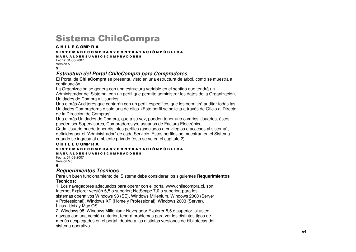#### Sistema ChileCompra

#### C H I L E C OMP R A

#### S I S T E M A D E C O M P R A S Y C O N T R A T A C I Ó N P Ú B L I C A

M A N U A L D E U S U A R I O S C O M P R A D O R E S

Fecha: 31-08-2007Versión 5.6

#### $\overline{a}$

#### *Estructura del Portal ChileCompra para Compradores*

El Portal de **ChileCompra** se presenta, visto en una estructura de árbol, como se muestra <sup>a</sup> continuación:

La Organización se genera con una estructura variable en el sentido que tendrá un

Administrador del Sistema, con un perfil que permite administrar los datos de la Organización, Unidades de Compra y Usuarios.

Uno <sup>o</sup> más Auditores que contarán con un perfil específico, que les permitirá auditar todas las Unidades Compradoras <sup>o</sup> solo una de ellas. (Este perfil se solicita <sup>a</sup> través de Oficio al Director de la Dirección de Compras).

Una <sup>o</sup> más Unidades de Compra, que <sup>a</sup> su vez, pueden tener uno <sup>o</sup> varios Usuarios, éstos pueden ser Supervisores, Compradores y/o usuarios de Factura Electrónica.

Cada Usuario puede tener distintos perfiles (asociados <sup>a</sup> privilegios <sup>o</sup> accesos al sistema), definidos por el "Administrador" de cada Servicio. Estos perfiles se muestran en el Sistema cuando se ingresa al ambiente privado (esto se ve en el capítulo 2).

#### C H I L E C OMP R A

#### S I S T E M A D E C O M P R A S Y C O N T R A T A C I Ó N P Ú B L I C A

M A N U A L D E U S U A R I O S C O M P R A D O R E S Fecha: 31-08-2007Versión 5.6 .

#### *Requerimientos Técnicos*

Para un buen funcionamiento del Sistema debe considerar los siguientes **Requerimientos Técnicos:**

1. Los navegadores adecuados para operar con el portal www.chilecompra.cl, son; Internet Explorer versión 5,5 <sup>o</sup> superior; NetScape 7,0 <sup>o</sup> superior, para los sistemas operativos Windows 98 (SE), Windows Millenium, Windows 2000 (Server y Professional), Windows XP (Home y Professional), Windows 2003 (Server), Linux, Unix y Mac OS.

2. Windows 98, Windows Millenium: Navegador Explorer 5,5 <sup>o</sup> superior, si usted navega con una versión anterior, tendrá problemas para ver los distintos tipos de menús desplegados en el portal, debido <sup>a</sup> las distintas versiones de bibliotecas del sistema operativo.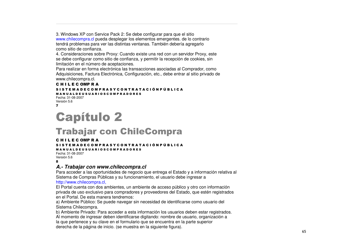3. Windows XP con Service Pack 2: Se debe configurar para que el sitio www.chilecompra.cl pueda desplegar los elementos emergentes. de lo contrario tendrá problemas para ver las distintas ventanas. También debería agregarlo como sitio de confianza.

4. Consideraciones sobre Proxy: Cuando existe una red con un servidor Proxy, este se debe configurar como sitio de confianza, y permitir la recepción de cookies, sin limitación en el número de aceptaciones.

Para realizar en forma electrónica las transacciones asociadas al Comprador, como Adquisiciones, Factura Electrónica, Configuración, etc., debe entrar al sitio privado de www.chilecompra.cl.

#### C H I L E C OMP R A

S I S T E M A D E C O M P R A S Y C O N T R A T A C I Ó N P Ú B L I C A M A N U A L D E U S U A R I O S C O M P R A D O R E S Fecha: 31-08-2007

```
Versión 5.6
/
```
#### **Capítulo 2**

#### Trabajar con ChileCompra

#### C H I L E C OMP R A

S I S T E M A D E C O M P R A S Y C O N T R A T A C I Ó N P Ú B L I C A

M A N U A L D E U S U A R I O S C O M P R A D O R E S

Fecha: 31-08-2007Versión 5.6 8

#### *A.- Trabajar con www.chilecompra.cl*

Para acceder <sup>a</sup> las oportunidades de negocio que entrega el Estado y <sup>a</sup> información relativa al Sistema de Compras Públicas y su funcionamiento, el usuario debe ingresar <sup>a</sup>

#### http://www.chilecompra.cl,

El Portal cuenta con dos ambientes, un ambiente de acceso público y otro con información privada de uso exclusivo para compradores y proveedores del Estado, que estén registrados en el Portal. De esta manera tendremos:

a) Ambiente Público: Se puede navegar sin necesidad de identificarse como usuario del Sistema Chilecompra.

b) Ambiente Privado: Para acceder <sup>a</sup> esta información los usuarios deben estar registrados. Al momento de ingresar deben identificarse digitando: nombre de usuario, organización <sup>a</sup> la que pertenece y su clave en el formulario que se encuentra en la parte superior derecha de la página de inicio. (se muestra en la siguiente figura).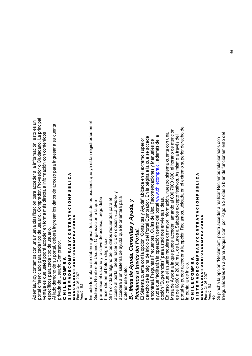Ad e m ás, ho y c onta m o<br>80 on una nue v a clasific a ción p ara a c c e d er a la inform a ción, esto es un  $\mathbf o$ ortal diferencia ੪ p ara c a d a tip o ಕಿ usuario. C o mprador, Proveedor o Ciud a d ano. L a princip al ventaja es que uste ত p o drá a c c e d er en form a Ξ ás dire cta a inform a ción c ں<br>ခ ontenid os esp e cífic os p ara c a d a tip o ಕಿ usuario.

Al la d o d ere o<br>co d e su p ortal, d e b erá ingresar los d atos d e a c c eso  $\Omega$ ara ingresar a su cuenta priv a d a d e Usuario  $\circ$ o m pra d or.

#### ပ コニエ ш ပ 0 Σ <u>≏</u> ĸ ⋖

#### თ<br>5<br>თ н. ш Σ ⋖ o ш ပ 0 Σ Δ. ĸ ⋖ n ≻ ပ 0 z н. ĸ ⋖ н. ⋖ ە<br>ت z Δ. 9 ن<br>1 ـا 1 ⋖ z<br>≼<br>∑ ≤<br>⊃ ALDEUSU ⋖ œ **DO 12** 0 MPRADORES Fecha: 31-08-2007

Versión 5.6

#### ග

En este formulario se d e b en ingresar los d atos d e los usuarios que y a están re gistra d os en el

Siste Ë a: N o m bre ಕಿ Usuario, Org aniza ción a la g<br>a d e b e

pertene c e el usuario y la cla v e d e a c c eso, lue g o

hacer clic en el b otón <Ingrese  $\dot{\mathsf{\land}}$ 

Si ha olvid a d o alguno d e los d atos re querid os p ದ<br>ಹ  $\overline{\Phi}$ ortal, d e b e ha c er clic

ac c eso al p en o p ción < L a olvid é >  $\mathord{\geqslant}$ ac c e d erá ಹ un siste ξ a d e a yud a que le orientará p ara

btener ese d ato.

o

#### *B.- Me s a de A yu da, C o n s ulta s y A yu da, y Re cla m o s a tra vé s del Po rtal.*

El Siste ξ a cuenta c on la o p ción "C onsultas y A yud a" ubic a d a en el e xtre Ξ o sup erior dere م<br>5 d e la p á gina d e Inicio n<br>B ortal C o m pra d or. En la p á gina a la que se a c c e d e enc ontrará ድ<br>አ guntas Fre cuentes, Guías d  $\bf{e}$ Uso, R e c o m end a ciones y ⋝ anuales d  $\bf{e}$ ayud a que fa cilitarán la o p era ción d entro d el p ortal w w w.chilecom pra.cl, a d e m ás d e la op ción "Sug erencias" p ara uste d nos envíe sus id e as.

En c aso g<br>a el usuario re quiera d e ma y or inform a ción, nuestro siste ma cuenta  $\mathbf{\mathsf{c}}$ on una ⋝ esa d e A yud a a la g<br>B pue d e acceder llam and o al 6 0 0 7 0 0 0 6 0 0, el horario ಕಿ atención es d e 0 8:0 0 a 2 0:0 0 hrs., d e Lunes a <u>(</u> á b a d os e x c e pto festiv os. Asimism o a tra v és d el portal se pue d e a c c e d er a la o p ción R e cla m os, ubic a d a en el e xtre έ o sup erior d e<br>er o<br>5 d e <u>.ದ</u> p antalla d e inicio.

#### ပ コニエ ш ပ 0 Σ உ ĸ ⋖

#### ⋖ ن<br>1 ـ ا 9 Δ. z ა<br>ნ ⋖ ► MPRADORES ⋖ ĸ ► z 0 ပ ≻ n 0 ⋖ 0<br>0<br>0<br>1 ĸ Δ. Σ œ ⋖ 0 ALDEUSU ပ ш Fecha: 31-08-2007 Fecha: 31-08-2007 Ω ⋖ Σ ⋖ ш ∍ ► z ဖ<br>5<br>၈ ∡<br>≥

/ersión 5.6 Versión 5.6

<u>ុ</u>

Si pincha la o p ción "R e cla m os", p o drá a c c e d er a re alizar Reclam os rela ciona d os c ទ Irre gularid a d es en alguna A ত quisición, p or P a g o a 3 0 días o bien d e funciona miento d el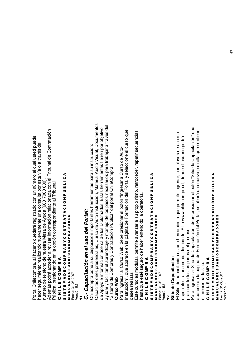ם ortal Chile c o m pra, al ha c erlo que d ará re gistra d o  $\mathbf{\mathsf{c}}$ on un núm ero al cual uste ত pue d e ha c er se guimiento re alizand o nue v a mente una c onsulta p or esta vía o a tra v és d el núm o<br>To d e teléfono d e nuestra ⋝ esa d e A yud a (6 0 0 7 0 0 0 6 0 0). Ad e m ás p o drá a c c e d er a re visar inform a ción rela ciona d a  $\mathbf{\mathsf{c}}$ on el Tribunal d  $\bf{e}$  $\circ$ ontrata s<br>ö

Públic a, presionand o en la o p ción c orresp ondiente al Tribunal.

#### ပ コニエ ш ပ 0 을<br>둘 ĸ ⋖

#### ⋖ ن<br>1 ـ ا ـ ا 9 Δ. z ە<br>ت ⋖ н. MPRADORES ⋖ ĸ н. z 0 ပ ≻ n 0 ⋖ 0<br>0<br>0<br>1 ĸ Δ. Σ œ ⋖ 0 ALDEUSU ပ ш Fecha: 31-08-2007 o ⋖ Σ ⋖ ш ∍ н. z თ<br>5<br>თ ∡<br>≥

Fecha: 31-08-2007 /ersión 5.6 Versión 5.6

,,

#### *C.- Cap acita ció nenel u sodel Po rtal:*

Chile c o m pra<br>D p one a su disp osición im  $\Omega$ ortantes herra mientas p ara su instruc ción: Ca p a cita ciones presenciales, Curso ಕಿ Auto instruc ción, M aterial Audio Visual, D o cum entos de A p o y o e información acerca d e los Diplo ξ a d os. Estas herra mientas tienen p o<br>ŏ bjetiv o ayud ar y fa cilitar el a prendizaje  $\mathord{\geqslant}$ ٤ anejo d e los p asos ne c esarios p ara tra b ajar a tra v és d el "Siste έ a d e  $\circ$ o m pras y  $\circ$ ontrata ción Públic ರ<br>"ಸ el p ortal Chile ِبِ o m .<br>ը<br>

#### **Curs o W e b**

ם. ara ingresar al Curso W e b, d e b e presionar el b otón "Ingresar a Curso d e Auto-Instruc ción", que a p are c e en la p á gina d e F orm a ción d ء<br>ھ ortal y sele c cione el curso g<br>B dese a re alizar.

Este curso es m o dular, p ermite a v anzar a su pro pio ritm o, retro c e d er, re p etir se cuencias hasta a<br>B esté se o<br>Du d e ha b er entendid o la o p eratoria.

#### ပ コニエ ш ပ e<br>S ≃ ⋖

#### ဖ<br>5<br>၈ ► ш Σ ⋖ Ω ш ပ 0 Σ Δ. ĸ ⋖ n ≻ ပ 0 z ► ĸ ⋖ ► ⋖ ა<br>ნ z Δ. 9 ن<br>1 ـ ا ⋖ z<br>≼<br>∑ ≤<br>⊃ ALDEUSU ¤<br>¤ 0<br>2<br>0<br>2 o MPRADORES

Fecha: 31-08-2007 Fecha: 31-08-2007 /ersión 5.6 Versión 5.6

#### $\overline{a}$ **Sitio d e**  $\mathbf{\mathbf{c}}$ **a p a cita ció n**

El Sitio d e capacita ción es una herra mienta g<br>B  $\Omega$ ermite ingresar, c on cla v es d e a c c eso esp e ciales, a una c o pia id éntic a d el Sitio w w w.chilecom pra.cl, d ond e el usuario p o drá ը<br>ք ں<br>تا ar to d os los p asos d el pro c eso.

Para ingresar al Sitio d e  $\circ$ a p a cita ción, d e b e presionar el b otón "Sitio d e  $\circ$ a p a cita ción" que ap are c e en la p á gina d e F orm a ción d ء<br>ھ ortal, se ಹ brirá una nue v a p antalla g<br>B c ontiene e<br>ه enciona d o sitio.

#### ပ コニエ ш ပ 0 Σ உ ĸ ⋖

#### თ<br>5<br>თ ⊢ ш Σ ⋖ ē ပ<br>။ 0 Σ Δ. ⊄<br>⊄ ー<br>の ပ 0 z ⊢ œ <<br>T<br>< ە<br>ت z Δ. כ ن<br>1 ـ ا ـ ا ⋖ z ≤<br>⊃ ALDEUSU ⋖ ≃ 0<br>0<br>0<br>2 0 MPRADORES

Fecha: 31-08-2007 Fecha: 31-08-2007 /ersión 5.6 Versión 5.6⋖<br>≊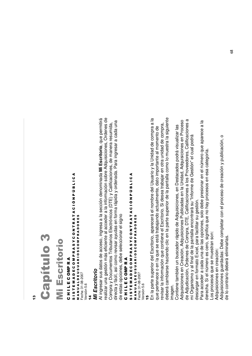#### <u>ო</u>

## 8 pítulo 3

## **Mi Escritorio** critorio

### CHILECOMPRA C H I L E C OMP R A

### SISTEMADECOMPRASYCONTRATACIÓNPÚBLICA S I S T E M A D E C O M P R A S Y C O N T R A T A C I Ó N P Ú B L I C A<br>S I S T E M A D E C O M P R A T R A T A C I Ó N P Ú B L I C A MANUALDEUSUARIOSCOMPRADORES M A N U A L D E U S U A R I O S C O M P R A D O R E S Fecha: 31-08-2007 Fecha: 31-08-2007

Versión 5.6 Versión 5.6 ,\*

#### **Mi Escritorio** *Mi Escritorio*

realizar una gestión más eficiente al acceder a la información sobre Adquisiciones, Ordenes de Al ingresar sus datos de acceso, ingresa a la sección denominada Mi Escritorio, que permitirá realizar una gestión más eficiente al acceder a la información sobre Adquisiciones, Ordenes de Al ingresar sus datos de acceso, ingresa a la sección denominada **Mi Escritorio**, que permitirá directa y fácil, así como revisar ayudas en forma rápida y ordenada. Para ingresar a cada una directa y fácil, así como revisar ayudas en forma rápida y ordenada. Para ingresar a cada una Compra y Documentos Tributarios Electrónicos (DTE) y Calificaciones, de manera resumida, Compra y Documentos Tributarios Electrónicos (DTE) y Calificaciones, de manera resumida, de estas opciones, debe seleccionar el signo de estas opciones, debe seleccionar el signo

## CHILECOMPRA C H I L E C OMP R A

## SISTEMADECOMPRASYCONTRATACIÓNPÚBLICA S I S T E M A D E C O M P R A S Y C O N T R A T A C I O N P U B L I C A<br>S I S T E M A D E C O M P R A T R A T A C I O N P U B L I C A **MANUALDEUSUARIOSCOMPRADORES** M A N U A L D E U S U A R I O S C O M P R A D O R E S

Fecha: 31-08-2007 Fecha: 31-08-2007 /ersión 5.6 Versión 5.6

#### ,-

deberá cambiarse haciendo clic en la parte superior de la pantalla como lo muestra la siguiente En la parte superior del Escritorio, aparecerá el nombre del Usuario y la Unidad de compra a la deberá cambiarse haciendo clic en la parte superior de la pantalla como lo muestra la siguiente En la parte superior del Escritorio, aparecerá el nombre del Usuario y la Unidad de compra a la revisar la información que contiene el Escritorio. Si desea trabajar en otra unidad de compra, revisar la información que contiene el Escritorio. Si desea trabajar en otra unidad de compra, que pertenece o en la que se está trabajando actualmente, dato importante al momento de que pertenece o en la que se está trabajando actualmente, dato importante al momento de

de Adjudicación, Órdenes de Compra, DTE, Calificaciones a los Proveedores, Calificaciones a Adquisiciones en Creación, Adquisiciones Publicadas en la Unidad, Adquisiciones en Proceso de Adjudicación, Órdenes de Compra, DTE, Calificaciones a los Proveedores, Calificaciones a Adquisiciones en Creación, Adquisiciones Publicadas en la Unidad, Adquisiciones en Proceso magen.<br>Contiene también un buscador rápido de Adquisiciones, en Destacados podrá visualizar las Contiene también un buscador rápido de Adquisiciones, en Destacados podrá visualizar las mi Organismo y al final de la pantalla encontrará su "Informe de Gestión" el cual podrá mi Organismo y al final de la pantalla encontrará su "Informe de Gestión" el cual podrá descargar en formato Excel, para facilitar su gestión. descargar en formato Excel, para facilitar su gestión.

 $\overline{a}$ Para acceder a cada una de las opciones, solo debe presionar en el número que aparece a la Para acceder a cada una de las opciones, solo debe presionar en el número que aparece a derecha. Si el número es cero, significa que no hay procesos en esa categoría. derecha. Si el número es cero, significa que no hay procesos en esa categoría. Los procesos que se muestran son: Los procesos que se muestran son:

Adquisiciones en creación: Adquisiciones en creación:

Adquisiciones guardadas: Debe completar con el proceso de creación y publicación, o Adquisiciones guardadas: Debe completar con el proceso de creación y publicación, o de lo contrario deberá eliminarlas.de lo contrario deberá eliminarlas.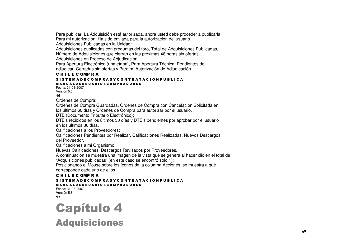Para publicar: La Adquisición está autorizada, ahora usted debe proceder <sup>a</sup> publicarla. Para mi autorización: Ha sido enviada para la autorización del usuario.

Adquisiciones Publicadas en la Unidad:

Adquisiciones publicadas con preguntas del foro, Total de Adquisiciones Publicadas,

Número de Adquisiciones que cierran en las próximas 48 horas sin ofertas.

Adquisiciones en Proceso de Adjudicación:

Para Apertura Electrónica (una etapa), Para Apertura Técnica, Pendientes de adjudicar, Cerradas sin ofertas y Para mi Autorización de Adjudicación.

#### C H I L E C OMP R A

#### S I S T E M A D E C O M P R A S Y C O N T R A T A C I Ó N P Ú B L I C A

M A N U A L D E U S U A R I O S C O M P R A D O R E S Fecha: 31-08-2007Versión 5.6

16

Órdenes de

Ordenes de Compra:<br>Órdenes de Compra Guardadas, Órdenes de Compra con Cancelación Solicitada en

los últimos 60 días <sup>y</sup> Órdenes de Compra para autorizar por el usuario.

DTE (Documento Tributario Electrónico):

DTE's recibidos en los últimos 30 días y DTE's pendientes por aprobar por el usuario en los últimos 30 días.

Calificaciones a los Proveedores:

Calificaciones Pendientes por Realizar, Calificaciones Realizadas, Nuevos Descargos del Proveedor.

Calificaciones a mi Organismo:

Nuevas Calificaciones, Descargos Revisados por Proveedores.

A continuación se muestra una imagen de la vista que se genera al hacer clic en el total de "Adquisiciones publicadas" (en este caso se encontró solo 1):

Posicionando el Mouse sobre los íconos de la columna Acciones, se muestra <sup>a</sup> qué corresponde cada uno de ellos.

#### C H I L E C OMP R A

#### S I S T E M A D E C O M P R A S Y C O N T R A T A C I Ó N P Ú B L I C A

#### M A N U A L D E U S U A R I O S C O M P R A D O R E S

Fecha: 31-08-2007Versión 5.6 ,/

#### Capítulo 4 **Adquisiciones**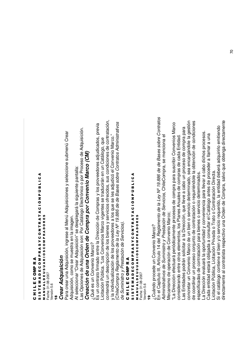#### ပ コニエ ш ပ e<br>S ≃ ⋖

#### თ<br>5<br>თ ⊢ ш Σ ⋖ ē ပ<br>။ 0 Σ Δ. ⊄<br>⊄ ー<br>の ပ 0 z ⊢ œ <<br>T<br>< ە<br>ت z Δ. 9 ن<br>1 ـ ا ـ ا ⋖ ∡<br>≥ z ∍ ⋖ ALDEUSU ⋖ œ 0<br>0<br>0<br>1 0 MPRADORES

Fecha: 31-08-2007 Fecha: 31-08-2007 /ersión 5.6 Versión 5.6

#### <u>ლ</u> *Cre a r A dq uisició n*

Para စ<br>၁ ar una A d quisición, ingrese ∑<br>ಸ enú A d quisiciones y sele ي cione sub ξ enú Cre సె Ad quisición, c o mo se muestra en la im a g en.

Al sele c cionar "Cre ar A d quisición" se d esple g ará la siguiente p antalla:

Las O p ciones d e A ত quisición son: P ں<br>ة atálo g o Ele ctrónic o o por Proceso ಕಿ A d quisición. *Cre a ció n de u n a O rde n de* <u>ت</u> *o mp ra p o r* <u>ت</u> *o n ve nio Ma rc o (CM)*

¿Qué es un C ຣ<br>ຣ enio ⋝ ಲ<br>ಸ o?

Es un c ontrato firm a d o entre la Dire c ción d e  $\circ$ o m pras y los pro v e e d ores a djudic a d os, pre .<br>त्र Licita ción Públic ب<br>ة os C ຣ<br>ຣ enios M arc o vig entes se tra ducirán en un C atálo g o, que contendrá un d escrip ción d e los bienes y servicios ofre .<br>ㅎ os, sus c ondiciones d e c ontrata ción, y la individualiza ción d e los pro v e e d ores a los que se les a djudic ó ت<br>ه ຣ<br>ຣ enio ⋝ ಲ<br>ಹ .<br>`o *de la de de dministrativo s*

(Chile C o m ը<br>թ *R e gla m e nto L ey Nº 19.8 8 6 B a s e s s o bre C o ntrato s A de S u ministro y Pre sta ció n de S ervicio s).*

#### ပ コニエ ш ပ 0 Σ உ ĸ ⋖

#### თ<br>5<br>თ Н. ш Σ ⋖ ٥ ш ပ 0 Σ Δ. ĸ ⋖ n ≻ ပ 0 z Н. ĸ ⋖ н. ⋖ ە<br>ت z <u>ρ.</u> 9 ن<br>1 ـا 1 ⋖ ∡<br>≥ z ∍ ⋖ ALDEUSU ⋖ œ 0<br>2<br>0<br>2 0 MPRADORES

Fecha: 31-08-2007 Fecha: 31-08-2007 /ersión 5.6 Versión 5.6

<u>ღ</u>

¿Cuánd o pro c e d e un C ≧<br>S enio ⋝ ಲ<br>ಸ o?

En el C a pítulo III, Artículo 14 d el *R e gla m e nto de la L ey Nº 19.8 8 6 de de B a s e s s o bre C o ntrato s Administrativo s de S u ministro y Pre sta ció n de S ervicio s,* Chile C o m pra, se Ξ enciona  $\overline{\Phi}$ Me c anism o d e ción d e  $\circ$ ے<br>S enio M

o p era arc o; ይ<br>ਜ Dire c ción efe ctuará p erió dic a m ente pro c esos d e c o m a<br>D  $\Omega$ ara suscribir C ຣ<br>ຣ enios M arc o consid erand o entre otros ele m entos, los Planes Anuales d  $\mathbf{\underline{\omega}}$ c o m pras d e c a d a Entid a d. Las Entidades po drán solicitar a la Dire c ción, que lle v e a cabo un proceso d e c o m pra<br>D p ara concretar un C ຣ<br>ຣ enio ⋝ arc o d e un bien o servicio d etermina d o, se a e<br>T ದ<br>ದ ਟ<br>ਕ ole la g estión de c o ordinar un pro c eso c onjunto d e c ontrata ción o re quiriénd ole la o btención d  $\bf{e}$  $\mathbf{\circ}$ ondiciones

esp ecific adas d ec ontrata ción p ದ<br>ದ bienes o servicio determina dos.  $\mathbf{a}$ Dire c ción e v aluará la o p ortunid a d  $\mathord{\geqslant}$ c onv eniencia para llevar a cabo dichos pro c esos. Ca d a entid a d estará o blig a d a a  $\mathbf{\mathsf{c}}$ onsultar el C atálo g o antes d e proceder a llam ar a una Licita ción Públic a, Licita ción Priv adaoTrato o**Contrata** ción Dire .<br>ರ

Si el c atálo g o c ontiene el bien y/o servicio re querid o, la entid a d d e b erá a d quirirlo e mitiend o dire cta m ente al c ontratista resp e ctiv o una 호<br>이 en d e  $\circ$ o m pra, salv o g<br>a o bteng a e<br>ə cta m ente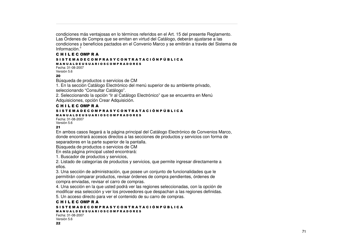condiciones más ventajosas en lo términos referidos en el Art. 15 del presente Reglamento. Las Órdenes de Compra que se emitan en virtud del Catálogo, deberán ajustarse <sup>a</sup> las condiciones y beneficios pactados en el Convenio Marco y se emitirán <sup>a</sup> través del Sistema de Información."

#### C H I L E C OMP R A S I S T E M A D E C O M P R A S Y C O N T R A T A C I Ó N P Ú B L I C A

#### M A N U A L D E U S U A R I O S C O M P R A D O R E S

Fecha: 31-08-2007Versión 5.6

#### 20

Búsqueda de productos <sup>o</sup> servicios de CM

1. En la sección Catálogo Electrónico del menú superior de su ambiente privado, seleccionando "Consultar Catálogo".

2. Seleccionando la opción "Ir al Catálogo Electrónico" que se encuentra en Menú Adquisiciones, opción Crear Adquisición.

#### C H I L E C OMP R A

#### S I S T E M A D E C O M P R A S Y C O N T R A T A C I Ó N P Ú B L I C A

M A N U A L D E U S U A R I O S C O M P R A D O R E S

Fecha: 31-08-2007Versión 5.6

#### 21

En ambos casos llegará <sup>a</sup> la página principal del Catálogo Electrónico de Convenios Marco, donde encontrará accesos directos <sup>a</sup> las secciones de productos y servicios con forma de separadores en la parte superior de la pantalla.

Búsqueda de productos <sup>o</sup> servicios de CM

En esta página principal usted encontrará:

1. Buscador de productos y servicios,

2. Listado de categorías de productos y servicios, que permite ingresar directamente <sup>a</sup> ellos.

3. Una sección de administración, que posee un conjunto de funcionalidades que le permitirán comparar productos, revisar órdenes de compra pendientes, órdenes de compra enviadas, revisar el carro de compras.

4. Una sección en la que usted podrá ver las regiones seleccionadas, con la opción de modificar esa selección y ver los proveedores que despachan <sup>a</sup> las regiones definidas. 5. Un acceso directo para ver el contenido de su carro de compras.

#### C H I L E C OMP R A

S I S T E M A D E C O M P R A S Y C O N T R A T A C I Ó N P Ú B L I C A

M A N U A L D E U S U A R I O S C O M P R A D O R E S

Fecha: 31-08-2007Versión 5.6 22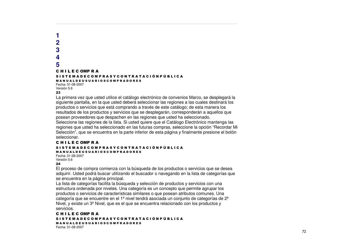#### **12345**C H I L E C OMP R A S I S T E M A D E C O M P R A S Y C O N T R A T A C I Ó N P Ú B L I C A M A N U A L D E U S U A R I O S C O M P R A D O R E S Fecha: 31-08-2007Versión 5.6 23

La primera vez que usted utilice el catálogo electrónico de convenios Marco, se desplegará la siguiente pantalla, en la que usted deberá seleccionar las regiones <sup>a</sup> las cuales destinará los productos <sup>o</sup> servicios que está comprando <sup>a</sup> través de este catálogo; de esta manera los resultados de los productos y servicios que se desplegarán, corresponderán <sup>a</sup> aquellos que posean proveedores que despachen en las regiones que usted ha seleccionado.

Seleccione las regiones de la lista. Si usted quiere que el Catálogo Electrónico mantenga las regiones que usted ha seleccionado en las futuras compras, seleccione la opción "Recordar Mi Selección", que se encuentra en la parte inferior de esta página y finalmente presione el botón seleccionar.

#### C H I L E C OMP R A S I S T E M A D E C O M P R A S Y C O N T R A T A C I Ó N P Ú B L I C A M A N U A L D E U S U A R I O S C O M P R A D O R E S

Fecha: 31-08-2007Versión 5.6

24

El proceso de compra comienza con la búsqueda de los productos <sup>o</sup> servicios que se desea adquirir. Usted podrá buscar utilizando el buscador <sup>o</sup> navegando en la lista de categorías que se encuentra en la página principal.

La lista de categorías facilita la búsqueda y selección de productos y servicios con una estructura ordenada por niveles. Una categoría es un concepto que permite agrupar los productos <sup>o</sup> servicios de características similares <sup>o</sup> que posean atributos comunes. Una categoría que se encuentre en el  $1^{\circ}$  nivel tendrá asociada un conjunto de categorías de  $2^{\circ}$ Nivel, y existe un  $3<sup>°</sup>$  Nivel, que es el que se encuentra relacionado con los productos y servicios.

C H I L E C OMP R A S I S T E M A D E C O M P R A S Y C O N T R A T A C I Ó N P Ú B L I C A M A N U A L D E U S U A R I O S C O M P R A D O R E S Fecha: 31-08-2007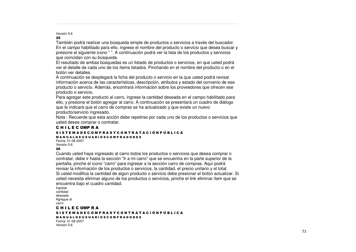#### Versión 5.6 %-

También podrá realizar una búsqueda simple de productos <sup>o</sup> servicios <sup>a</sup> través del buscador. En el campo habilitado para ello, ingrese el nombre del producto <sup>o</sup> servicio que desea buscar y presione el siguiente icono " ". A continuación podrá ver la lista de los productos y servicios que coincidan con su búsqueda.

El resultado de ambas búsquedas es un listado de productos <sup>o</sup> servicios, en que usted podrá ver el detalle de cada uno de los ítems listados. Pinchando en el nombre del producto <sup>o</sup> en el botón ver detalles.

A continuación se desplegará la ficha del producto <sup>o</sup> servicio en la que usted podrá revisar información acerca de las características, descripción, atributos y estado del convenio de ese producto <sup>o</sup> servicio. Además, encontrará información sobre los proveedores que ofrecen ese producto <sup>o</sup> servicio.

Para agregar este producto al carro, ingrese la cantidad deseada en el campo habilitado para ello, y presione el botón agregar al carro. A continuación se presentará un cuadro de diálogo que le indicará que el carro de compras se ha actualizado y que existe un nuevo producto/servicio ingresado.

Nota : Recuerde que esta acción debe repetirse por cada uno de los productos <sup>o</sup> servicios que usted desee comprar <sup>o</sup> contratar.

#### C H I L E C OMP R A S I S T E M A D E C O M P R A S Y C O N T R A T A C I Ó N P Ú B L I C A M A N U A L D E U S U A R I O S C O M P R A D O R E S

Fecha: 31-08-2007Versión 5.6 26

Cuando usted haya ingresado al carro todos los productos <sup>o</sup> servicios que desea comprar <sup>o</sup> contratar, debe ir hasta la sección "Ir <sup>a</sup> mi carro" que se encuentra en la parte superior de la pantalla; pinche el icono "carro" para ingresar <sup>a</sup> la sección carro de compras. Aquí podrá revisar la información de los productos <sup>o</sup> servicios, la cantidad, el precio unitario y el total. Si usted modifica la cantidad de algún producto <sup>o</sup> servicio debe presionar el botón actualizar. Si usted necesita eliminar alguno de los productos <sup>o</sup> servicios, pinche el link eliminar ítem que se encuentra bajo el cuadro cantidad.

Ingrese cantidaddeseadaAgregue al carro

#### C H I L E C OMP R A

S I S T E M A D E C O M P R A S Y C O N T R A T A C I Ó N P Ú B L I C A M A N U A L D E U S U A R I O S C O M P R A D O R E S Fecha: 31-08-2007Versión 5.6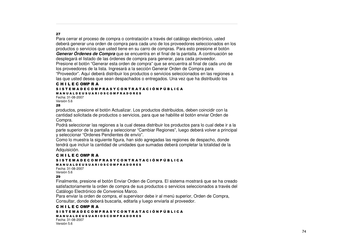#### 27

Para cerrar el proceso de compra <sup>o</sup> contratación <sup>a</sup> través del catálogo electrónico, usted deberá generar una orden de compra para cada uno de los proveedores seleccionados en los productos <sup>o</sup> servicios que usted tiene en su carro de compras. Para esto presione el botón *Generar Órdenes de Compra* que se encuentra en el final de la pantalla. A continuación se desplegará el listado de las órdenes de compra para generar, para cada proveedor. Presione el botón "Generar esta orden de compra" que se encuentra al final de cada uno de los proveedores de la lista. Ingresará <sup>a</sup> la sección Generar Orden de Compra para "Proveedor". Aquí deberá distribuir los productos <sup>o</sup> servicios seleccionados en las regiones <sup>a</sup> las que usted desea que sean despachados <sup>o</sup> entregados. Una vez que ha distribuido los

#### C H I L E C OMP R A S I S T E M A D E C O M P R A S Y C O N T R A T A C I Ó N P Ú B L I C A

M A N U A L D E U S U A R I O S C O M P R A D O R E S Fecha: 31-08-2007Versión 5.6

#### 28

productos, presione el botón Actualizar. Los productos distribuidos, deben coincidir con la cantidad solicitada de productos <sup>o</sup> servicios, para que se habilite el botón enviar Orden de Compra.

Podrá seleccionar las regiones <sup>a</sup> la cual desea distribuir los productos para lo cual debe ir <sup>a</sup> la parte superior de la pantalla y seleccionar "Cambiar Regiones", luego deberá volver <sup>a</sup> principal y seleccionar "Ordenes Pendientes de envío".

Como lo muestra la siguiente figura, han sido agregadas las regiones de despacho, donde tendrá que incluir la cantidad de unidades que sumadas deberá completar la totalidad de la Adquisición.

#### C H I L E C OMP R A

#### S I S T E M A D E C O M P R A S Y C O N T R A T A C I Ó N P Ú B L I C A M A N U A L D E U S U A R I O S C O M P R A D O R E S

Fecha: 31-08-2007Versión 5.6 29

Finalmente, presione el botón Enviar Orden de Compra. El sistema mostrará que se ha creado satisfactoriamente la orden de compra de sus productos <sup>o</sup> servicios seleccionados <sup>a</sup> través del Catálogo Electrónico de Convenios Marco.

Para enviar la orden de compra, el supervisor debe ir al menú superior, Orden de Compra, Consultar, donde deberá buscarla, editarla y luego enviarla al proveedor.

#### C H I L E C OMP R A S I S T E M A D E C O M P R A S Y C O N T R A T A C I Ó N P Ú B L I C A M A N U A L D E U S U A R I O S C O M P R A D O R E S

Fecha: 31-08-2007Versión 5.6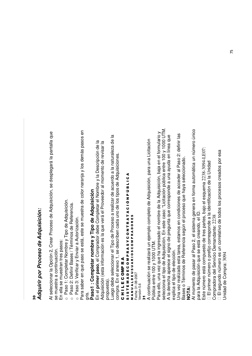#### *Adq uirir p o r Pro c e s o de A dq uisició n:*

**M** 0 Al sele c cionar la O  $\overline{\mathsf{d}}$ ción 2, Cre ar Pro c eso d e A ত quisición, se d esple g ará la p antalla g<br>a se muestra a c ontinua ción.

En ella se muestran tres p En ella se muestran tres pasos:

o<u>ո</u> aso 1: C o m pletar N o m bre  $\mathord{\geqslant}$ Tip o ಕಿ A d quisición.

oPaso د<br>ن efinir B ases / T érminos d ወ r eferencia.

o<u>ո</u> aso  $> \over{35}$ erific ar y Enviar a Autoriza ción.

Para sa b er en que p aso se está, este se muestra d e  $\mathbf{\circ}$ olor naranja y los d e m ás p asos en gris.

#### **Pa s o1 : C o** <u>اع</u> **pletar n o** <u>اع</u> **bre y Tip o d e A** ਦ **q uisició n**

En el **prim er p a s o**, el C o m pra d or d e b e  $\circ$ o m pletar el N o m bre y la  $\mathbf \Omega$ escrip ción d e la Ad quisición (esta inform a ción es la g<br>B v erá el Proveedor al mom ento d e re visar la p<br>D puesta).

Lue g o debe selec cionar el Tip o d e Pro c eso e<br>അ alizar d e a cuerd o ಹ la naturaleza d e la co m pra. En el ane x o 1, se d escrib en c a d a uno d e los tip os d e A ত quisiciones.

#### ပ コニエ ш ပ 0 을<br>둘 ĸ ⋖

#### ဖ<br>5<br>၈ ► ш Σ ⋖ Ω ш ပ 0 Σ Δ. ĸ ⋖ n ≻ ပ 0 z ► ĸ ⋖ ► ⋖ ა<br>ნ z Δ. 9 ن<br>1 ـ ا ⋖ ∡<br>≥ z ∍ ⋖ ALDEUSU ⋖ œ 0<br>2<br>0<br>2 0 MPRADORES

Fecha: 31-08-2007 Fecha: 31-08-2007

Versión 5.6 Versión 5.6

**1** 

Ac ontinua ción se re alizará un eje Ξ  $\frac{8}{5}$ c o m pleto ಕಿ A d quisición, p ara una Licita s<br>ö Públic aentre 10 0y 10 00N<br>5

Para ello, una  $\,>$ ez que ha ingresa ફ el no έ bre d e la A ত quisición, b .ಹ<br>ಹ en el formulario  $\mathord{\geqslant}$ sele c ciona el tip o d e A ত quisición. En este  $\mathbf{\mathsf{c}}$ aso: "Licita ción públic a entre 10 0 y 10 0 0 ⊃  $\vdash$  $\dot{\geq}$ \_<br>ব d ere යි<br>ප a p are c e el signo ಕಿ e<br>D gunta g<br>D c orresp ond e a una a yud a en líne a g<br>B ex plic a el tip o d e ele c ción.

g<br>Da v ez re aliza d a esta tare a, esta mos en c ondiciones d e a c c e d er al P aso ರ<br>ನ efinir las Bases o  $\vdash$ érminos d  $\mathbf{\underline{\omega}}$  $\propto$ eferencia se gún el pro c eso que ha y a sele c ciona d o. **NOTA:** Al m o mento ಕಿ p asar al P aso 2, el siste ma g enera en form a auto Ē átic a un núm ero únic o para la A ত quisición que se está ღ<br>თვ ਰ<br>ਫ਼ o, el ID.

Este núm ero está c o m puesto d e tres p artes, b .ಇ<br>ಹ el esque έ a 2 238-30 9 4-L E 0 7:

El prim er núm ero o prefijo c orresp ond e a la id entific a ción d e la Unid a d Co m d el S ervicio  $\Box$ ਰ<br>ਫ਼ ante: 2 238

pra d ora e m El se gund o núm ero es un c orrelativ o de todos los proc esos cre a d os p or esa Unid a d ಕಿ  $\circ$ o m pra: 30 9 4 75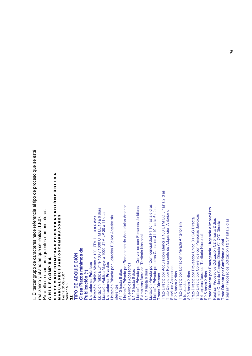está que se ⋖ pro c eso ن<br>1 ـا 1 ಕಿ כ 5 hasta 2 días Δ. al tip o z ە<br>ت Licitación Privada por Confidencialidad F1 10 hasta 6 días Licitación Privada por Confidencialidad F1 10 hasta 6 días Licitación Privada por Remanente de Adquisición Anterior Licitación Privada por Remanente de Adquisición Anterior Licitación Privada por Convenios con Personas Jurídicas Licitación Privada por Convenios con Personas Jurídicas Licitación Privada por otras Causales J1 10 hasta 6 días **previsto** Licitación Privada por otras Causales J1 10 hasta 6 días LE 10 a 6 días Trato Directo por Remanente de Adquisición Anterior o referencia enclaturas: Trato Directo por Remanente de Adquisición Anterior o <<br>T<br>< LP 20 a 11 días Trato Directo por Convenios con Personas Jurídicas icitación Privada por Licitación Pública Anterior sin Trato Directo por Convenios con Personas Jurídicas MPRADORES C OLicitación Privada por Licitación Pública Anterior sin 0 7. L1 10 a 6 días Trato Directo por Proveedor Único D1 O/C Directa Realizar Proceso de Cotización C2 5 hasta 2 días Realizar Proceso de Cotización F2 5 hasta 2 díasDirecta aliza: L E T M Trato Directo por Licitación Privada Anterior sin œ **mergencia, Urgencia e Im** Trato Directo por Licitación Privada Anterior sin ⊢ Trato Directo por Adquisición Menor a 100 U z c eξ Trato Directo por Proveedor Único D1 O/C 0 ello se usan las siguientes no P Extranjeras fuera del Territorio Nacional mitir Orden de Compra Directa C1 O/C cteres ha Extranjeras fuera del Territorio Nacional Extranjeras fuera del Territorio Nacional Extranjeras fuera del Territorio Nacional ပ en que se re Licitación Pública Entre 100 y 1000 U ∑<br>F **onfidencialidad** )<br>の T M0 Licitación Pública Mayor a 1000 U Licitación Pública Menor a 100 U ⊄<br>⊄ **RIOSC d e** c ara **UISICIÓ Nmínim o s** Δ. ⋖ Σ œ **Licitaciones Privadas** ಕಿ ĸ ⋖ **Licitaciones Privadas** o Servicios Accesorios 0 **Licitaciones Públicas** Servicios Accesorios el año Servicios Accesorios ALDEUSU Servicios Accesorios உ ပ<br>။ **Directo p or E Directo p or C** er grup o A110 hasta 6 días 3110 hasta 6 días E1 10 hasta 6 días Σ A1 10 hasta 6 días B1 10 hasta 6 días E1 10 hasta 6 días E2 5 hasta 2 días **Public ació n (\*)** 32 5 hasta 2 días A2 5 hasta 2 días **ratos Directos** B2 5 hasta 2 días A2 5 hasta 2 días E2 5 hasta 2 días Fecha: 31-08-2007 **ADQ**0 ē **Pla z o s Tratos Directos**  $\mathord{\geqslant}$ ⋖ ပ alizand o nteresados Σ Interesados ш Versión 5.6 **DE**El terc oferentes Versión 5.6 ⋖ ш oferentes コニエ ∍ **Glo s a** ⊢ **TIP O**Para z **Trato Trato** თ<br>5<br>თ ∡<br>≥ '%re ပ E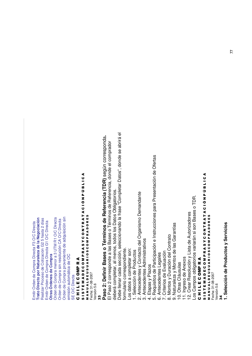Emitir Orden de Compra Directa F3 O/C Directa **Trato Directo p or Naturaleza de la Negociación** Realizar Proceso de Cotización G2 5 hasta 2 días Emitir Orden de Compra Directa G1 O/C Directa **Otras Órdenes de C ompra**

Orden de Compra menor a 3 U T M R1 O/C Directa Orden de Compra sin resolución C A  $\frac{\mathsf{C}}{\mathsf{C}}$ Directa Orden de Compra proveniente de adquisición sin emisión autom ática de O  $\mathsf{\mathsf{\mathsf{\mathsf{\mathsf{Q}}}}}$ SEO/C Directa

#### ပ ー<br>ニ ш ပ 0 Σ <u>a</u> ĸ ⋖

#### თ<br>5<br>თ н. ш Σ ⋖ ٥ ш ပ 0 Σ Δ. ĸ ⋖ n ≻ ပ 0 z н. ĸ ⋖ Н. ⋖ ە<br>ت z Δ. 9 ن<br>1 ـا 1 ⋖ ⋖ ALDEUSU œ **RIOSC** 0 MPRADORES

⋖ Fecha: 31-08-2007 Versión 5.6 Versión 5.6 ∍ z ∡<br>≥ ''

**Pa s o 2: D efinir B a s e s o T érmin o s d e R efere n cia (T D R)** s e g ú  $\mathbf{v}$ c orre s p o n d a**.**

e<br>四 aso  $\mathbf{\alpha}$ c orresp ond e a las B ases o  $\vdash$ érminos d  $\bf \Phi$  $\approx$ eferencia, d ond e el c o m pra d or de b erá c o m pletar, al m enos, to d os los D atos O blig atorios.

De b e llenar c a d a se c ción, sele c cionand o la frase "C o m pletar D atos", d ond e se a brirá  $\overline{\Phi}$ 

formulario c orresp ondiente. Los d atos a c o m pletar son:

.<br>.<br> ele c ción d e م<br>م ductos

2. Antecedentes y  $\circ$ onta cto d el Org anism o  $\Box$ e m চ<br>ৱ ante

os

3. Ante c e d entes A d ministrativ

4. Eta p as y Plazos

5. R e quisitos d e ቢ articip a ción e Instruc ciones p ದ<br>ಹ Presenta ción d e Ofertas

6. Antecedentes Legales

7. Criterios d  $\bf \Phi$ E v alua ción

⊠<br>∞ ontos y Dura ción d ت<br>ه ontrato aturaleza ontos d e las G arantías

10. Otras Cláusulas 10. Otras Cláusulas ⋝  $\mathord{\geqslant}$  $\frac{2}{\infty}$ 

11. Ingreso d e Ane x os

12. Cre ar R esolución y Lista d e Autorizadores

Los C a m blig atorios v ariarán si son B ases o T D R.

p os o

#### ပ ー<br>ニ ш ပ 을<br>이 ≃ ⋖

#### თ<br>5<br>თ ⊢ ш Σ ⋖ o ပ<br>။ 0 Σ Δ. ⊄<br>M )<br>の ပ 0 z ⊢ ≃ A T<br>4 ە<br>ت z Δ. כ ن<br>1 ـا 1 ⋖

⋖<br>≅ z ∍ ⋖ ALDEUSU ⋖ ≃ 0<br>0<br>0<br>2 0 MPRADORES

Fecha: 31-08-2007 Fecha: 31-08-2007 Versión 5.6 Versión 5.6

**M** \*

**1. S ele c ció n d e Pro d u cto s y S ervicio s**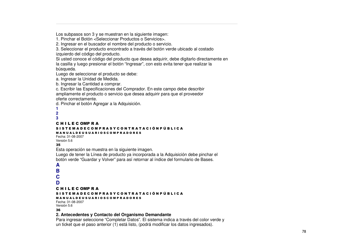Los subpasos son 3 y se muestran en la siguiente imagen:

1. Pinchar el Botón <Seleccionar Productos o Servicios>.

2. Ingresar en el buscador el nombre del producto <sup>o</sup> servicio.

3. Seleccionar el producto encontrado <sup>a</sup> través del botón verde ubicado al costado izquierdo del código del producto.

Si usted conoce el código del producto que desea adquirir, debe digitarlo directamente en la casilla y luego presionar el botón "Ingresar", con esto evita tener que realizar la búsqueda.

Luego de seleccionar el producto se debe:

a. Ingresar la Unidad de Medida.

b. Ingresar la Cantidad <sup>a</sup> comprar.

c. Escribir las Especificaciones del Comprador. En este campo debe describir ampliamente el producto <sup>o</sup> servicio que desea adquirir para que el proveedor oferte correctamente.

d. Pinchar el botón Agregar <sup>a</sup> la Adquisición.

- **1**
- **2**
- **3**

#### C H I L E C OMP R A

#### S I S T E M A D E C O M P R A S Y C O N T R A T A C I Ó N P Ú B L I C A M A N U A L D E U S U A R I O S C O M P R A D O R E S

Fecha: 31-08-2007Versión 5.6

#### $35$

Esta operación se muestra en la siguiente imagen.

Luego de tener la Línea de producto ya incorporada <sup>a</sup> la Adquisición debe pinchar el botón verde "Guardar y Volver" para así retornar al índice del formulario de Bases.

#### **A**

- **B**
- **C**

```
D
```
C H I L E C OMP R A

#### S I S T E M A D E C O M P R A S Y C O N T R A T A C I Ó N P Ú B L I C A

M A N U A L D E U S U A R I O S C O M P R A D O R E S

Fecha: 31-08-2007Versión 5.6 36

#### **2. Antecedentes y Contacto del Organismo Demandante**

Para ingresar seleccione "Completar Datos". El sistema indica <sup>a</sup> través del color verde y un ticket que el paso anterior (1) está listo, (podrá modificar los datos ingresados).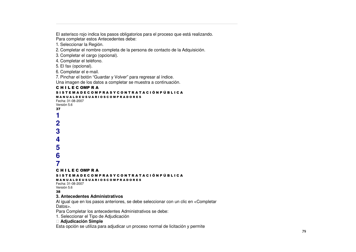El asterisco rojo indica los pasos obligatorios para el proceso que está realizando. Para completar estos Antecedentes debe:

1. Seleccionar la Región.

2. Completar el nombre completa de la persona de contacto de la Adquisición.

3. Completar el cargo (opcional).

4. Completar el teléfono.

5. El fax (opcional).

6. Completar el e-mail.

7. Pinchar el botón "Guardar y Volver" para regresar al índice.

Una imagen de los datos <sup>a</sup> completar se muestra <sup>a</sup> continuación.

#### C H I L E C OMP R A

#### S I S T E M A D E C O M P R A S Y C O N T R A T A C I Ó N P Ú B L I C A M A N U A L D E U S U A R I O S C O M P R A D O R E S Fecha: 31-08-2007

Versión 5.6  $37$ 

**12**

**3**

**4**

**5**

**6**

**7**

#### C H I L E C OMP R A

#### S I S T E M A D E C O M P R A S Y C O N T R A T A C I Ó N P Ú B L I C A

M A N U A L D E U S U A R I O S C O M P R A D O R E S

Fecha: 31-08-2007Versión 5.6 38

#### **3. Antecedentes Administrativos**

Al igual que en los pasos anteriores, se debe seleccionar con un clic en <Completar Datos>.

Para Completar los antecedentes Administrativos se debe:

1. Seleccionar el Tipo de Adjudicación

#### **Adjudicación Simple**

Esta opción se utiliza para adjudicar un proceso normal de licitación y permite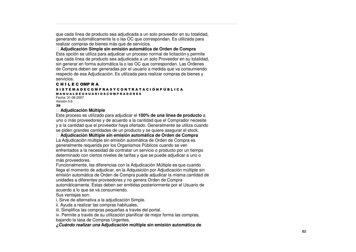que cada línea de producto sea adjudicada a un solo proveedor en su totalidad, generando automáticamente la o las OC que correspondan. Es utilizada para realizar compras d ebienes más que de servicios.

Adjudicación Simple sin emisión automática de Orden de Compra Esta opción se utiliza para adjudicar un proceso normal de licitación y permite que cada línea de producto sea adjudicada a un solo Proveedor en su totalidad, sin generar en forma automática la o las OC que correspondan. Las Órdenes de Compra deben ser generadas por el usuario a medida que va consumiendo respecto de esa Adjudicación. Es utilizada para realizar compras de bienes y servicios.

#### C H I L E C OMP R A

#### S I S T E M A D E C O M P R A S Y C O N T R A T A C I Ó N P Ú B L I C A M A N U A L D E U S U A R I O S C O M P R A D O R E S Fecha: 31-08-2007Versión 5.6

#### '3

#### **Adju dicaciónMúltiple**

Este proceso es utilizado para adjudicar el 100% **de una línea de producto** a uno o más proveedores y de acuerdo a la cantidad que el Comprador necesite y a la cantidad que el proveedor haya ofertado. Generalmente se utiliza cuando se piden grandes cantidades de un producto y se quiere asegurar el stock.

Adjudicación Múltiple sin emisión automática de Orden de Compra La Adjudicación múltiple sin emisión automática de Orden de Compra es generalmente requerida por los Organismos Públicos cuando se ven enfrentados a la necesidad de contratar un servicio o producto por un tiempo determinado con ciertos niveles de tarifas y que se puede adjudicar a uno o más pro veedores.

Funcionalmente, las diferencias <sup>c</sup> on la Adjudic a ción Múltiple es que cuand o llega el momento de adjudicar, en la Adquisición por Adjudicación múltiple sin emisión automática de Orden de Compra puede adjudicar la misma cantidad de unidades a diferentes proveedores y no genera Orden de Compra automáticamente. Éstas deben ser emitidas posteriormente por el Usuario de acuerdo a lo que se va consumiendo.

Sus v entajas son:

i. Sirve de alternativa a la adjudicación Simple.

ii. A yud a a re alizar las c o m pras ha bituales.

iii. Simplific a las c ompras p equeñas <sup>a</sup> tra vés del p ortal.

iv. Permite a través de su utilización planificar de mejor forma las compras,

bajando la tasa de Compras Urgentes.

*¿Cuándo realizar una* Adjudicación múltiple sin emisión automática de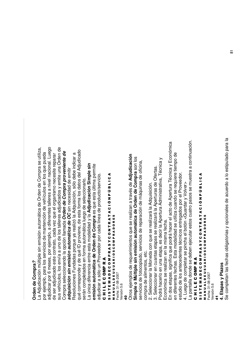#### **Ord endeCompra** *?*

La A djudic a ción múltiple sin e misión auto E átic a ಕಿ ਣ<br>ਹ en d e ج<br>S pra se utiliza, por eje ξ plo, p ara los servicios d  $\overline{\mathsf{e}}$  $\mathsf{E}% _{T}$ antención d e  $\,>$ ehículos en los que pue d a adjudic ar p ه<br>ة  $\Xi$ eses, p or eje Ë plo, a diferentes talleres a niv el na cional. Lue g o ಕಿ ser a djudic a d o este  $\mathbf{\mathsf{c}}$ ontrato, c a d a v ez que el org anism o ne c esite re p arar sus v ehículos, los envía a uno d e los talleres a djudic a d os y e mite una ਣ<br>ਠ en d e Co m pra sele c cionand o la o p ción lla m a d a *Orde n de C o mpra pro ve nie nte de adq uisició nsin emisió nauto mátic ade OC* sin necesidad deemitir Resoluciones Fund a d as p orque y a re alizó la A ত quisición, sólo d e b e indic ದ<br>ಸ qué c orresp ond e  $\mathord{\geqslant}$ d e qué ID p<br>D viene, d e esta form a los d atos d el A djudic a d o serán c o m pleta d os en form a auto m átic a lue g o d e sele c cionarlo. La únic a diferencia entre esta ٤ o d alid a d y la **A** <u>..</u><br>ㅎ **dic a ció n Sim ple sin emisió n a uto** <u>اع</u> **átic a d e Ord e n d e**  $\mathbf{\mathbf{c}}$ **o m pra** es que esta últim a p ermite adjudic ar a sólo un Pro v e e d or p or c a d a líne a d e ք<br>ն ducto/servicio. ပ コニエ ш ပ 을<br>이 ĸ ⋖ ဖ<br>5<br>၈ ► ш Σ ⋖ Ω ш ပ 0 Σ Δ. ĸ ⋖ n ≻ ပ 0 z ► ĸ ⋖ ► ⋖ ა<br>ნ z Δ. 9 ن<br>1 ـ ا ⋖ Z<br>2<br>2 ≤<br>⊐ ALDEUSU ⋖ œ 0<br>0<br>0<br>1 0 MPRADORES Fecha: 31-08-2007

#### \*4

Versión 5.6

Otros eje ξ plos d e re querimientos que se re alizan a tra v és d e **A** <u>.</u><br>ㅎ **dic a ció n Sim ple o M últiple sin e misió n a uto m átic a d e Ord e n d e**  $\mathbf c$ **o m pra** son los servicios d e foto c o pia d o, servicios d e re p ara ción d e Ξ á quinas d e oficina, co m pra<br>D d e alim entos, etc.

က<br>လ ele c cionar la M one d a  $\mathbf{\circ}$ on que se re alizará la A d quisición. ပာ<br>က ele c cionar en cuantas eta Q. as se re alizará la A p erturas d e Ofertas.

Podrá hacerlo en una eta p a, es d e cir la A p ertura A d ministrativ a, T é cnic a  $\mathord{\geqslant}$ Ec onó mic a se re alizan en la mism a fe cha.

ರ<br>հ os eta p as, signific a g<br>B p o drá ha c er el a cto d e A p ertura T é cnic a  $\mathord{\geqslant}$ ш c onó mic a en diferentes fe chas. Esta o d alid a d se utiliza cuand o se re quiere tie d e

٤ ξ p o estudio d e los ante c e d entes té is<br>S os entre g a d os p or el Pro v e e d or.

4. Lue g o d e c o m pletar se pincha م<br>ه otón < Guard ar<br>ল  $>$  $\grave{\vec{\circ}}$  $\frac{\wedge}{\Phi}$ 

 $\mathbf{a}$ p antalla d ond e se d e b en eje cutar estos cuatro  $\Omega$ asos se muestra a c ontinua ción. ⋖

#### ပ コニエ ш ပ 0 Σ உ ĸ

#### い<br>5<br>の н. ш Σ ⋖ o ш ပ 0 Σ Δ. ĸ ⋖ n ≻ ပ 0 z н. ĸ ⋖ н. ⋖ ە<br>ت z Δ. 9 ن<br>1 ـ ا ـ ا ⋖ ∡<br>≥ z ∍ ⋖ ALDEUSU ⋖ œ **RIOSC** 0 MPRADORES

Fecha: 31-08-2007 Fecha: 31-08-2007

Versión 5.6 Versión 5.6

\*,

## **4. Eta p a s y Pla z o s**

တိ c o m pletan las fe chas o blig atorias y o p cionales d  $\bf{e}$ a cuerd o a lo estipula d o p ara la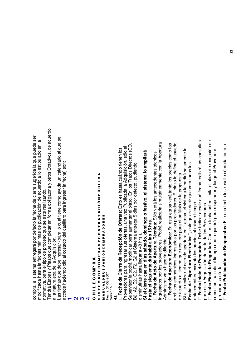a cuerd o pue d e ser al que se en la onsultas d e re c e p ción d e p ertura el usuario cios c omo los  $\rm \dot{\rm o}$ os, d e  $\overline{\Phi}$  tienen los ctos (C ente la el Proveedor estipula d o quisición, sólo **pliará** တ<br>ဝ .<br>ৱ is<br>S A g<br>B cibirá las c ptativ c on la cha) son: pedirá sola mentar el plazo. En los Tratos Dire **a m** o d efine v erá to d os los alend c e d entes té erid a la cto, pudiend otros O cuánd o**a lo** erá tanto los pre a lo puesta. el plazo ente a yud a un c ⋖ er y lue g o ores. El plazo lo ن<br>1 ـ ا <u>بع</u> cha re A d cierre sug ara ingresar la fe a cuerd o **o, el siste** a m atoria y es hasta a d a la erá los ante p<br>D ma le alizarla simultáne efe cha uste d limita o. qué fe 9 d e cir que alizand e la Δ. ond ರ<br>ರ o ez Public public a ción d e o blig en 1 eta pa, el siste z c o m ಕಿ **s**: Esto **stiv**  $\,>$ el análisis d p ara resp ა<br>ნ p o. días p esd e de los Proveedores. eta pacha este re or los pro v e e d a ξ cual tiene **o fe**  $\,>$ pletar en form quiere o tie ⋖  $\Omega$ cto la fe ólo ರ<br>ಸ v **Oferta** ► asillero MPRADORES ഗ **a:** En esta **s á b a d o, d o min g o** ara ingresar sus ofertas, una ⋖ **a:** S entre g a cios al mism on esta fe **hrs**. **s:** D e b e indic querirá que se or los proveedores. Podrá re ĸ **a",** esto aum p ara as d e ► **T é c nic** efe ara lo **d e h á bil a la s 15** d el c z 0 p or d 4 8 hrs.). os ingresa d os p **e c e p ció n** ಹ<br>ಹ quiere que re pro c eso a apertura **Económic** chas mínim c o m Ad quisición. ပ έ a. **nic s:** C ingresar (p osta d o ≻ ದ<br>ದ el Siste **p ertura** diferid p arte ante c e d entes, e x c e pto los pre entre g ará n 0 **ctró Pre g u nta** Plazos que **Pre g u nta** que re ⋖ 0<br>0<br>0<br>1 p o o dific g ar a ĸ d e al c ಕಿ **Ele** έ **R** A d quisición d e **día s** o ha cerla Δ. **A** 2, G 2 el tie **día d e** el tip o ⋖ hasta la fe ε **Apertura** cto Σ œ d e b eں<br>تا disminuirlas hasta lle **d e** p o **d e "A p ertura** d e la ĸ ⋖ 0 p o drá **Cierre** a **e n nte** alizar el a ں<br>E **d e** ξ ALDEUSU **al d e** alcule έ 을<br>둘 ပ ⊥<br>آب **cto** ciend o Eta p as y al tie pra, el siste ದ<br>ಹ ш **c a e uie F e c h a Inicio** chas que os e c onó la naturaleza Fecha: 31-08-2007 Proveedores p 0 Fecha: 31-08-2007 **A** aΩ ပ<br>လ ervisor la ingresa d os p ministrativ <u>مَ</u><br>تتا ೦<br>ಹ ⋖ **d e el sig d e de**ပ onsultas, c **Si el cierre** a cuerd o mo dific a d aac c e d e ha Σ ш ш<br>N Versión 5.6 Si elije re esta ativ **F e c h a F e c h a FechaF e c h a** Versión 5.6 ⋖ ш コニエ Tendrá ∍ **Fe c h a** Las fe ► archiv **ha sta** B2, A norm z para ဖ<br>5<br>၈ co m Sup ∡<br>≥ হ<br>ব de **4**%ပ  $\boldsymbol{\alpha}$ <u>ო</u>

\*

a

**1**

pre p arar su oferta. **Fe c h a P u blic a ció n d e R e s p u e sta s:** Fije una fe cha les resulte c ó m o d a tanto a

c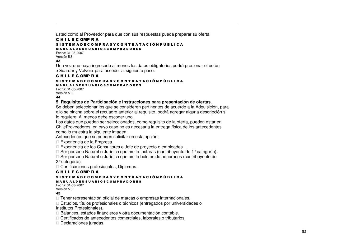usted como al Proveedor para que con sus respuestas pueda preparar su oferta.

#### C H I L E C OMP R A S I S T E M A D E C O M P R A S Y C O N T R A T A C I Ó N P Ú B L I C A

M A N U A L D E U S U A R I O S C O M P R A D O R E S Fecha: 31-08-2007Versión 5.6

#### 43

Una vez que haya ingresado al menos los datos obligatorios podrá presionar el botón <Guardar y Volver> para acceder al siguiente paso.

#### C H I L E C OMP R A

S I S T E M A D E C O M P R A S Y C O N T R A T A C I Ó N P Ú B L I C A

M A N U A L D E U S U A R I O S C O M P R A D O R E S Fecha: 31-08-2007

Versión 5.6 44

#### **5. Requisitos de Participación <sup>e</sup> Instrucciones para presentación de ofertas.**

Se deben seleccionar los que se consideren pertinentes de acuerdo <sup>a</sup> la Adquisición, para ello se pincha sobre el recuadro anterior al requisito, podrá agregar alguna descripción si lo requiere. Al menos debe escoger uno.

Los datos que pueden ser seleccionados, como requisito de la oferta, pueden estar en ChileProveedores, en cuyo caso no es necesaria la entrega física de los antecedentes como lo muestra la siguiente imagen:

Antecedentes que se pueden solicitar en esta opción:

Experiencia de la Empresa.

Experiencia de los Consultores <sup>o</sup> Jefe de proyecto <sup>o</sup> empleados.

Ser persona Natural o Jurídica que emita facturas (contribuyente de 1° categoría).

Ser persona Natural <sup>o</sup> Jurídica que emita boletas de honorarios (contribuyente de

2°categoría).

Certificaciones profesionales, Diplomas.

#### C H I L E C OMP R A

#### S I S T E M A D E C O M P R A S Y C O N T R A T A C I Ó N P Ú B L I C A M A N U A L D E U S U A R I O S C O M P R A D O R E S

Fecha: 31-08-2007Versión 5.6

45

Tener representación oficial de marcas <sup>o</sup> empresas internacionales.

 Estudios, títulos profesionales <sup>o</sup> técnicos (entregados por universidades <sup>o</sup> Institutos Profesionales).

Balances, estados financieros y otra documentación contable.

Certificados de antecedentes comerciales, laborales <sup>o</sup> tributarios.

Declaraciones juradas.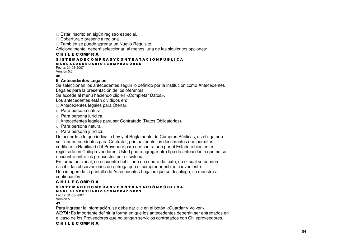Estar inscrito en algún registro especial.

Cobertura <sup>o</sup> presencia regional.

 También se puede agregar un Nuevo Requisito Adicionalmente, deberá seleccionar, al menos, una de las siguientes opciones:

#### C H I L E C OMP R A

#### S I S T E M A D E C O M P R A S Y C O N T R A T A C I Ó N P Ú B L I C A

#### M A N U A L D E U S U A R I O S C O M P R A D O R E S

Fecha: 31-08-2007Versión 5.6

#### 46

#### **6. Antecedentes Legales**

Se seleccionan los antecedentes según lo definido por la institución como Antecedentes Legales para la presentación de los oferentes.

Se accede al menú haciendo clic en <Completar Datos>.

Los antecedentes están divididos en:

Antecedentes legales para Ofertar.

- o Para persona natural.
- o Para persona jurídica.

Antecedentes legales para ser Contratado (Datos Obligatorios).

- o Para persona natural.
- o Para persona jurídica.

De acuerdo <sup>a</sup> lo que indica la Ley y el Reglamento de Compras Públicas, es obligatorio solicitar antecedentes para Contratar, puntualmente los documentos que permitan certificar la Habilidad del Proveedor para ser contratado por el Estado <sup>o</sup> bien estar registrado en Chileproveedores. Usted podrá agregar otro tipo de antecedente que no se encuentre entre los propuestos por el sistema.

En forma adicional, se encuentra habilitado un cuadro de texto, en el cual se pueden escribir las observaciones de entrega que el comprador estime conveniente.

Una imagen de la pantalla de Antecedentes Legales que se despliega, se muestra <sup>a</sup> continuación.

#### C H I L E C OMP R A

#### S I S T E M A D E C O M P R A S Y C O N T R A T A C I Ó N P Ú B L I C A

M A N U A L D E U S U A R I O S C O M P R A D O R E S Fecha: 31-08-2007Versión 5.6

#### 47

Para ingresar la información, se debe dar clic en el botón <Guardar y Volver>.

*NOTA:* Es importante definir la forma en que los antecedentes deberán ser entregados en el caso de los Proveedores que no tengan servicios contratados con Chileproveedores.

#### C H I L E C OMP R A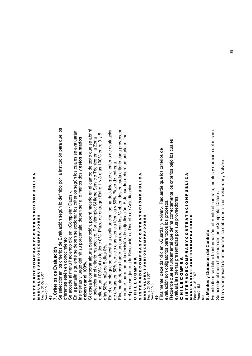#### თ<br>5<br>თ ⊢ ш Σ ⋖ o ပ<br>။ 0 Σ Δ. ⊄<br>M )<br>の ပ 0 z ⊢ ≃ A T<br>4 ە<br>ت z Δ. כ ن<br>1 ـا 1 ⋖ MPRADORES

0 0<br>2<br>0<br>2 œ ⋖ ALDEUSU Fecha: 31-08-2007 Fecha: 31-08-2007 ⋖ ∍ z ⋖<br>≊

Versión 5.6 Versión 5.6 60 \*

## **7. Criterio sdeEvalu ació n**

Se sele c cionan los criterios d  $\mathbf{\underline{\omega}}$ E v alua ción se gún lo d efinid o  $\Omega$ or la institución p ದ<br>ಹ que los oferentes estén en c oferentes estén en conocimiento. cimiento.

တိ a c c e d e al m enú ha ciend o ں<br>تا en < C o m pletar D atos>.

En la  $\Omega$ antalla siguiente se deben selec cionar los criterios se gún los cuales se e v aluarán las ofertas y lue g o d efinir su p o<br>ō entaje, d e b en ser a lo ε enos d os y **e sto s s u m a d o s debendar el 10 0%.**

つ<br>の ese a inc orp orar alguna d escrip ción, p o drá ha c erlo en el c a m p o d e te xto que se a brirá al sele c cionar el criterio resp e ctiv م<br>ة or eje έ plo: Si tiene ഗ ervicio T é cnic o en la Z ona btiene un 10 0 % si no lo tiene 0 %. Plazo d e entre g a: Entre 1 y ო días 10 0 % entre ო  $\mathord{\geqslant}$ დ días 5 0 %, m ás d e ഗ días 0 %.

o

En el eje  $\mathsf s$  $\frac{\circ}{\circ}$ que se muestra acontinua ción, se ha decidid og<br>a el criterio d e e v alua a<br>ت de ofertas es: 5  $\zeta^{\circ}$  servicio o asistencia té cnic a  $\mathord{\geqslant}$ 5 0 % Plazo d e entre g a.

Finalm ente d e b erá ha c er un cua e<br>ə c on los % o btenid os en c a d a criterio c a d a proveedor ofertante, p ara to m ar la d e cisión d e a djudic a ción. Este ದ<br>ವ 요<br>ㅎ d e b erá a djuntarlo al final del pro c eso, junto a la R esolución o  $\Box$ e creto ಕಿ A djudic a ción.

#### ပ コニエ ш ပ 0 Σ <u>≏</u> ĸ ⋖

#### ဖ<br>5<br>၈ ► ш Σ ⋖ Ω ш ပ 0 Σ Δ. ĸ ⋖ n ≻ ပ 0 z ► ĸ ⋖ ► ⋖ ა<br>ნ z Δ. 9 ن<br>1 ـ ا ⋖

MPRADORES 0 0<br>2<br>0<br>2 œ ⋖ ALDEUSU Fecha: 31-08-2007 Fecha: 31-08-2007 Versión 5.6 Versión 5.6 ⋖ ∍ z ⋖<br>≊

\*ග

Finalm ente, d e b e d ar clic v<br>5 Guard ৯<br>ল  $\,>$  $\frac{2}{\circ}$ er>. R e cuerd e que los criterios d  $\mathbf{\underline{\omega}}$ ev alua ción son o blig atorios p ara to d os los pro c esos.

Re cuerd e a<br>B es fund a m ental que d efina c orre cta m ente los criterios b ajo los cuales  $\mathfrak{g}$ aluará las ofertas presenta d as p or sus pro v e e d ores.

#### ပ コニエ ш ပ e<br>S ≃ ⋖

#### ဖ<br>5<br>၈ н. ш Σ ⋖ o ш ပ 0 Σ **Q** ⊄<br>M n ≻ ပ 0 z н. M −<br>∢ ₫ ა<br>ნ z Δ. 9 ن<br>1 ـ ا ـ ا ⋖ MPRADORES

0 0<br>0<br>0<br>2 ≃ ⋖ ALDEUSU Fecha: 31-08-2007 Fecha: 31-08-2007 Versión 5.6 Versión 5.6 ⋖ ∍ z ⋖<br>≊

<u>ន</u>

#### **8. M o nto s y D ura ció n d el C o ntrato**

En este íte m se ರ efine la inform a ción referente al c ontrato, m ontos y dura ción d el mism o.

ar y  $\,>$  $\frac{>}{\circ}$  $\hat{\varepsilon}$ 

တိ a c c e d e al m enú ha ciend o ں<br>تا en < C o m pletar D atos>. g<br>Dra v ez ingresa d a la inform a ción se d e b e d ar clic v<br>5 Guard

 $85$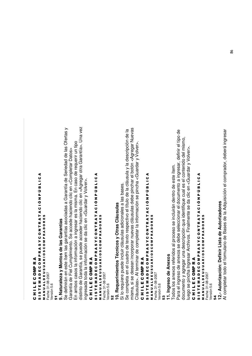# CHILECOMPRA C H I L E C OMP R A

# SISTEMADECOMPRASYCONTRATACIÓNPÚBLICA S I S T E M A D E C O M P R A S Y C O N T R A T A C I O N P U B L I C A<br>S I S T E M A D E C O M P R A T R A T A C I O N P U B L I C A MANUALDEUSUARIOSCOMPRADORES M A N U A L D E U S U A R I O S C O M P R A D O R E S

Fecha: 31-08-2007 Fecha: 31-08-2007 Versión 5.6 Versión 5.6

-,

# 9. Naturaleza y Montos de las Garantías **9. Naturaleza y Montos de las Garantías**

distinto de Garantía, se puede acceder haciendo clic en <Agregar otra Garantía>. Una vez distinto de Garantía, se puede acceder haciendo clic en <Agregar otra Garantía>. Una vez Se definirán en este ítem las garantías asociadas a Garantía de Seriedad de las Ofertas y Se definirán en este ítem las garantías asociadas a Garantía de Seriedad de las Ofertas y En ambos casos la información a ingresar es la misma. En caso de requerir un tipo En ambos casos la información a ingresar es la misma. En caso de requerir un tipo Garantía de Fiel Cumplimiento. Se accede haciendo clic en <Completar Datos> Garantía de Fiel Cumplimiento. Se accede haciendo clic en <Completar Datos> ngresada toda la información se da clic en <Guardar y Volver>. ingresada toda la información se da clic en <Guardar y Volver>.

# CHILECOMPRA C H I L E C OMP R A

# SISTEMADECOMPRASYCONTRATACIÓNPÚBLICA S I S T E M A D E C O M P R A S Y C O N T R A T A C I O N P U B L I C A<br>S I S T E M A D E C O M P R A T R A T A C I O N P U B L I C A

MANUALDEUSUARIOSCOMPRADORES M A N U A L D E U S U A R I O S C O M P R A D O R E S Fecha: 31-08-2007<br>Versión 5.6 Fecha: 31-08-2007 Versión 5.6

-%

# 10. Requerimientos Técnicos y Otras Cláusulas **10. Requerimientos Técnicos y Otras Cláusulas**

Si lo requiere puede incluir cláusulas adicionales a las bases. Si lo requiere puede incluir cláusulas adicionales a las bases.

misma, si se desean incorporar nuevas cláusulas debe pinchar el botón <Agregar Nuevas misma, si se desean incorporar nuevas cláusulas debe pinchar el botón <Agregar Nuevas Se completa en el cuadro de texto respectivo el título de la cláusula y la descripción de la Se completa en el cuadro de texto respectivo el título de la cláusula y la descripción de la Cláusulas>. Al terminar de completar la información se pincha <Guardar y Volver>. Cláusulas>. Al terminar de completar la información se pincha <Guardar y Volver>.

# CHILECOMPRA C H I L E C OMP R A

# SISTEMADECOMPRASYCONTRATACIÓNPÚBLICA S I S T E M A D E C O M P R A S Y C O N T R A T A C I O N P J B L I C A MANUALDEUSUARIOSCOMPRADORES M A N J A L D E J S J A R I O S C O M P R A D O R E S Fecha: 31-08-2007 Fecha: 31-08-2007

Versión 5.6 Versión 5.6

## ິຕິ

# 11. Ingreso de Anexos **11. Ingreso de Anexos**

Para el ingreso de anexos se debe seleccionar el documento a ingresar, definir el tipo de Para el ingreso de anexos se debe seleccionar el documento a ingresar, definir el tipo de documento y agregar una descripción que identifique cual es el contenido del mismo, documento y agregar una descripción que identifique cual es el contenido del mismo, uego se pincha Ingresar Archivos. Finalmente se da clic en <Guardar y Volver>. luego se pincha Ingresar Archivos. Finalmente se da clic en <Guardar y Volver>. Todos los anexos referidos al proceso se incluirán dentro de este ítem. Todos los anexos referidos al proceso se incluirán dentro de este ítem.

# CHILECOMPRA C H I L E C OMP R A

# SISTEMADECOMPRASYCONTRATACIÓNPÚBLICA S I S T E M A D E C O M P R A S Y C O N T R A T A C I Ó N P Ú B L I C A **MANUALDEUSUARIOSCOMPRADORES** M A N U A L D E U S U A R I O S C O M P R A D O R E S

Fecha: 31-08-2007 Fecha: 31-08-2007 Versión 5.6 Versión 5.6

## -\*

# 12.- Autorización: Definir Lista de Autorizadores **12.- Autorización: Definir Lista de Autorizadores**

Al completar todo el formulario de Bases de la Adquisición el comprador, deberá ingresar Al completar todo el formulario de Bases de la Adquisición el comprador, deberá ingresar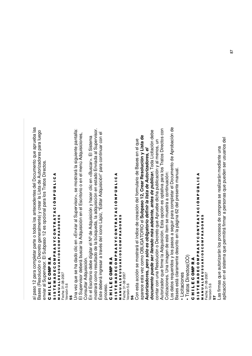al p aso 12 p ara c o m pletar p arte o to d os los ante c e d entes d el D o cum ento a<br>B a prue b a las Bases (R esolución o De creto g eneralm ente) y စ<br>၁ ar la Lista ಕಿ Autoriza d ores p ara lue g o enviar al Sup ervisor. El Sub p aso 12 es o p cional p ara los Tratos Dire ctos.

#### ပ コニエ ш ပ 0 Σ <u>≏</u> ĸ ⋖

#### თ<br>5<br>თ н. ш Σ ⋖ o ш ပ 0 Σ Δ. ĸ ⋖ n ≻ ပ 0 z н. ĸ ⋖ н. ⋖ ە<br>ت z Δ. 9 ن<br>1 ـ ا ـ ا ⋖ ⋖ ALDEUSU œ **RIOSC** 0 MPRADORES

⋖ Fecha: 31-08-2007 Fecha: 31-08-2007 ∍ z ∡<br>≥

#### Versión 5.6 Versión 5.6 ທ ທ

g<br>Da v ez que se ha d a d o clic ν<br>৯ Enviar al Sup ervisor>, se  $\in$ ostrará la siguiente p antalla: El Sup ervisor deberá busc ar la A ত quisición en el Escritorio o en el m enú A d quisiciones,  $\circ$ onsultar A dquisición. En el Escritorio d e b e digitar el Nºd  $\mathbf{\underline{\omega}}$ A ত quisición y ha c er clic v<br>ਛ Busc ar>. El Siste ma Ξ ostrará c o m o resulta d o d e la búsque d a, la a d quisición en esta d o Envia d a al Sup ervisor. e<br>És d e b erá ingresar a tra v és d ں۔<br>ه ខ<br>ទី Lápiz, "E ditar A d quisición" p ara c ontinuar c on el pro c eso.

#### ပ コニエ ш ပ 0 Σ <u>≏</u> ĸ ⋖

#### თ<br>5<br>თ н. ш Σ ⋖ ٥ ш ပ 0 Σ Δ. ĸ ⋖ n ≻ ပ 0 z Н. ĸ ⋖ Н. ⋖ ە<br>ت z <u>ρ.</u> 9 ن<br>1 ـا 1 ⋖ z<br>≼<br>∑ ≤<br>⊃ ALDEUSU ⋖ œ 0<br>2<br>0<br>2 0 MPRADORES

Fecha: 31-08-2007 Versión 5.6

#### **.**<br>ი

Con esta a c ción se  $\in$ ostrará el índic e d e cre a ción d el formulario d e B ases en el que ap are c e esta v ez c o m o O B LIG A T O RIO el **S u b p a s o 12, Cre ar R e s olu ció n y Lista d e Autoriz a d ore s,** *p ero s ólo e s o blig atorio definir la lista de A utoriza dore s, el do c u m e nto p u e de s er lle n a do m á s a dela nte, a nte s de p ublicar.* T o d a Licita ción d e b e contar c on una  $\propto$ esolución o  $\Box$ e creto g<br>D A prue b e dicha public a ción y ا<br>ھ enos, un Autoriza d or que firm e la A d quisición. Esta o p ción es o ptativ a  $\Omega$ ara los Tratos Dire ctos c ទ Cotiza ciones. Una im a g en d e este íte m se muestra a c ontinua ción: Los d atos re querid os y los p asos a se guir p ara c o mpletar el D o cum ento d e A pro b a ción d e ases está clara m ente d escrito en la p á gina 6 2 ರ el presente ٤ anual. cio nes

• Licita

മ

• Trato s Dire cto s(C  $\widehat{\circ}$ 

#### ပ ー<br>ニ ш ပ 0 Σ <u>≏</u> ĸ ⋖ ဖ<br>5<br>၈ н. ш Σ ⋖ o ш ပ 0 Σ **Q** ĸ ⋖ n ≻ ပ 0 z н. ĸ ⋖ н.

⋖ ن<br>1 ـ ا ـ ا 9 Δ. z ა<br>ნ 4 MPRADORES 0 0<br>0<br>0<br>2 ≃ ⋖ ALDEUSU Fecha: 31-08-2007 Fecha: 31-08-2007 ⋖ ∍ z ⋖<br>≊

/ersión 5.6 Versión 5.6

ເດ /

Las firm as que autorizarán los pro c esos d e c o m pras se re alizarán m e diante una aplic a ción en el siste ξ a g<br>B  $\Omega$ ermitirá firm ದ<br>ಸ  $\Omega$ ersonas que pue d en ser usuarios d  $\overline{\Phi}$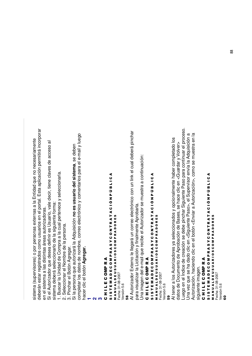siste m a (sup ervisores) o p or p ersonas e xternas a la Entid a d que no ne c esaria m ente de b erán estar re gistra d os c o m o usuarios en el p ortal. Esta a plic a ción p ermitirá inc orp orar en el siste Ë a a las distintas áre as autoriza d oras.

Si el Autoriza d or que d ese a ರ efinir es Usuario, v ale d e cir, tiene cla v es d e a c c eso त्त

siste m a deberá seleccionarlo ಕಿ la siguiente form ..<br>ನ

1. Busc ar la Unid a d d e  $\circ$ o m ք<br>ռ a la cual p ertene c e y sele c cionarla.

ဟ<br>လ ele c cionar el N o m bre d e la  $\Omega$ ersona.

3. Pinchar el B otón A gregar.

.<br>ග  $\Omega$ ersona g<br>B autorizará la A d quisición **n o e s u s u ario d el siste ma**, se d e b en co m pletar los d atos d e no ξ bre, c orre o ele ctrónic o  $\mathord{\geqslant}$ c o m entarios p ara el e-m ail y lue g o ha c er clic م<br>ه otón **A gre g ar.**

**1**

**2**

 $\overline{3}$ 

ပ コニエ ш ပ 0

#### Σ உ ĸ ⋖ თ<br>5<br>თ н. ш Σ ⋖ o ш ပ 0 Σ Δ. ĸ ⋖ n ≻ ပ 0 z н. ĸ ⋖ н. ⋖ ە<br>ت z Δ. 9 ن<br>1 ـ ا ـ ا ⋖ Z<br>2<br>2 ≤<br>⊐ ALDEUSU A R 0<br>0<br>0<br>1 O MPRADORES

Fecha: 31-08-2007 Versión 5.6 Versión 5.6

-2

Al Autoriza d or E xterno le lle g ará un c orre o ele ctrónic o  $\mathbf{\mathsf{c}}$ on un link el cual d e b erá pinchar para visualizar la Licita ción y finalm ente A pro b arla.

Una im a g en d el e-m ail que re cib e el Autoriza d or se muestra a c ontinua ción:

#### ပ ー<br>ニ ш ပ 0 을<br>둘 ĸ ⋖

#### თ<br>5<br>თ Н. ш Σ ⋖ ٥ ш ပ 0 Σ Δ. ĸ ⋖ n ≻ ပ 0 z Н. ĸ ⋖ Н. ⋖ ە<br>ت z <u>ρ.</u> 9 ن<br>1 ـا 1 ⋖ Z<br>2<br>2 ≤<br>⊃ ALDEUSU ⋖ ≃ 0<br>0<br>0<br>2 0 MPRADORES

Fecha: 31-08-2007 Versión 5.6 Versión 5.6

#### 8

Al tener a los Autoriza d ores y a sele c ciona d os y o p cionalm ente haber com pleta d o los datos d e  $\Box$ o cum ento d e A pro b a ción d e B ases, se ha c e  $\frac{9}{5}$ ν<br>৯ Guard ar<br>ল  $\,>$  $\grave{\vec{\circ}}$ د<br>ه Lue g o en el Índic e d e cre a ción se d e b e pinchar Siguiente <u>ո</u> aso p ara c ontinuar el pro c eso. g<br>Dra vez que se ha dadoclic v<br>ਛ Siguiente Paso >, el Sup ervisor envía la Adquisición a Autoriza ción, ha ciend o ں<br>تا en el b otón < Enviar a Autoriza ción>, c o m o se muestra en la siguiente im a g en.

#### ပ ー<br>ニ ш ပ 0 Σ <u>≏</u> ĸ ⋖

#### თ<br>5<br>თ Н. ш Σ ⋖ ٥ ш ပ 0 Σ Δ. ĸ ⋖ n ≻ ပ 0 z Н. ĸ ⋖ Н. ⋖ ە<br>ت z <u>ρ.</u> 9 ن<br>1 ـا 1 ⋖ ⋖<br>≊ z ∍ ⋖ ALDEUSU ⋖ ≃ 0<br>0<br>0<br>2 0 MPRADORES

Fecha: 31-08-2007 /ersión 5.6 Versión 5.6 0 .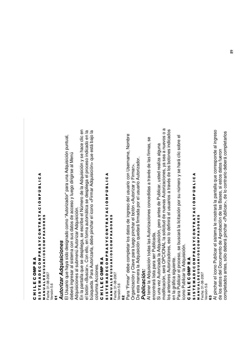#### ပ コニエ ш ပ 0 Σ உ ĸ ⋖

#### ⋖ ن<br>1 ـ ا ـ ا 9 Δ. z ە<br>ت ⋖ н. MPRADORES ⋖ ĸ н. z 0 ပ ≻ n 0 ⋖ **RIOSC** ĸ Δ. Σ œ ⋖ 0 ALDEUSU ပ ш Fecha: 31-08-2007 Fecha: 31-08-2007 o ⋖ Σ ⋖ ш ∍ н. z い<br>5<br>の ∡<br>≥

Versión 5.6 Versión 5.6

## .,

### *Auto riza rAdq uisicio nes*

El Usuario que ha y a sid o d esigna d o c o m o "Autoriza d or" p ara una A ত quisición puntual, de b erá ingresar al siste ξ a c on sus d atos d e a c c eso y lue g o dirigirse ∑<br>ಹ en<br>G Ad quisiciones al sub ξ enú Autorizar A d quisición.

En la p antalla que se d esplie g a, se escrib e el Núm ero d e la A ত quisición y se ha c e ں<br>تا en م<br>ه otón < Busc C<br>ar>. on ello, en form a auto έ átic a se d esplie g a el pro c eso indic a d o en la búsque d a. P ದ<br>ದ Autorizarla, d e b e pinchar el ic o<br>S < Firm ar A d quisición> g<br>B está b ajo la columna Acciones.

#### ပ コニエ ш ပ e<br>S ≃ ⋖

#### ဖ<br>5<br>၈ ► ш Σ ⋖ o ш ပ 0 Σ Δ. ĸ ⋖ n ≻ ပ 0 z ► ĸ ⋖ ► ⋖ ა<br>ნ z Δ. 9 ن<br>1 ـ ا ⋖ Z<br>2<br>2 ≤<br>⊃ ALDEUSU A R 0<br>0<br>0<br>2 o MPRADORES Fecha: 31-08-2007

Versión 5.6 Versión 5.6

## $\mathbf{\mathbf{\mathbf{S}}}$

Para "Firm ar" d e b e c o m pletar los d atos d e ingreso ರ el usuario  $\mathbf{\circ}$ on Userna ξ e, N o m bre ල<br>ටි aniza ción y Cla v e p ara lue g o pinchar el b otón < Autorizar y E<br>آ .<br>ಹ

മ esta ٤ anera la A ত quisición que d ará firm a d a  $\Omega$ or el usuario Autorizador.

#### *Pu blic a ció n:*

Al tener la A d quisición to ত as las Autoriza ciones c onc e did as a tra v és d e las firm as, se enc ontrará lista  $\Omega$ ara ser Public a d a. Si una  $\,>$ ez Autoriza d a la A ত quisición, p ero antes d e Public ar, uste d re aliza alguna mo dific a ción, será පි<br>ට CIO NA  $\overline{\phantom{0}}$  la solicitud d e nue v as Autoriza ciones, y a se a a nue v os o los anteriores Autoriza ত্ ores, eso lo d efinirá el usuarios a tra v és d e los b otones indic a d os en la gráfic asiguiente.

a

Para Public ar el pro c eso, se busc ará la licita ción p or su núm o<br>To y se hará clic so bre  $\overline{\mathbb{Q}}$ ic ono Public ar la Ad quisición.

#### ပ ー<br>ニ ш ပ 0 ₿ ĸ ⋖

#### ဖ<br>5<br>၈ ► ш Σ ⋖ o ш ပ 0 Σ Δ. ĸ ⋖ n ≻ ပ 0 z ► ĸ ⋖ ► ⋖ ა<br>ნ z Δ. 9 ن<br>1 ـ ا ⋖

MPRADORES 0 0<br>2<br>0<br>2 œ ⋖ ALDEUSU Fecha: 31-08-2007 Fecha: 31-08-2007 Versión 5.6 Versión 5.6 ⋖ ∍ z ⋖<br>≊

#### .**M**

Al pinchar el ic o<br>S Public ar el siste έ a le ε ostrará la p antalla g<br>B c orresp ond e al ingreso de los d atos d el D o cum ento d e A pro b a ción d e las B ases, si estos d atos fueron co m pleta d os antes, sólo d e b erá pinchar < Public ar>, d e lo c ontrario deberá com pletarlos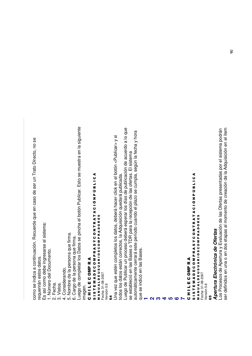Luego de completar los Datos se pincha el botón Publicar. Esto se muestra en la siguiente Luego de completar los Datos se pincha el botón Publicar. Esto se muestra en la siguiente Luego de Publicar un proceso deberá esperar los días de publicación de acuerdo a lo que Luego de Publicar un proceso deberá esperar los días de publicación de acuerdo a lo que Los Procesos de Apertura y Evaluación de las Ofertas presentadas por el sistema podrán ser definidos en una o en dos etapas al momento de creación de la Adquisición en el ítem ser definidos en una o en dos etapas al momento de creación de la Adquisición en el ítemLos Procesos de Apertura y Evaluación de las Ofertas presentadas por el sistema podrán automáticamente cerrará este período cuando el plazo se cumpla, según la fecha y hora automáticamente cerrará este período cuando el plazo se cumpla, según la fecha y hora Una vez que estén completos los datos, deberá hacer click en el botón <Publicar> y si Una vez que estén completos los datos, deberá hacer click en el botón <Publicar> y si como se indica a continuación. Recuerde que en caso de ser un Trato Directo, no se como se indica a continuación. Recuerde que en caso de ser un Trato Directo, no se se estableció en las Bases o TDR para la recepción de las ofertas. El sistema se estableció en las Bases o TDR para la recepción de las ofertas. El sistema SISTEMADECOMPRASYCONTRATACIÓNPÚBLICA SISTEMADECOMPRASYCONTRATACIÓNPÚBLICA S I S T E M A D E C O M P R A S Y C O N T R A T A C I O N P U B L I C A<br>S I S T E M A D E C O M P R A T R A T A C I O N P U B L I C A todos los datos están correctos, la Adquisición quedará publicada. todos los datos están correctos, la Adquisición quedará publicada. S I S T E M A D E C O M P R A S Y C O N T R A T A C I Ó N P Ú B L I C A<br>S I S T E M A D E C O M P R A T R A T A C I Ó N P Ú B L I C A **MANUALDEUSUARIOSCOMPRADORES** MANUALDEUSUARIOSCOMPRADORES M A N U A L D E U S U A R I O S C O M P R A D O R E S M A N U A L D E U S U A R I O S C O M P R A D O R E S Es así como debe ingresarse al sistema: Es así como debe ingresarse al sistema: Apertura Electrónica de Ofertas *Apertura Electrónica de Ofertas* 5. Nombre de la persona que firma. 5. Nombre de la persona que firma. 6. Cargo de la persona que firma. 6. Cargo de la persona que firma. que se indicó en las Bases. que se indicó en las Bases. 1. Número del Documento. 1. Número del Documento. requerirán estos datos. requerirán estos datos. CHILECOMPRA CHILECOMPRA C H I L E C OMP R A C H I L E C OMP R A 4. Considerando. 4. Considerando. Fecha: 31-08-2007<br>Versión 5.6 Fecha: 31-08-2007 Fecha: 31-08-2007 Fecha: 31-08-2007 2. Fecha. 3. Vistos. 2. Fecha. 3. Vistos. Versión 5.6 imagen. Versión 5.6 Versión 5.6 .\* **5** 8 **2** $\sim$ **46**

**1**

**7**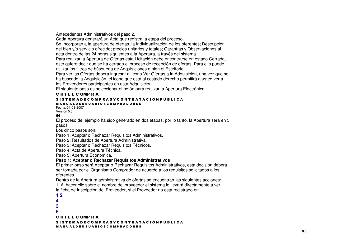Antecedentes Administrativos del paso 2.

Cada Apertura generará un Acta que registra la etapa del proceso.

Se Incorporan <sup>a</sup> la apertura de ofertas, la Individualización de los oferentes; Descripción del bien y/o servicio ofrecido; precios unitarios y totales; Garantías y Observaciones al acta dentro de las 24 horas siguientes <sup>a</sup> la Apertura, <sup>a</sup> través del sistema.

Para realizar la Apertura de Ofertas esta Licitación debe encontrarse en estado Cerrada, esto quiere decir que se ha cerrado el proceso de recepción de ofertas. Para ello puede utilizar los filtros de búsqueda de Adquisiciones <sup>o</sup> bien el Escritorio.

Para ver las Ofertas deberá ingresar al icono Ver Ofertas <sup>a</sup> la Adquisición, una vez que se ha buscado la Adquisición, el icono que está al costado derecho permitirá <sup>a</sup> usted ver <sup>a</sup> los Proveedores participantes en esta Adquisición.

El siguiente paso es seleccionar el botón para realizar la Apertura Electrónica.

#### C H I L E C OMP R A

#### S I S T E M A D E C O M P R A S Y C O N T R A T A C I Ó N P Ú B L I C A

#### M A N U A L D E U S U A R I O S C O M P R A D O R E S

Fecha: 31-08-2007Versión 5.6

#### 66

El proceso del ejemplo ha sido generado en dos etapas, por lo tanto, la Apertura será en 5 pasos.

Los cinco pasos son:

Paso 1: Aceptar <sup>o</sup> Rechazar Requisitos Administrativos.

Paso 2: Resultados de Apertura Administrativa.

Paso 3: Aceptar <sup>o</sup> Rechazar Requisitos Técnicos.

Paso 4: Acta de Apertura Técnica.

Paso 5: Apertura Económica.

#### **Paso 1: Aceptar <sup>o</sup> Rechazar Requisitos Administrativos**

El primer paso será Aceptar <sup>o</sup> Rechazar Requisitos Administrativos, esta decisión deberá ser tomada por el Organismo Comprador de acuerdo <sup>a</sup> los requisitos solicitados <sup>a</sup> los oferentes.

Dentro de la Apertura administrativa de ofertas se encuentran las siguientes acciones:

1. Al hacer clic sobre el nombre del proveedor el sistema lo llevará directamente <sup>a</sup> ver la ficha de Inscripción del Proveedor, si el Proveedor no está registrado en

**1 2 435**C H I L E C OMP R A S I S T E M A D E C O M P R A S Y C O N T R A T A C I Ó N P Ú B L I C A M A N U A L D E U S U A R I O S C O M P R A D O R E S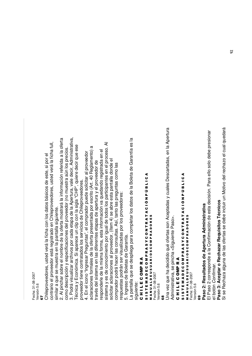Fecha: 31-08-2007 Fecha: 31-08-2007 /ersión 5.6 Versión 5.6

./Chile pro v e e d ores, uste ರ  $\,>$ erá la ficha c on los d atos b ásic os d e este, si p or el contrario el pro v e e d or está re gistra d o en Chile pro v e e d ores, uste ত v erá la ficha full, similar a que se muestra en la  $\Omega$ antalla siguiente.

2. Al pinchar so bre el no έ bre d e la oferta ε ostrará la inform a ción referid  $\overline{\mathbf{c}}$ a la oferta co m o d escrip ción y especificaciones d el proveedor (no muestra aún los pre cios. 3. P o drá visualizar archiv os p or c a d a eta p a d e la A p ertura, v ale d e cir, A d ministrativ  $\vec{\sigma}$ Té cnic a  $\mathord{\geqslant}$ ш c onó ں<br>E a. Si a p are c e un clip  $\mathbf{\mathsf{c}}$ on la sigla "C Į P", quiere d e cir que ese pro v e e d or tiene c ontrata d os los servicios d  $\mathbf{\underline{\Phi}}$ Chile proveedores. 4. En el ic ono "Ingresar Pre guntas", el c o m pra d or pue d e solicitar al pro v e e d or aclara ciones form ales d e la oferta presenta d a  $\Omega$ or escrito (Art. 4 ب R e gla m ento) a tra v és d el siste m a en las diferentes eta p as d e a p ertura  $\mathord{\geqslant}$ el proveedor de resp ond erle d e la mism a form a, esta inform a ción v a que d and o re gistra d a en el siste m a  $\mathord{\geqslant}$ es d e c ono cimiento p or igual d e to d os los p articip antes en el pro c eso. Al solicitar a clara ciones al pro v e e d or, (íte ξ 4) se a bre esta p antalla d ond e  $\overline{\Phi}$ co m pra d or p o drá ha c er las c onsultas. Así, tanto las pre guntas c o m o las

respuestas p o drán ser visualiza d as p or los pro v e e d ores: 5. Ingreso d e B oletas d e G arantía.

La p antalla que se d esplie g a p ara c o m pletar los d atos d e la B oleta ಕಿ G arantía es la siguiente:

#### ပ コニエ ш ပ 0 Σ உ ĸ

#### ⋖ ဖ<br>5<br>၈ ► ш Σ ⋖ Ω ш ပ 0 Σ Δ. ĸ ⋖ n ≻ ပ 0 z ► ĸ ⋖ ► ⋖ ა<br>ნ z Δ. 9 ن<br>1 ـ ا ⋖ Z<br>2<br>2 ≤<br>⊐ ALDEUSU ⋖ œ 0<br>0<br>0<br>1 0 MPRADORES

Fecha: 31-08-2007 Versión 5.6 Versión 5.6

.œ

g<br>Dra v ez que ha d e cidid o qué ofertas son A c e pta d as y cuales D esc arta d as, en la A p ertura Ad ministrativ a, se pincha < Siguiente ቢ aso  $\dot{\mathsf{r}}$ 

#### ပ コニエ ш ပ 0 Σ உ ĸ ⋖

#### თ<br>5<br>თ н. ш Σ ⋖ o ш ပ 0 Σ Δ. ĸ ⋖ n ≻ ပ 0 z н. ĸ ⋖ н. ⋖ ە<br>ت z Δ. 9 ن<br>1 ـا 1 ⋖

MPRADORES 0 0<br>2<br>0<br>2 œ ⋖ ALDEUSU Fecha: 31-08-2007 /ersión 5.6 Versión 5.6 ⋖ ∍ z ∡<br>≥ ဒ္ဓ

## **Paso2: R esulta dosdeApertura Administrativ a**

e<br>四 aso  $\mathbf{\alpha}$ c orresp ond e a la  $\circ$ onfirm a ción d e esta d e cisión. P ದ<br>ಹ ello solo d e b e presionar م<br>ھ otón *C onfirm ar*.

# **Pa s o 3: A c e ptar o R e c h a z ar R e q uisito s T é c nic o s**

Si se R e chaza alguna d e las ofertas se d e b e incluir un M otiv o d el re chazo el cual que d ará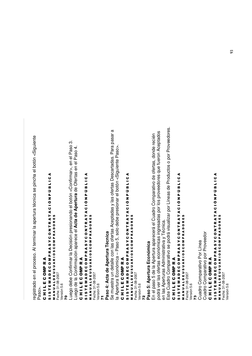Este Cuadro Comparativo se podrá visualizar por Líneas de Productos o por Proveedores. Este Cuadro Comparativo se podrá visualizar por Líneas de Productos o por Proveedores. Se muestra un detalle con las ofertas Aceptadas y las ofertas Descartadas. Para pasar a Se muestra un detalle con las ofertas Aceptadas y las ofertas Descartadas. Para pasar a podrá ver las ofertas económicas ingresadas por los proveedores que fueron Aceptados podrá ver las ofertas económicas ingresadas por los proveedores que fueron Aceptados En el paso 5 de la Apertura aparecerá el Cuadro Comparativo de ofertas, donde recién En el paso 5 de la Apertura aparecerá el Cuadro Comparativo de ofertas, donde recién registrado en el proceso. Al terminar la apertura técnica se pincha el botón <Siguiente registrado en el proceso. Al terminar la apertura técnica se pincha el botón <Siguiente Luego debe Confirmar la Decisión presionando el botón <Confirmar>, en el Paso 3. Luego debe Confirmar la Decisión presionando el botón <Confirmar>, en el Paso 3. la Apertura Económica - Paso 5, solo debe presionar el botón <Siguiente Paso>. la Apertura Económica – Paso 5, solo debe presionar el botón <Siguiente Paso>. Luego de la Confirmación aparece el Acta de Apertura de Ofertas en el Paso 4. Luego de la Confirmación aparece el **Acta de Apertura** de Ofertas en el Paso 4. SISTEMADECOMPRASYCONTRATACIÓNPÚBLICA SISTEMADECOMPRASYCONTRATACIÓNPÚBLICA SISTEMADECOMPRASYCONTRATACIÓNPÚBLICA SISTEMADECOMPRASYCONTRATACIÓNPÚBLICA S I S T E M A D E C O M P R A S Y C O N T R A T A C I O N P U B L I C A<br>S I S T E M A D E C O M P R A T R A T A C I O N P U B L I C A S I S T E M A D E C O M P R A S Y C O N T R A T A C I O N P U B L I C A<br>S I S T E M A D E C O M P R A T R A T A C I O N P U B L I C A S I S T E M A D E C O M P R A S Y C O N T R A T A C I O N P U B L I C A<br>S I S T E M A D E C O M P R A T R A T A C I O N P U B L I C A S I S T E M A D E C O M P R A S Y C O N T R A T A C I Ó N P Ú B L I C A MANUALDEUSUARIOSCOMPRADORES MANUALDEUSUARIOSCOMPRADORES **MANUALDEUSUARIOSCOMPRADORES** M A N U A L D E U S U A R I O S C O M P R A D O R E S M A N U A L D E U S U A R I O S C O M P R A D O R E S M A N U A L D E U S U A R I O S C O M P R A D O R E S en las Aperturas Administrativa y Técnica. en las Aperturas Administrativa y Técnica. Paso 4: Acta de Apertura Técnica **Paso 4: Acta de Apertura Técnica** Paso 5: Apertura Económica **Paso 5: Apertura Económica** CHILECOMPRA CHILECOMPRA CHILECOMPRA CHILECOMPRA C H I L E C OMP R A C H I L E C OMP R A C H I L E C OMP R A C H I L E C OMP R A Fecha: 31-08-2007 Fecha: 31-08-2007 Fecha: 31-08-2007 Fecha: 31-08-2007 Fecha: 31-08-2007 Fecha: 31-08-2007 Versión 5.6 Versión 5.6 Versión 5.6 Versión 5.6 Versión 5.6 Versión 5.6 Paso>. <u>ខ្លួ</u> /% /,

#### SISTEMADECOMPRASYCONTRATACIÓNPÚBLICA S I S T E M A D E C O M P R A S Y C O N T R A T A C I Ó N P Ú B L I C A MANUALDEUSUARIOSCOMPRADORES MANUALDEUSUARIOSCOMPRADORES M A N U A L D E U S U A R I O S C O M P R A D O R E S M A N U A L D E U S U A R I O S C O M P R A D O R E S Cuadro Comparativo por Proveedor Cuadro Comparativo por Proveedor Cuadro Comparativo Por Línea Cuadro Comparativo Por Línea CHILECOMPRA C H I L E C OMP R A Fecha: 31-08-2007 Fecha: 31-08-2007 Fecha: 31-08-2007 Versión 5.6 Versión 5.6 /'

Fecha: 31-08-2007 Versión 5.6

/ersión 5.6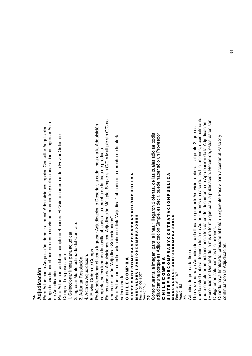#### /\***A**모.<br>ㅎ **dic a ció n**

Para A djudic ar la A ਹ quisición, d e b e ir al m enú A d quisiciones, o p ción C onsultar A d quisición, lue g o busc arla p or el núm ero (esto se vio anteriorm ente) y sele ي cionar el ic ono Ingresar A cta deAdjudic ación.

Para A djudic ar se d e b en c o m pletar 4  $\Omega$ asos. El Quinto c orresp ond e a Enviar Ord en d e Co m pra. L asos son:

os p თ<br>-ele c cionar líne as p ದ<br>ದ a djudic ..<br>ಸ

2. Ingresar M onto estim a d o d el C ontrato.

<<br>⊲ djuntar R esolución.

4. A cta d e A djudic a ción. 5. Enviar Ord en d e  $\circ$ o m .<br>ը<br>

Po drá sele c cionar el ic ono Ingresar A djudic a ción o  $\Box$ esertar, a c a d a líne a o a la A d quisición co m pleta, sele c cionand o la  $\mathbf{\mathsf{c}}$ asilla ubic a d a a la d ere cha d e la líne a d e p<br>D ducto.

En los c asos d e A ত quisiciones c on A djudic a ción Múltiple, Sim ple sin O/C  $\mathord{\geqslant}$ Múltiple sin O/C no

ap are c e م<br>ه otón "A djudic ಯ<br>ಹ ele c ciona d os". Para A djudic ar la oferta, sele c cione el link "A djudic ar" ubic a d o a la d ere cha d e la

oferta

sele cciona da.

#### ပ コニエ ш ပ 을<br>이 ĸ ⋖

#### ဖ<br>5<br>၈ ⊢ ш Σ ⋖ o ပ<br>။ 0 Σ Δ. ⊄<br>M ー<br>の ပ 0 z ⊢ ≃ A T A ა<br>ნ !ß. כ ن<br>1 ـ ا ⋖ ⋖ ⋖ œ 0<br>0<br>0<br>1 0 MPRADORES

ALDEUSU Fecha: 31-08-2007 Versión 5.6 Versión 5.6 ∍ z ∡<br>≥

/-

Comomuestra la im agen, p ara la líne a 1 lle garon 3 ofertas, d e las cuales sólo se podía adjudic ar una p orque es A djudic a ción Sim ple, es decir, puede hab er sólo un Pro v e e d or

#### ပ コニエ ш ပ 0 을<br>둘 ĸ ⋖ თ<br>5<br>თ ⊢ ш Σ ⋖ o ပ<br>။ 0 Σ Δ. ⊄<br>M )<br>の ပ 0 z ⊢ ≃ A T<br>4 ە<br>ت z Δ. כ ن<br>1 ـا 1 ⋖ ⋖ œ **RIOSC** 0 MPRADORES

ALDEUSU Fecha: 31-08-2007 Fecha: 31-08-2007 /ersión 5.6 ⋖ ∍ z ∡<br>≥

Versión 5.6 /.

# Adjudic a d o por cada línea.

g<br>Dra v ez que ha y a A djudic a d o c a d a líne a d e ք<br><u>ե</u> ducto/servicio, d e b erá ir al punto 2, que œ<br>Φ dond e uste d d e b erá d efinir la lista d e Autoriza d ores en c aso d e las Licita ciones, o p cionalm ente po drá c o m pletar en esta instancia los d atos d el d o cum ento d e A pro b a ción d e la A djudic a ción  $\overline{\mathbb{E}}$ esolución o  $\mathbf \Omega$ e creto) d e la mism a form a g<br>B p ara la public a ción. R e cuerd e, estos d atos son Oblig atorios sólo  $\Omega$ ara las Licita ciones.

Cuand o ha y a finaliza ರ o, presione م<br>ھ otón < Siguiente <u>ո</u> aso > p ara a c c e d er al P aso  $\mathbf{\alpha}$  $\mathord{\geqslant}$ continuar c on la A djudic a ción.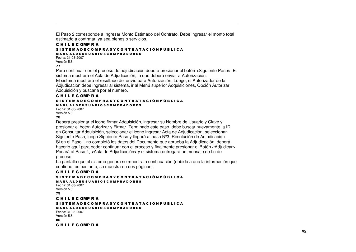El Paso 2 corresponde <sup>a</sup> Ingresar Monto Estimado del Contrato. Debe ingresar el monto total estimado <sup>a</sup> contratar, ya sea bienes <sup>o</sup> servicios.

#### C H I L E C OMP R A S I S T E M A D E C O M P R A S Y C O N T R A T A C I Ó N P Ú B L I C A M A N U A L D E U S U A R I O S C O M P R A D O R E S

Fecha: 31-08-2007Versión 5.6 //

Para continuar con el proceso de adjudicación deberá presionar el botón <Siguiente Paso>. El sistema mostrará el Acta de Adjudicación, la que deberá enviar <sup>a</sup> Autorización. El sistema mostrará el resultado del envío para Autorización. Luego, el Autorizador de la Adjudicación debe ingresar al sistema, ir al Menú superior Adquisiciones, Opción Autorizar Adquisición y buscarla por el número.

#### C H I L E C OMP R A

#### S I S T E M A D E C O M P R A S Y C O N T R A T A C I Ó N P Ú B L I C A M A N U A L D E U S U A R I O S C O M P R A D O R E S

Fecha: 31-08-2007Versión 5.6

#### 78

Deberá presionar el icono firmar Adquisición, ingresar su Nombre de Usuario y Clave y presionar el botón Autorizar y Firmar. Terminado este paso, debe buscar nuevamente la ID, en Consultar Adquisición, seleccionar el icono ingresar Acta de Adjudicación, seleccionar Siguiente Paso, luego Siguiente Paso y llegará al paso Nº3, Resolución de Adjudicación. Si en el Paso 1 no completó los datos del Documento que aprueba la Adjudicación, deberá hacerlo aquí para poder continuar con el proceso y finalmente presionar el Botón <Adjudicar>. Pasará al Paso 4, <Acta de Adjudicación> y el sistema entregará un mensaje de fin de proceso.

La pantalla que el sistema genera se muestra <sup>a</sup> continuación (debido <sup>a</sup> que la información que contiene, es bastante, se muestra en dos páginas).

#### C H I L E C OMP R A

S I S T E M A D E C O M P R A S Y C O N T R A T A C I Ó N P Ú B L I C A M A N U A L D E U S U A R I O S C O M P R A D O R E S Fecha: 31-08-2007Versión 5.6 79 C H I L E C OMP R A S I S T E M A D E C O M P R A S Y C O N T R A T A C I Ó N P Ú B L I C A M A N U A L D E U S U A R I O S C O M P R A D O R E S Fecha: 31-08-2007Versión 5.6 80 C H I L E C OMP R A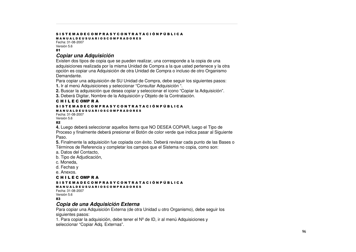#### S I S T E M A D E C O M P R A S Y C O N T R A T A C I Ó N P Ú B L I C A

M A N U A L D E U S U A R I O S C O M P R A D O R E S Fecha: 31-08-2007

Versión 5.6 81

#### *Copiar una Adquisición*

Existen dos tipos de copia que se pueden realizar, una corresponde <sup>a</sup> la copia de una adquisiciones realizada por la misma Unidad de Compra <sup>a</sup> la que usted pertenece y la otra opción es copiar una Adquisición de otra Unidad de Compra <sup>o</sup> incluso de otro Organismo Demandante.

Para copiar una adquisición de SU Unidad de Compra, debe seguir los siguientes pasos:

**1.** Ir al menú Adquisiciones y seleccionar "Consultar Adquisición ".

**2.** Buscar la adquisición que desea copiar y seleccionar el icono "Copiar la Adquisición".

**3.** Deberá Digitar, Nombre de la Adquisición y Objeto de la Contratación.

#### C H I L E C OMP R A

#### S I S T E M A D E C O M P R A S Y C O N T R A T A C I Ó N P Ú B L I C A M A N U A L D E U S U A R I O S C O M P R A D O R E S

Fecha: 31-08-2007Versión 5.6

#### 82

**4.** Luego deberá seleccionar aquellos ítems que NO DESEA COPIAR, luego el Tipo de Proceso y finalmente deberá presionar el Botón de color verde que indica pasar al Siguiente Paso.

**5.** Finalmente la adquisición fue copiada con éxito. Deberá revisar cada punto de las Bases <sup>o</sup> Términos de Referencia y completar los campos que el Sistema no copia, como son:

a. Datos del Contacto,

b. Tipo de Adjudicación,

c. Moneda,

d. Fechas y

e. Anexos.

C H I L E C OMP R A

#### S I S T E M A D E C O M P R A S Y C O N T R A T A C I Ó N P Ú B L I C A

#### M A N U A L D E U S U A R I O S C O M P R A D O R E S

Fecha: 31-08-2007Versión 5.6

 $83$ 

#### *Copia de una Adquisición Externa*

Para copiar una Adquisición Externa (de otra Unidad <sup>u</sup> otro Organismo), debe seguir los siguientes pasos:

1. Para copiar la adquisición, debe tener el Nº de ID, ir al menú Adquisiciones y seleccionar "Copiar Adq. Externas".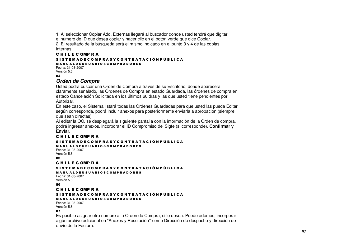**1.** Al seleccionar Copiar Adq. Externas llegará al buscador donde usted tendrá que digitar el numero de ID que desea copiar y hacer clic en el botón verde que dice Copiar. 2. El resultado de la búsqueda será el mismo indicado en el punto 3 y 4 de las copias internas.

#### C H I L E C OMP R A S I S T E M A D E C O M P R A S Y C O N T R A T A C I Ó N P Ú B L I C A M A N U A L D E U S U A R I O S C O M P R A D O R E S

Fecha: 31-08-2007Versión 5.6 84

#### *Orden de Compra*

Usted podrá buscar una Orden de Compra <sup>a</sup> través de su Escritorio, donde aparecerá claramente señalado, las Órdenes de Compra en estado Guardada, las órdenes de compra en estado Cancelación Solicitada en los últimos 60 días y las que usted tiene pendientes por Autorizar.

En este caso, el Sistema listará todas las Órdenes Guardadas para que usted las pueda Editar según corresponda, podrá incluir anexos para posteriormente enviarla <sup>a</sup> aprobación (siempre que sean directas).

Al editar la OC, se desplegará la siguiente pantalla con la información de la Orden de compra, podrá ingresar anexos, incorporar el ID Compromiso del Sigfe (si corresponde), **Confirmar y Enviar.**

#### C H I L E C OMP R A

#### S I S T E M A D E C O M P R A S Y C O N T R A T A C I Ó N P Ú B L I C A

M A N U A L D E U S U A R I O S C O M P R A D O R E S Fecha: 31-08-2007Versión 5.6

85

#### C H I L E C OMP R A

#### S I S T E M A D E C O M P R A S Y C O N T R A T A C I Ó N P Ú B L I C A

M A N U A L D E U S U A R I O S C O M P R A D O R E S Fecha: 31-08-2007

#### Versión 5.6 86

#### C H I L E C OMP R A

#### S I S T E M A D E C O M P R A S Y C O N T R A T A C I Ó N P Ú B L I C A

#### M A N U A L D E U S U A R I O S C O M P R A D O R E S

Fecha: 31-08-2007Versión 5.6 87

Es posible asignar otro nombre <sup>a</sup> la Orden de Compra, si lo desea. Puede además, incorporar algún archivo adicional en "Anexos y Resolución**"** como Dirección de despacho y dirección de envío de la Factura.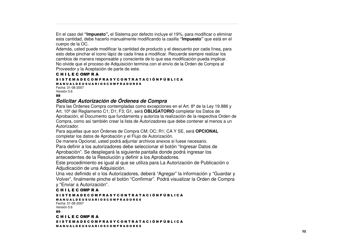En el caso del **"Impuesto",** el Sistema por defecto incluye el 19%, para modificar <sup>o</sup> eliminar esta cantidad, debe hacerlo manualmente modificando la casilla **"Impuesto"** que está en el cuerpo de la OC.

Además, usted puede modificar la cantidad de producto y el descuento por cada línea, para esto debe pinchar el icono lápiz de cada línea <sup>a</sup> modificar. Recuerde siempre realizar los cambios de manera responsable y consciente de lo que esa modificación pueda implicar. No olvide que el proceso de Adquisición termina con el envío de la Orden de Compra al Proveedor y la Aceptación de parte de este.

#### C H I L E C OMP R A

#### S I S T E M A D E C O M P R A S Y C O N T R A T A C I Ó N P Ú B L I C A

M A N U A L D E U S U A R I O S C O M P R A D O R E S Fecha: 31-08-2007Versión 5.6

#### 88

#### *Solicitar Autorización de Órdenes de Compra*

Para las Órdenes Compra contempladas como excepciones en el Art. 8º de la Ley 19.886 y Art. 10º del Reglamento C1; D1; F3; G1, será **OBLIGATORIO** completar los Datos de Aprobación, el Documento que fundamenta y autoriza la realización de la respectiva Orden de Compra, como así también crear la lista de Autorizadores que debe contener al menos <sup>a</sup> un Autorizador.

Para aquellas que son Órdenes de Compra CM; OC; R1; CA <sup>Y</sup> SE, será **OPCIONAL** completar los datos de Aprobación y el Flujo de Autorización.

De manera Opcional, usted podrá adjuntar archivos anexos si fuese necesario.

Para definir <sup>a</sup> los autorizadores debe seleccionar el botón "Ingresar Datos de

Aprobación". Se desplegará la siguiente pantalla donde podrá ingresar los antecedentes de la Resolución y definir <sup>a</sup> los Aprobadores.

Este procedimiento es igual al que se utiliza para La Autorización de Publicación <sup>o</sup> Adjudicación de una Adquisición.

Una vez definido el <sup>o</sup> los Autorizadores, deberá "Agregar" la información y "Guardar y Volver", finalmente pinche el botón "Confirmar". Podrá visualizar la Orden de Compra y "Enviar <sup>a</sup> Autorización".

#### C H I L E C OMP R A

#### S I S T E M A D E C O M P R A S Y C O N T R A T A C I Ó N P Ú B L I C A

M A N U A L D E U S U A R I O S C O M P R A D O R E S Fecha: 31-08-2007Versión 5.6

89

C H I L E C OMP R A

S I S T E M A D E C O M P R A S Y C O N T R A T A C I Ó N P Ú B L I C A M A N U A L D E U S U A R I O S C O M P R A D O R E S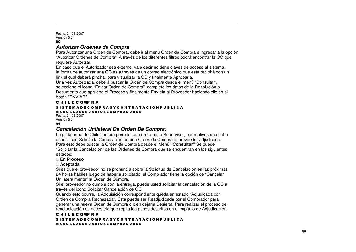Fecha: 31-08-2007Versión 5.6 90

#### *Autorizar Órdenes de Compra*

Para Autorizar una Orden de Compra, debe ir al menú Orden de Compra <sup>e</sup> ingresar <sup>a</sup> la opción "Autorizar Órdenes de Compra". A través de los diferentes filtros podrá encontrar la OC que requiere Autorizar.

En caso que el Autorizador sea externo, vale decir no tiene claves de acceso al sistema, la forma de autorizar una OC es <sup>a</sup> través de un correo electrónico que este recibirá con un link el cual deberá pinchar para visualizar la OC y finalmente Aprobarla.

Una vez Autorizada, deberá buscar la Orden de Compra desde el menú "Consultar", seleccione el icono "Enviar Orden de Compra", complete los datos de la Resolución <sup>o</sup> Documento que aprueba el Proceso y finalmente Envíela al Proveedor haciendo clic en el botón "ENVIAR".

#### C H I L E C OMP R A

#### S I S T E M A D E C O M P R A S Y C O N T R A T A C I Ó N P Ú B L I C A M A N U A L D E U S U A R I O S C O M P R A D O R E S

Fecha: 31-08-2007Versión 5.6

#### 91

#### *Cancelación Unilateral De Orden De Compra:*

La plataforma de ChileCompra permite, que un Usuario Supervisor, por motivos que debe especificar, Solicite la Cancelación de una Orden de Compra al proveedor adjudicado. Para esto debe buscar la Orden de Compra desde el Menú **"Consultar"** Se puede "Solicitar la Cancelación" de las Órdenes de Compra que se encuentran en los siguientes estados:

#### **En Proceso**

#### **Aceptada**

Si es que el proveedor no se pronuncia sobre la Solicitud de Cancelación en las próximas 24 horas hábiles luego de haberla solicitado, el Comprador tiene la opción de "Cancelar Unilateralmente" la Orden de Compra.

Si el proveedor no cumple con la entrega, puede usted solicitar la cancelación de la OC <sup>a</sup> través del icono Solicitar Cancelación de OC.

Cuando esto ocurre, la Adquisición correspondiente queda en estado "Adjudicada con Orden de Compra Rechazada". Ésta puede ser Readjudicada por el Comprador para generar una nueva Orden de Compra <sup>o</sup> bien dejarla Desierta. Para realizar el proceso de readjudicación es necesario que repita los pasos descritos en el capítulo de Adjudicación.

#### C H I L E C OMP R A S I S T E M A D E C O M P R A S Y C O N T R A T A C I Ó N P Ú B L I C A M A N U A L D E U S U A R I O S C O M P R A D O R E S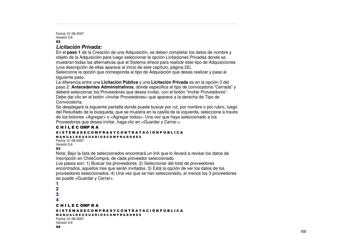Fecha: 31-08-2007Versión 5.6 92

#### *Licitación Privada:*

En el **paso 1** de la Creación de una Adquisición, se deben completar los datos de nombre y objeto de la Adquisición para luego seleccionar la opción Licitaciones Privadas donde se muestran todas las alternativas que el Sistema ofrece para realizar este tipo de Adquisiciones (una descripción de ellas aparece al inicio de este capítulo, página 22). Seleccione la opción que corresponda al tipo de Adquisición que desea realizar y pase al

siguiente paso.

La diferencia entre una **Licitación Pública** y una **Licitación Privada** es en la opción 3 del paso 2: **Antecedentes Administrativos**, donde especifica el tipo de convocatoria "Cerrada" y deberá seleccionar los Proveedores que desea invitar, con el botón "Invitar Proveedores". Debe dar clic en el botón <Invitar Proveedores> que aparece <sup>a</sup> la derecha de Tipo de Convocatoria.

Se desplegará la siguiente pantalla donde puede buscar por rut, por nombre <sup>o</sup> por rubro, luego del Resultado de la búsqueda, que se muestra en la casilla de la izquierda, seleccione <sup>a</sup> través de los botones <Agregar> <sup>o</sup> <Agregar todos>. Una vez que haya seleccionado <sup>a</sup> los Proveedores que desea invitar, haga clic en <Guardar y Cerrar.>.

#### C H I L E C OMP R A S I S T E M A D E C O M P R A S Y C O N T R A T A C I Ó N P Ú B L I C A M A N U A L D E U S U A R I O S C O M P R A D O R E S

Fecha: 31-08-2007Versión 5.6 93

Nota: Bajo la lista de seleccionados encontrará un link que lo llevará <sup>a</sup> revisar los datos de inscripción en ChileCompra, de cada proveedor seleccionado.

Los pasos son: 1) Buscar los proveedores. 2) Seleccionar del total de proveedores encontrados, aquellos tres que serán invitados. 3) Está la opción de ver los datos de los proveedores seleccionados. 4) Una vez que se han seleccionado, al menos los 3 proveedores se puede <Guardar y Cerrar>.

```
1234C H I L E C OMP R A
S I S T E M A D E C O M P R A S Y C O N T R A T A C I Ó N P Ú B L I C A
M A N U A L D E U S U A R I O S C O M P R A D O R E S
Fecha: 31-08-2007Versión 5.6
94
```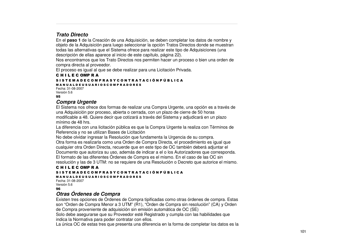#### *Trato Directo*

En el **paso 1** de la Creación de una Adquisición, se deben completar los datos de nombre y objeto de la Adquisición para luego seleccionar la opción Tratos Directos donde se muestran todas las alternativas que el Sistema ofrece para realizar este tipo de Adquisiciones (una descripción de ellas aparece al inicio de este capítulo, página 22).

Nos encontramos que los Trato Directos nos permiten hacer un proceso <sup>o</sup> bien una orden de compra directa al proveedor.

El proceso es igual al que se debe realizar para una Licitación Privada.

#### C H I L E C OMP R A

S I S T E M A D E C O M P R A S Y C O N T R A T A C I Ó N P Ú B L I C A M A N U A L D E U S U A R I O S C O M P R A D O R E S Fecha: 31-08-2007

Versión 5.6 95

#### *Compra Urgente*

El Sistema nos ofrece dos formas de realizar una Compra Urgente, una opción es <sup>a</sup> través de una Adquisición por proceso, abierta <sup>o</sup> cerrada, con un plazo de cierre de 50 horas modificable <sup>a</sup> 48. Quiere decir que cotizará <sup>a</sup> través del Sistema y adjudicará en un plazo mínimo de 48 hrs.

La diferencia con una licitación pública es que la Compra Urgente la realiza con Términos de Referencia y no se utilizan Bases de Licitación

No debe olvidar ingresar la Resolución que fundamenta la Urgencia de su compra. Otra forma es realizarla como una Orden de Compra Directa, el procedimiento es igual que cualquier otra Orden Directa, recuerde que en este tipo de OC también deberá adjuntar el Documento que autoriza su uso, además de indicar <sup>a</sup> el <sup>o</sup> los Autorizadores que corresponda. El formato de las diferentes Órdenes de Compra es el mismo. En el caso de las OC sin resolución y las de 3 UTM: no se requiere de una Resolución <sup>o</sup> Decreto que autorice el mismo.

#### C H I L E C OMP R A S I S T E M A D E C O M P R A S Y C O N T R A T A C I Ó N P Ú B L I C A M A N U A L D E U S U A R I O S C O M P R A D O R E S

Fecha: 31-08-2007Versión 5.6 96

#### *Otras Órdenes de Compra*

Existen tres opciones de Órdenes de Compra tipificadas como otras órdenes de compra. Estas son "Orden de Compra Menor <sup>a</sup> 3 UTM" (R1), "Orden de Compra sin resolución" (CA) y Orden de Compra proveniente de adquisición sin emisión automática de OC (SE)

Solo debe asegurarse que su Proveedor esté Registrado y cumpla con las habilidades que indica la Normativa para poder contratar con ellos.

La única OC de estas tres que presenta una diferencia en la forma de completar los datos es la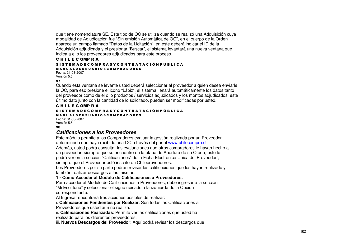que tiene nomenclatura SE. Este tipo de OC se utiliza cuando se realizó una Adquisición cuya modalidad de Adjudicación fue "Sin emisión Automática de OC", en el cuerpo de la Orden aparece un campo llamado "Datos de la Licitación", en este deberá indicar el ID de la Adquisición adjudicada y el presionar "Buscar", el sistema levantará una nueva ventana que indica <sup>a</sup> el <sup>o</sup> los proveedores adjudicados para este proceso.

#### C H I L E C OMP R A S I S T E M A D E C O M P R A S Y C O N T R A T A C I Ó N P Ú B L I C A M A N U A L D E U S U A R I O S C O M P R A D O R E S

Fecha: 31-08-2007Versión 5.6 97

Cuando esta ventana se levante usted deberá seleccionar al proveedor <sup>a</sup> quien desea enviarle la OC, para eso presione el icono "Lápiz", el sistema llenará automáticamente los datos tanto del proveedor como de el <sup>o</sup> lo productos / servicios adjudicados y los montos adjudicados, este último dato junto con la cantidad de lo solicitado, pueden ser modificadas por usted.

#### C H I L E C OMP R A

#### S I S T E M A D E C O M P R A S Y C O N T R A T A C I Ó N P Ú B L I C A

M A N U A L D E U S U A R I O S C O M P R A D O R E S Fecha: 31-08-2007

Versión 5.6 98

#### *Calificaciones a los Proveedores*

Este módulo permite <sup>a</sup> los Compradores evaluar la gestión realizada por un Proveedor determinado que haya recibido una OC <sup>a</sup> través del portal www.chilecompra.cl. Además, usted podrá consultar las evaluaciones que otros compradores le hayan hecho <sup>a</sup> un proveedor, siempre que se encuentre en la etapa de Apertura de su Oferta, esto lo podrá ver en la sección "Calificaciones" de la Ficha Electrónica Única del Proveedor", siempre que el Proveedor esté inscrito en Chileproveedores.

Los Proveedores por su parte podrán revisar las calificaciones que les hayan realizado y también realizar descargos <sup>a</sup> las mismas.

#### **1.- Cómo Acceder al Módulo de Calificaciones <sup>a</sup> Proveedores.**

Para acceder al Módulo de Calificaciones <sup>a</sup> Proveedores, debe ingresar <sup>a</sup> la sección "Mi Escritorio" y seleccionar el signo ubicado <sup>a</sup> la izquierda de la Opción correspondiente.

Al Ingresar encontrará tres acciones posibles de realizar:

i. **Calificaciones Pendientes por Realizar**: Son todas las Calificaciones <sup>a</sup>

Proveedores que usted aún no realiza.

ii. **Calificaciones Realizadas**: Permite ver las calificaciones que usted ha realizado para los diferentes proveedores.

iii. **Nuevos Descargos del Proveedor**: Aquí podrá revisar los descargos que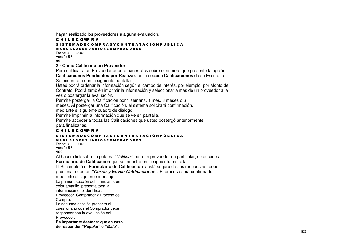hayan realizado los proveedores <sup>a</sup> alguna evaluación.

#### C H I L E C OMP R A S I S T E M A D E C O M P R A S Y C O N T R A T A C I Ó N P Ú B L I C A M A N U A L D E U S U A R I O S C O M P R A D O R E S

Fecha: 31-08-2007Versión 5.6

#### 33

**2.- Cómo Calificar a un Proveedor.**

Para calificar <sup>a</sup> un Proveedor deberá hacer click sobre el número que presente la opción **Calificaciones Pendientes por Realizar,** en la sección **Calificaciones** de su Escritorio.

Se encontrará con la siguiente pantalla:

Usted podrá ordenar la información según el campo de interés, por ejemplo, por Monto de Contrato. Podrá también imprimir la información y seleccionar <sup>a</sup> más de un proveedor <sup>a</sup> la vez o postergar la evaluación.

Permite postergar la Calificación por 1 semana, 1 mes, 3 meses <sup>o</sup> 6

meses. Al postergar una Calificación, el sistema solicitará confirmación,

mediante el siguiente cuadro de dialogo.

Permite Imprimir la información que se ve en pantalla.

Permite acceder <sup>a</sup> todas las Calificaciones que usted postergó anteriormente para finalizarlas.

#### C H I L E C OMP R A

#### S I S T E M A D E C O M P R A S Y C O N T R A T A C I Ó N P Ú B L I C A

#### M A N U A L D E U S U A R I O S C O M P R A D O R E S

Fecha: 31-08-2007Versión 5.6

#### 100

Al hacer click sobre la palabra "*Calificar*" para un proveedor en particular, se accede al **Formulario de Calificación** que se muestra en la siguiente pantalla:

 Si completó el **Formulario de Calificación** y está seguro de sus respuestas, debe presionar el botón **"***Cerrar y Enviar Calificaciones***".** El proceso será confirmado

mediante el siguiente mensaje:

La primera sección del formulario, en

color amarillo, presenta toda la

información que identifica al

Proveedor, Comprador y Proceso de Compra.

La segunda sección presenta el cuestionario que el Comprador debe

responder con la evaluación del

Proveedor.

**Es importante destacar que en caso de responder "***Regular***" <sup>o</sup> "***Malo***",**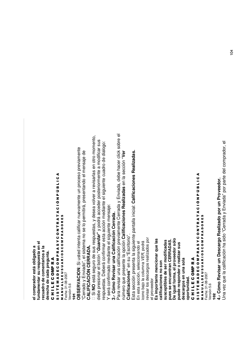$\overline{\mathbb{Q}}$ ento, bre ar sus dialo g o: Envia d a, d e b e ha c er clic k so o m ente **ealizadas.** d e **er** Ξ o dific en la se c ción "**V** via mvisarlas en otro ensaje d e Ξ 8<br>ㅎ pre a e<br>ه cua ente **R** c eso ⋖ ⋖ **alific a cio n e s** ن<br>1 ـا 1 ن<br>1 ـ ا ـ ا el siguiente **Pro v e e d or.** o osteriorm ermitirá, presentand ente un pro er a re **e aliz a d a s** 9 9 <u>ρ.</u> Δ. a c c e d er p z v olv z  $\rightarrow$ antalla inicial: **C** ە<br>ت a c ción m e diante ە<br>ت **p or u n** ar nue v a merra d a ensaje: **R** d ese a **alific a cio n e s** A T<br>4 ⋖ **Cerra d a.** н. MPRADORES MPRADORES **e aliz a d o** p o drá  $\circ$ ⋖ E sus respuestas, y  $\Omega$ ente ≃ ĸ el siguiente d intenta c alific no se lo ⊢ н. ں<br>o z *uardar***"** y z via m **Calific a ció n**  $\Omega$ 0 0 **R** ar esta **s"** en su "Escritorio". ción presenta la siguiente o p ción **C** ción ha sid ပ ပ revisar los descargos realizados por revisar los descargos realizados por **e s c arg o ólo** calificación pre **s** ಹ **A S.** )<br>の En esta sección, seleccionando el cono bajo la columna VER, podrá ser modificadas ≻ *VER*, podrá **encionar que la** En esta sección, seleccionando el έ **alizar sus** 0 **a, el pro v e e d or s** n 0 **A. dro decomentario sa la** o", el siste **D** e diante ⊄<br>M 0<br>0<br>0<br>2 e b erá c onfirm ⋖ 0<br>0<br>0<br>2 otón **"***G* **R A D gunta.** ĸ **N**: Si uste **A** ಕಿ presente la **E R D** Δ. Δ. **R ar u n a** v ez que la c alific a ⋖ ⋖ **s ola** Σ Σ **ar u n** ≃ **R** ≃ **encuentran C er o re** o<br>Du Ξ **calific a cione s no s on** ĸ ĸ **pre** ⋖ **E** icono bajo la columna ⋖ 0 0 presionar el b  $\mathbf c$ ALDEUSU Envia d Y será confirmado ALDEUSU <u>≏</u> ပ<br>။ <u>≏</u> ပ **en una** visar una Σ está se **Re vis** Σ **e vis c a d a**  $\frac{8}{9}$ **m** ш **OBSERVACIO d e** Fecha: 31-08-2007 Fecha: 31-08-2007 **pue d e re s p ond** Fecha: 31-08-2007 0 0 o Calificacione o respuestas. D **Es im p ortante igual form sus c e ptible s op ortunid a d.** ⋖ e<br>Ə ⋖ ပ el proveedor ပ **R** el proveedor **cha d e**  $\mathord{\geqslant}$ **LIFIC A** Σ **de s c arg o s** Σ ш **3.- C ó mo** ш **4.- C ó mo** /ersión 5.6 /ersión 5.6 erra d o Esta se c Versión 5.6 Versión 5.6 ⋖ **O** ⋖ ш ш o<br>To ー<br>ニ Para re **s e** ー<br>ニ ∍ **Z**<br>の ∍ ⊢ н. **cua** de b e z **pue s** z **dere** თ<br>5<br>თ い<br>5<br>の núm  $\overline{6}$ ี<br>รู **CA** ⋖<br>≊ ⋖<br>≊ **De**<u>ٍ</u> <u>e</u> ပ ပ

**el c om**

**fund a m**

**entar su re**

**s pue sta en el**

**pra dor e**

**stá**

**oblig adoa**

g<br>Dra

erra d a  $\mathord{\geqslant}$ 

Envia d a" p

a<br>p arte

d el c o m

pra d or, el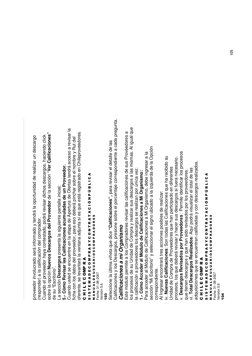proveedor inv olucra d o será inform a d o y tendrá la o p ortunid a d d e re alizar un d esc arg o (resp ond er) a la c alific a ción d el c o m pra d or. Cuand oel proveedor haya c ontesta do, p odrá re visar dichos d esc arg os, ha ciend oclic k so bre la o p ción **N u e v o s D e s c arg o s d el Pro v e e d or** d e la se c ción "**V er C alific a cio n e s"** ಕಿ su "Escritorio".

La se c ción **D e s c arg o s** presenta la siguiente  $\Omega$ antalla inicial:

## **5.- C ómoRevis ar la sCalific acio nesacumula dasdeunPro veedor.**

Cuand o uste d se encuentre en la eta p a d e A p ertura d e Ofertas tendrá a c c eso മ<br>ര visar la ficha c on los d atos d el proveedor, p ದ<br>ಹ eso d e b erá pinchar so bre el no  $\in$ bre  $\mathord{\geqslant}$ Rut d el oferente, se le v antará la v entana a djunta si es que está re gistra d o en Chile proveedores. ပ

#### コニエ ш ပ 0 Σ <u>≏</u> ĸ ⋖

#### ဖ<br>5<br>၈ ► ш Σ ⋖ Ω ш ပ 0 Σ Δ. ĸ ⋖ n ≻ ပ 0 z ► ĸ ⋖ ► ⋖ ა<br>ნ z Δ. 9 ن<br>1 ـ ا ⋖ Z<br>2<br>2 ≤<br>⊃ ALDEUSU ⋖ ≃ 0<br>0<br>0<br>2 0 MPRADORES

Fecha: 31-08-2007 Versión 5.6

### ី<br>=

Sele c cione la últim a viñeta g<br>금 dic e **"C alific a cio n e s",** p ara re visar el d etalle d e las Calific a ciones y los D esc ದ<br>ದ os, presione so bre el p ں<br>5 entaje c orresp ondiente a c a d a pre gunta.

## *Calific acio nesami O rg anis mo*

Este ε ó dulo p ermite a los C o m pra d ores re visar las c alific a ciones d e sus Pro v e e d ores a los pro c esos d e su Unid <u>ਡ</u> d e  $\circ$ o m pra y re alizar sus d င္တ<br>စ ದ<br>ದ os a las mism as. Al igual que  $\overline{\omega}$ calificación a pro v e e d ores los d esc ದ<br>ದ os se re alizan p or únic a v ez.

**1.- C ó mo A c c e d er al M ó d ulo d e**  $\mathbf{\mathbf{c}}$ **alific a cio n e s a Mi Org a nis mo:**

Para acceder al Módulo d e  $\circ$ alific a ciones a Mi Org anism o, d e b e ingresar a la se c ción "Mi Escritorio" y sele ي cionar el signo ubic a d o ಹ la izquierd  $\overline{\mathbf{c}}$ d e la O p ción corresp ondiente.

Al Ingresar enc ontrará tres a c ciones p osibles d e re alizar:

iv. **N u e v a s**  $\mathbf{\mathbf{c}}$ **alific a cio n e s**: S on to d as las C alific a ciones que ha re cibid o su Unid a d ಕಿ  $\circ$ o m ը<br>թ d e Proveed ores que han p articip a d o en diferentes pro c esos, los que d e b erá re visar y ha c er sus d esc ದ<br>ದ os si fuera ne c esario.

v. **D e s c arg o s R e vis a d o s p or Pro v e e d ore s** : P ermite id entific ar los pro c esos

que tienen d esc ದ<br>ದ os y que han sid o re visa d os p or los pro v e e d ores. vi. **T** visualizar el total d e las

**otal D e s c arg o s R e aliz a d o s**: A quí p o drá ನ quisiciones que se encuentran c alific a d as y c on d esc ದ<br>ದ os re aliza d os.

#### ပ コニエ ш ပ e<br>S ≃ ⋖

#### ⋖ ن<br>1 ـا 1 9 <u>ρ.</u> z ە<br>ت ⋖ н. MPRADORES ⋖ ĸ н. z 0 ပ ≻ n 0 ⋖ 0<br>0<br>0<br>2 ĸ Δ. Σ ≃ ⋖ 0 ALDEUSU ပ ш Fecha: 31-08-2007 Fecha: 31-08-2007 ٥ ⋖ Σ ⋖ ш ∍ Н. z თ<br>5<br>თ ⋖<br>≅

/ersión 5.6 Versión 5.6 \*<u>ុ</u>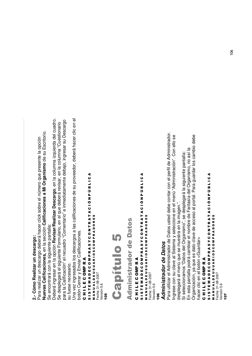# 2.- Cómo Realizar un descargo: **2.- Cómo Realizar un descargo:**

Vuevas Calificaciones, en la sección Calificaciones a Mi Organismo de su Escritorio. **Nuevas Calificaciones,** en la sección **Calificaciones a Mi Organismo** de su Escritorio. Para realizar un descargo deberá hacer click sobre el número que presente la opción Para realizar un descargo deberá hacer click sobre el número que presente la opción Se encontrará con la siguiente pantalla: Se encontrará con la siguiente pantalla:

Deberá ingresar en la opción Revisar/Realizar Descargo, en la columna izquierda del cuadro. Deberá ingresar en la opción **Revisar/Realizar Descargo**, en la columna izquierda del cuadro. para la Calificación" el recuadro "Comentario" e inmediatamente debajo, ingresar su Descargo para la Calificación" el recuadro "Comentario" e inmediatamente debajo, ingresar su Descargo Se desplegará el siguiente Formulario, en el que deberá revisar, en la columna "Cuestionario Se desplegará el siguiente Formulario, en el que deberá revisar, en la columna "Cuestionario su fuese necesario. su fuese necesario.

Una vez ingresados los descargos a las calificaciones de su proveedor, deberá hacer clic en el Una vez ingresados los descargos a las calificaciones de su proveedor, deberá hacer clic en el botón Cerrar y Enviar Calificaciones. botón Cerrar y Enviar Calificaciones.

CHILECOMPRA

# C H I L E C OMP R A SISTEMADECOMPRASYCONTRATACIÓNPÚBLICA S I S T E M A D E C O M P R A S Y C O N T R A T A C I Ó N P Ú B L I C A

MANUALDEUSUARIOSCOMPRADORES M A N U A L D E U S U A R I O S C O M P R A D O R E S Fecha: 31-08-2007<br>Versión 5.6 Fecha: 31-08-2007 Versión 5.6

<u>ទី</u>

# 8 pítulo 5

Adminis (dor de Da  $\frac{1}{2}$ 

# CHILECOMPRA C H I L E C OMP R A

SISTEMADECOMPRASYCONTRATACIÓNPÚBLICA S I S T E M A D E C O M P R A S Y C O N T R A T A C I Ó N P Ú B L I C A<br>S I S T E M A D E C O M P R A T R A T A C I Ó N P Ú B L I C A M A N U A L D E U S U A R I O S C O M P R A D O R E S<br>Fecha: 31-08-2007 M A N U A L D E U S U A R I O S C O M P R A D O R E S Fecha: 31-08-2007

/ersión 5.6 Versión 5.6  $\frac{6}{1}$ 

# **Administrador de Datos** *Administrador de Datos*

Para utilizar el Administrador de Datos usted debe contar con el perfil de Administrador. Para utilizar el Administrador de Datos usted debe contar con el perfil de Administrador. ingrese con su clave al Sistema y seleccione en el menú "Administración". Con ello se Ingrese con su clave al Sistema y seleccione en el menú "Administración". Con ello se desplegará el menú que se muestra en la imagen.". desplegará el menú que se muestra en la imagen.".

En esta pantalla podrá cambiar el nombre de Fantasía del Organismo, no así la En esta pantalla podrá cambiar el nombre de Fantasía del Organismo, no así la Si seleccionamos "Datos del Organismo", se desplegará la siguiente pantalla: Si seleccionamos "Datos del Organismo", se desplegará la siguiente pantalla:

Organización, ya que es dato clave de acceso al portal. Para guardar los cambio debe Organización, ya que es dato clave de acceso al portal. Para guardar los cambio debe hacer clic en el botón <Guardar> hacer clic en el botón <Guardar>

# CHILECOMPRA C H I L E C OMP R A

# **SISTEMADECOMPRASYCONTRATACIÓNPÚBLICA** S I S T E M A D E C O M P R A S Y C O N T R A T A C I Ó N P Ú B L I C A **NANUALDEUSUARIOSCOMPRADORES** M A N J A L D E J S J A R I O S C O M P R A D O R E S

Fecha: 31-08-2007 Fecha: 31-08-2007 /ersión 5.6 Versión 5.6  $\overline{9}$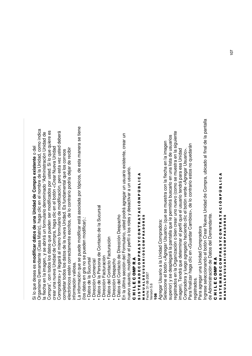#### ہ<br>ت g<br>B dese aes **m odific ar d ato sdeunaUnid addeCompra existe nte** o<u>ବ</u>

Org anism o  $\mathsf{\Omega}$ e m ਰ<br>ਛ ante (C asa ⋝ atriz), ha g a .<br>ㅎ en el no Ē bre d e la Unid a d, c o m o indic a la fle cha en la im a g en, y se a brirá un formulario d eno mina d o "A d ministra ción Unid a d d e Co m pra", c on to d os los d atos que pue d en ser m o dific a d os p or uste d. Si lo g<br>B quiere œ<br>Φ e<br>c ar una nue v a Unid a d ಕಿ  $\circ$ o m pra, ha g a clic en el b otón < e<br>آ ar Nue v a Unid a d Co m pra d ora > y lle g ará al mism o formulario d e ε o dific a ción, p ero esta v ez uste d d e b erá co m pletar to d os los d atos d e la nue v a Unid a d. Es fund a m ental que los c orre os ele ctrónic os estén c orre cta m ente escritos, d e lo c ontrario p o dría d ejar d e re cibir

inform ación v aliosa. La inform a ción que se pue d e ε o dific ar está aso cia d a p or tó  $\frac{1}{\alpha}$ os, d e esta ε anera se tiene (los d atos en gris no se pue d en m o dific ar).:

ء<br>• atos d e la Sucursal

•

- Dire c ción C o m ercial
- • $\mathsf{D}$ atos d e la  $\mathbf{r}$ ersona d e  $\circ$ onta cto d e la Sucursal
	- • Dire c ción F a ctura s<br>ت
- •ء<br>• atos d ں<br>ھ onta cto F a ctura s<br>ö
	- Dire c ción D esp a cho
- D atos d ں<br>ھ onta cto d e Dire c ción D
- esp a cho En la últim a se c ción d ے<br>ت ormulario, uste ত p o drá a gre g ar un usuario e xistente, cre ar un

nue v o usuario, m o dific ar el p erfil o los roles y d esa ے<br>خ ar a un usuario.

#### ပ コニエ ш ပ e<br>S ≃ ⋖

#### い<br>5<br>の ⊢ ш Σ ⋖ ē ပ<br>။ 0 Σ Δ. ⊄<br>⊄ ー<br>の ပ 0 z ⊢ œ <<br>T<br>< ە<br>ت z Δ. כ ن<br>1 ـ ا ـ ا ⋖

MPRADORES 0 **RIOSC** œ ⋖ ALDEUSU Fecha: 31-08-2007 ⋖ ∍ z ∡<br>≥

Fecha: 31-08-2007 /ersión 5.6 Versión 5.6

### ,4 2

Agre g ar Usuario a la Unid a d  $\circ$ o m pradora: Sele c cione م<br>ه otón < A gre g ar Usuario > (que se muestra c on la fle cha en la im a g en sup erior) y se d esple g ará la p antalla que le p ermitirá busc arlo en una lista d e usuarios re gistra d os en la Org aniza ción o bien cre ar uno nue v o (c o m o se muestra en la siguiente im a g en). T endrá g<br>B ರ eterminar el p erfil que el usuario tendrá p ara esa Unid a d Co m pra d ora y lue g o a gre g arlo ha ciend o ں<br>تا م<br>ه otón v erd e < A gre g ar Usuario  $\dot{\mathsf{\land}}$ Para finalizar ha g a clic v<br>5 Guard ar C a m bios>, d e lo c ontrario estos no que d arán

re gistra dos.

Para a gre g ar una Unid a d  $\circ$ o m pra d ora

Ingrese sele c cionand o م<br>ه otón Cre ar Nue v a Unid a d d e  $\circ$ o m pra, ubic a d o al final d e la p antalla ಕಿ Administra ción d eDatos d el D emਟੂ<br>ਛ ante.

#### ပ コニエ ш ပ 을<br>이 ĸ ⋖

#### ဖ<br>5<br>၈ ► ш Σ ⋖ Ω ш ပ 0 Σ Δ. ĸ ⋖ n ≻ ပ 0 z ► ĸ ⋖ ► ⋖ ა<br>ნ z Δ. 9 ن<br>1 ـ ا ⋖

⋖<br>≅ z ∍ ⋖ ALDEUSU ⋖ ≃ 0<br>0<br>0<br>2 0 MPRADORES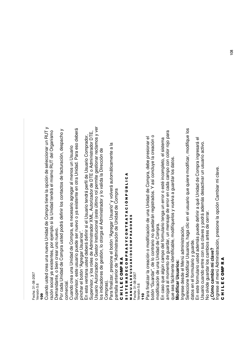Fecha: 31-08-2007 Fecha: 31-08-2007 /ersión 5.6 Versión 5.6

ဒ္ Cuand o uste d cre a una nue ջ<br>≥ Unid a d d e  $\circ$ o m pra tiene la o p ción d e sele c cionar un R ⊃  $\vdash$  $\mathord{\geqslant}$ razón so cial y a e xistentes, p or eje ξ plo si la Unid a d tendrá el mism o  $\propto$ ⊇  $\vdash$ d el Org anism o Deme<br>বি ante, o bien cre ar uno nue vo.

Por c a d a Unid a d d e  $\circ$ o m pra uste d p o drá ರ efinir los c onta ctos d e fa ctura ción, d esp a cho  $\mathord{\geqslant}$ comercial. Cuand o cre a una Unid a d d e  $\circ$ o m pra, es ne c esario a gre g ar al m enos un Usuario Sup ervisor, este usuario pue d e ser nue v o o y a e xistente en otra Unid a d. P ದ<br>ಹ eso d e b erá pinchar el b otón "A gre g ar Usuarios".

En esta  $\,>$ entana uste ত d e b erá ರ efinir si el Usuario tendrá p erfil d e Usuario  $\circ$ o m pra d or, Sup ervisor, y los roles d  $\bf{e}$ A d ministra d or X ⋝ L, Autoriza d or d e  $\Box$ H. щ o A d ministra d or D T шī Usuario Autoriza d or o G estor Institucional (este últim o rol p ermite ලා estionar re cla m os y v er los indicadores de g estión, lo otorg a el A d ministra d or y lo v alid a la Dire c ción d e m<br>Co pras).

ם ara finalizar, presione م<br>ه otón "A gre g ar Usuario" y v olv erá auto έ átic a m ente a la pantalla anterior d e "A d ministra ción d e Unid a d d e  $\circ$ o m pra<br>D

#### ပ コニエ ш ပ 0 Σ உ ĸ ⋖

#### თ<br>5<br>თ н. ш Σ ⋖ o ш ပ 0 Σ Δ. ĸ ⋖ n ≻ ပ 0 z н. ĸ ⋖ н. ⋖ ە<br>ت z Δ. 9 ن<br>1 ـا 1 ⋖ ∡<br>≥ z ∍ ⋖ ALDEUSU ⋖ œ **001R** 0 MPRADORES

Fecha: 31-08-2007 /ersión 5.6

Versión 5.6 <u>ទី</u> ם ara finalizar la cre a ción o ٤ o dific a ción d e una Unid a d ಕಿ  $\circ$ o m pra, d e b e presionar el ء otón "Guard ar", d e lo  $\mathbf{\mathsf{c}}$ ontrario no que d arán re gistra d os. Y así c oncluy e la cre a ción o mo dific a ción d e una Unid a d d e  $\circ$ o m.<br>ը<br>

En c aso g<br>D algún c a m p o ರ el formulario teng a un error o esté inc o m pleto, el siste Ë a arrojará al m o m ento d e guard ar, un m ensaje ಕಿ error en c a d a c a m p o c on c olor rojo p ara que se a fá 트<br>히 ente id entific a ble, m o difíquelos y vuelv a a guard ar los d atos.

# **Mo dific ar U s u ario s:**

Ingrese d esd e ا<br>ھ enú a d ministra ción.

Sele c cione M o dific ar Usuarios, ha g a  $\frac{9}{5}$ en el usuario g<br>B quiere ε o dific ar, m o difique los ರ atos en el formulario  $\mathord{\geqslant}$ guard e.

En este formulario uste ত a d e m ás pue d e d efinir a qué Unid a d ಕಿ  $\circ$ o m pra ingresará  $\overline{\Phi}$ Usuario cuand o entre  $\mathbf{\circ}$ on sus cla v es y p o drá a d e m ರ<br>ಜ esa  $\dot{\tilde{\vec{v}}}$ ar un usuario a ctiv o.

c errar.

<u>ح</u> olvid e guard ar los c a m bios antes d  $\bf{e}$ 

#### **¿C ó m o c a m bio mi cla v e ?**

Ingrese  $\frac{\varepsilon}{\overline{\omega}}$ enú A d ministra ción, presione la o p ción C a m biar mi cla قع

#### ပ コニエ ш ပ 0 을<br>둘 ĸ ⋖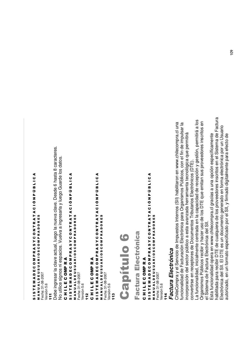# SISTEMADECOMPRASYCONTRATACIÓNPÚBLICA S I S T E M A D E C O M P R A S Y C O N T R A T A C I Ó N P Ú B L I C A<br>S I S T E M A D E C O M P R A T R A T A C I Ó N P Ú B L I C A M A N J A L D E U S U A R I O S C O M P R A D O R E S

M A N U A L D E U 3 U A R I O S C O M P R A D O R E S<br>Fecha: 31-08-2007 Fecha: 31-08-2007 /ersión 5.6 Versión 5.6 ,,, Debe ingresar la clave actual, luego la nueva clave. Desde 6 hasta 8 caracteres. Debe ingresar la clave actual, luego la nueva clave. Desde 6 hasta 8 caracteres. No utilice signos ni espacios. Vuelva a ingresarla y luego Guarde los datos. No utilice signos ni espacios. Vuelva a ingresarla y luego Guarde los datos.

## CHILECOMPRA C H I L E C OMP R A

# SISTEMADECOMPRASYCONTRATACIÓNPÚBLICA S I S T E M A D E C O M P R A S Y C O N T R A T A C I O N P J B L I C A MANUALDEUSUARIOSCOMPRADORES M A N U A L D E U S U A R I O S C O M P R A D O R E S

Fecha: 31-08-2007 Fecha: 31-08-2007 Versión 5.6 Versión 5.6 112

# CHILECOMPRA C H I L E C OMP R A

# SISTEMADECOMPRASYCONTRATACIÓNPÚBLICA S I S T E M A D E C O M P R A S Y C O N T R A T A C I Ó N P Ú B L I C A

MANUALDEUSUARIOSCOMPRADORES M A N U A L D E U S U A R I O S C O M P R A D O R E S Fecha: 31-08-2007 Fecha: 31-08-2007 Versión 5.6 Versión 5.6 مبر<br>17



# **6ctura** a Electrónica

# CHILECOMPRA C H I L E C OMP R A

## SISTEMADECOMPRASYCONTRATACIÓNPÚBLICA S I S T E M A D E C O M P R A S Y C O N T R A T A C I Ó N P Ú B L I C A<br>S I S T E M A D E C O M P R A T R A T A C I Ó N P Ú B L I C A MANUALDEUSUARIOSCOMPRADORES M A N J A L D E U S U A R I O S C O M P R A D O R E S Fecha: 31-08-2007 Fecha: 31-08-2007

Versión 5.6 Versión 5.6 **114** 

# Factura Electrónica *Factura Electrónica*

ChileCompra y el Servicio de Impuestos Internos (SII) habilitaron en www.chilecompra.cl una funcionalidad de Facturación Electrónica para Organismos Públicos, con el fin de impulsar la ChileCompra y el Servicio de Impuestos Internos (SII) habilitaron en www.chilecompra.cl una funcionalidad de Facturación Electrónica para Organismos Públicos, con el fin de impulsar la ncorporación del sector público a esta avanzada herramienta tecnológica que permitirá incorporación del sector público a esta avanzada herramienta tecnológica que permitirá convertirse en receptores de Documentos Tributarios Electrónicos (DTE). convertirse en receptores de Documentos Tributarios Electrónicos (DTE).

La funcionalidad, inicialmente centrada en la capacidad de recepción y gestión, permitirá a los La funcionalidad, inicialmente centrada en la capacidad de recepción y gestión, permitirá a los Organismos Públicos recibir y hacer uso de los DTE que emitan sus proveedores inscritos en Organismos Públicos recibir y hacer uso de los DTE que emitan sus proveedores inscritos en el Sistema de Factura Electrónica del SII. el Sistema de Factura Electrónica del SII.

nabilitada para recibir DTE de cualquiera de los proveedores inscritos en el Sistema de Factura habilitada para recibir DTE de cualquiera de los proveedores inscritos en el Sistema de Factura Electrónica del SII. El DTE es un documento generado en forma electrónica por un Usuario Electrónica del SII. El DTE es un documento generado en forma electrónica por un Usuario Esta funcionalidad opera en www.chilecompra.cl gracias a una opción específicamente autorizado, en un formato especificado por el SII, y firmado digitalmente para efecto de Esta funcionalidad opera en www.chilecompra.cl gracias a una opción específicamente autorizado, en un formato especificado por el SII, y firmado digitalmente para efecto de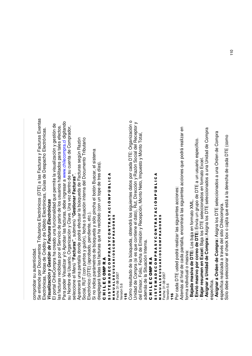co m pro b ar su autenticid a d.

တိ entiend e por Docum entos Tributarios Ele ctrónic os (D T E) a las Facturas y Facturas Exentas Ele ctrónic  $\frac{2}{3}$ otas d e مى<br>ت dito  $\mathord{\geqslant}$ d e  $\Box$ é bito Ele ctrónic as, Guías d  $\mathbf{\underline{\omega}}$  $\Box$ esp a cho Ele ctrónic as. *Vis ualiza ció n y G e stió n de Fa ctura s Ele ctró nica s*

El p ortal Chile ِب o m pra ha cre a d o una funcionalid <u>ਡ</u> g<br>B p ermite la visualiza ción y g estión d e las fa cturas re cibid as p or el S ervicio d e p arte d e los usuarios ha bilita d os p ara tales efe ctos. Para p o d er Visualizar y/o A pro b ar las fa cturas, d e b e ingresar a w w w.chilecom pra.cl digitand o su N o m bre ಕಿ Usuario, Org aniza ción y Cla v e. Una v ez d entro d e su cuenta ಕಿ  $\circ$ o m pra d or, sele c cione ا<br>ھ enú **"F a ctura s"**, sub m enú **"G e stio n ar F a ctura s"**.

Ap are c erá una p antalla d ond e p o drá efe ctuar la búsque d a ಕಿ ഥ<br>L cturas se gún R azón So cial, R U T (c on puntos y guión), fe cha o situa ción interna d el D o cum ento Tributario Ele ctrónic o (D T E) (a pro b a d o, p endiente, etc.).

Si no indic ب⊽ p ará m etros d e búsque d a y sólo pincha م<br>ه otón Busc ar, el siste έ a desple g ará to d as las fa cturas que ha re cibid o (c on un to p e d etres días).

#### ပ コニエ ш ပ 을<br>이 ĸ ⋖

#### ဖ<br>5<br>၈ ► ш Σ ⋖ Ω ш ပ 0 Σ Δ. ĸ ⋖ n ≻ ပ 0 z ► ĸ ⋖ ► ⋖ ა<br>ნ z Δ. 9 ن<br>1 ـ ا ⋖

MPRADORES 0 0<br>0<br>0<br>1 œ ⋖ ALDEUSU Fecha: 31-08-2007 Fecha: 31-08-2007 versión 5.6<br>/ersión 5.6 Versión 5.6 ⋖ ∍ z ∡<br>≥

## ,,-

Co m o resulta d o d e la búsque d a, o btendrá los siguientes d atos p or c a d a  $\Box$ F. E: Org aniza ción o Unid a d d e  $\circ$ o m pra (si es que c ontiene ত<br>ত ato), Rut, Dire c ción y  $\propto$ azón S o cial d el Receptor y 山<br>공 misor, F olio, F e cha ಕಿ Ш misión y R ecepción, M onto z eto, Im puesto  $\mathord{\geqslant}$ ⋝ onto T otal, ad e m ás d e la Situa ción Interna.

#### ပ コニエ ш ပ e<br>S ≃ ⋖

#### い<br>5<br>の н. ш Σ ⋖ o ш ပ 0 Σ Δ. ĸ ⋖ n ≻ ပ 0 z н. ĸ ⋖ н. ⋖ ە<br>ت z Δ. 9 ن<br>1 ـ ا ـ ا ⋖ ∡<br>≥ z ∍ ⋖ ALDEUSU ⋖ œ **RIOSC** ο MPRADORES Fecha: 31-08-2007

/ersión 5.6 Versión 5.6

,,. Por c a d a  $\Box$ H. E uste d p o drá re alizar las siguientes a

c ciones: Ad e m ás al final d  $\bf{e}$ c a d a  $\Omega$ antalla, enc ontrará las siguientes a c ciones que p o drá re alizar en form a individual o  $\mathsf s$ asiv .<br>ສ

 **B aja damasiv adeDTE:** L os b .ಹ<br>ಹ en form ato

-

-

- **E n vió m a siv o p or c ore o d e D T E:** Envía un grup o d e  $\mathbf \Omega$ H щ ಹ un usuario esp e cífic o.

XML.

 **B ajar re sumenenExcel:** B aja los D TE sele cciona dos en form ato Excel.

 **A sig n ar a U nid a d d e**  $\mathbf{\mathbf{c}}$ **o m pra:** Asigna los D H. E seleccionad os a una Unid a d d e  $\circ$ o m pra<br>D esp ecífic a.

 **A sig n ar a Ord e n d e**  $\mathbf{\mathsf{c}}$ **o m pra:** Asigna los D H. E seleccionad os a una 호<br>이 en d e  $\circ$ o m ք<br>ռ esp e cífic a re aliza d a a tra v és d el sitio Chile c o m .<br>ը<br>

Sólo debe selec cionar el che  $\breve{\mathrm{e}}$ b o x o c ajita g<br>B está a la d ere cha ಕಿ c a d a  $\Box$ F. E (c o m o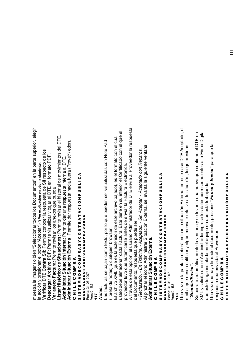.<br>「<br>「 or la respuesta  $\overline{\Phi}$ erior, ele шi on el cual c on el que el D T v e**(\*)** e d or). ਟੂ <u>ո</u> ote p arte sup d e los vimientos d r.  $\mathbf{\mathsf{c}}$ z<br>5 al D TE. al Pro v e e d ertific a d o ِ ص ato P cia fuera (Pro SII resp e cto ptar".**(\*) Ver explicación en página siguiente.** ctrónic a. o), es el form d as c ato entos" en la en form o ar una respuesta Interna 4 ε en ser visualiza en su interior el C ن<br>1 ـ ا ـ ا envía  $\mathbf{\underline{\omega}}$ Ele visar el historial d d e щ ar respuesta ha F a ctura pue d a b ajar el D T b aja d 9 T E ele c cionar to d os los D o cum er la respuesta Δ.  $\Box$ z d ministra d or d e x os que archiv o ა<br>ნ enviar la pue d ctura. Éste tiene 4 visualizar y ermite re н. MPRADORES g<br>B visar los ane este ರ 4 ರ pue d e ser: antes d e c ono c ermite ermite ĸ or lo  $\mathbf{\underline{\omega}}$ н. wser. xtensión d z A **Situ a cio n e s:** P xto, p **a:** P 0 otón "A c e ermite ermite **a:** P ción, el usuario ပ cualquier bro arse ermite re ≻ ഥ<br>∟ **xtern** g<br>B **ació n Intern** o te n 0 bien "S r<br>5i:<br>5 **F:** P autentic alm a c enar c a d a ⋖ 0<br>0<br>0<br>2 e ento, respuesta b ajan c o m **E** ĸ es la presionar el b **D Q a ció n P F a ctura:** P ⋖ **o ntra** Σ ≃ a g en) o L (que **hiv o** ĸ **d e** ⋖ 0 o p g<br>B d e notas) o ALDEUSU 을<br>이 ပ **ministrar Situ ministrar Situ**  $\mathbf{\mathbf{c}}$ **o** esta ш **ar Arc Listar Históric** cturas se Fecha: 31-08-2007 **E** o ⋝ muestra la im **ar D T** ⋖  $\times$ ပ d e b e a c ción y **Ver a n e x o** Σ ш /ersión 5.6 **De s c arg** Versión 5.6 ≤<br>⊃ ш コニエ *s:* **Verific** н. Z<br>2<br>2 ဖ<br>5<br>၈ ,,/

## *Nota*

<u>.ದ</u>

**Ad**

**Ad**

ပ

Las fa (libreta

El archiv o uste d proveedor tuvo

A tra v és d e del D o cum

*- R e c h a za do. - En Trá mite. - A c epta do. - Sin A c eptar. - A c epta do c o n R ep aro s.* Al pinchar el ic o<br>S A ত ministrar Situa ción E xterna, se le v anta la siguiente v entana:

**Ad ministrar Situ a ció n E xtern**

**a.**

### ပ コニエ ш ပ n<br>S ≃ ⋖

⋖ ن<br>1 ـا 1 9 <u>ρ.</u> z ە<br>ت ⋖ н. MPRADORES ⋖ ĸ н. z 0 ပ ≻ n 0 ⋖ **RIOSC** ĸ Δ. Σ œ ⋖ 0 ALDEUSU ပ ш Fecha: 31-08-2007 Fecha: 31-08-2007 ٥ ⋖ Σ ⋖ ш ∍ н. z თ<br>5<br>თ ∡<br>≥

118

Versión 5.6

/ersión 5.6

g<br>Dra v ez en la p antalla d e b erá indic ar la situa ción E xterna, en este c aso DTEAceptado, el  $\mathsf s$ ail al que d ese a notific ক<br>ল algún m ensaje relativ o a la situa ción, lue g o presione *"G uardar/En viar"***.**

တိ c errará auto ξ átic a m ente la v entana y se le v anta una nue v a g<br>B c ontiene el D T щ e<br>0  $\breve{\mathsf{x}}$  $\overline{\phantom{a}}$ y solicita g<br>B el A d ministra d or ingrese los d atos c orresp ondientes a la Firm a Digital g<br>B este teng a instala d a en el e quip o en que está tra b ajand o.

g<br>Dra v ez que ha y a firm a d o el d o cum ento, presione *"Firm ar y En viar"* p ara que la

respuesta se a envia d a al Proveedor.

#### ပ コニエ ш ပ 0 을<br>둘 ĸ ⋖

#### თ<br>5<br>თ ⊢ ш Σ ⋖ ē ပ<br>။ 0 Σ Δ. ⊄<br>⊄ ー<br>の ပ 0 z ⊢ œ <<br>T<br>< ە<br>ت z Δ. כ ن<br>1 ـ ا ـ ا ⋖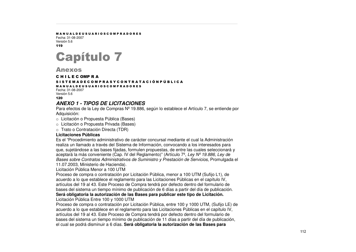#### M A N U A L D E U S U A R I O S C O M P R A D O R E S

Fecha: 31-08-2007Versión 5.6 119



**Anexos** 

#### C H I L E C OMP R A

S I S T E M A D E C O M P R A S Y C O N T R A T A C I Ó N P Ú B L I C A

M A N U A L D E U S U A R I O S C O M P R A D O R E S Fecha: 31-08-2007Versión 5.6

120

#### *ANEXO 1 - TIPOS DE LICITACIONES*

Para efectos de la Ley de Compras Nº19.886, según lo establece el Artículo 7, se entiende por Adquisición:

o Licitación <sup>o</sup> Propuesta Pública (Bases)

o Licitación <sup>o</sup> Propuesta Privada (Bases)

 $\circ~$  Trato o Contratación Directa (TDR)

#### **Licitaciones Públicas**

Es el "Procedimiento administrativo de carácter concursal mediante el cual la Administración realiza un llamado <sup>a</sup> través del Sistema de Información, convocando <sup>a</sup> los interesados para que, sujetándose <sup>a</sup> las bases fijadas, formulen propuestas, de entre las cuales seleccionará y aceptará la más conveniente (Cap. IV del Reglamento)" (Artículo 7º, *Ley Nº19.886, Ley de Bases sobre Contratos Administrativos de Suministro y Prestación de Servicios,* Promulgada el 11.07.2003, Ministerio de Hacienda).

Licitación Pública Menor a 100 UTM

Proceso de compra <sup>o</sup> contratación por Licitación Pública, menor <sup>a</sup> 100 UTM (Sufijo L1), de acuerdo <sup>a</sup> lo que establece el reglamento para las Licitaciones Públicas en el capítulo IV, artículos del 19 al 43. Este Proceso de Compra tendrá por defecto dentro del formulario de bases del sistema un tiempo mínimo de publicación de 6 días <sup>a</sup> partir del día de publicación. **Será obligatoria la autorización de las Bases para publicar este tipo de Licitación.**

Licitación Pública Entre 100 y 1000 UTM

Proceso de compra <sup>o</sup> contratación por Licitación Pública, entre 100 y 1000 UTM, (Sufijo LE) de acuerdo <sup>a</sup> lo que establece en el reglamento para las Licitaciones Públicas en el capítulo IV, artículos del 19 al 43. Este Proceso de Compra tendrá por defecto dentro del formulario de bases del sistema un tiempo mínimo de publicación de 11 días <sup>a</sup> partir del día de publicación, el cual se podrá disminuir <sup>a</sup> 6 días. **Será obligatoria la autorización de las Bases para**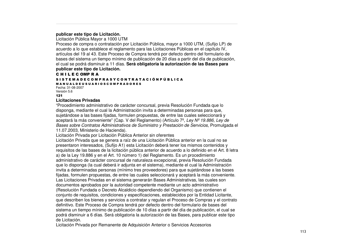#### **publicar este tipo de Licitación.**

Licitación Pública Mayor <sup>a</sup> 1000 UTM

Proceso de compra <sup>o</sup> contratación por Licitación Pública, mayor <sup>a</sup> 1000 UTM, (Sufijo LP) de acuerdo <sup>a</sup> lo que establece el reglamento para las Licitaciones Públicas en el capítulo IV, artículos del 19 al 43. Este Proceso de Compra tendrá por defecto dentro del formulario de bases del sistema un tiempo mínimo de publicación de 20 días <sup>a</sup> partir del día de publicación, el cual se podrá disminuir <sup>a</sup> 11 días. **Será obligatoria la autorización de las Bases para publicar este tipo de Licitación.**

#### C H I L E C OMP R A

#### S I S T E M A D E C O M P R A S Y C O N T R A T A C I Ó N P Ú B L I C A

M A N U A L D E U S U A R I O S C O M P R A D O R E S Fecha: 31-08-2007

Versión 5.6  $121$ 

#### **Licitaciones Privadas**

"Procedimiento administrativo de carácter concursal, previa Resolución Fundada que lo disponga, mediante el cual la Administración invita <sup>a</sup> determinadas personas para que, sujetándose <sup>a</sup> las bases fijadas, formulen propuestas, de entre las cuales seleccionará y aceptará la más conveniente" (Cap. V del Reglamento) (Artículo 7º, *Ley Nº19.886, Ley de Bases sobre Contratos Administrativos de Suministro y Prestación de Servicios,* Promulgada el 11.07.2003, Ministerio de Hacienda).

Licitación Privada por Licitación Pública Anterior sin oferentes

Licitación Privada que se genera <sup>a</sup> raíz de una Licitación Pública anterior en la cual no se presentaron interesados, (Sufijo A1) esta Licitación deberá tener los mismos contenidos y requisitos de las bases de la licitación pública anterior de acuerdo <sup>a</sup> lo definido en el Art. 8 letra a) de la Ley 19.886 y en el Art. 10 número 1) del Reglamento. Es un procedimiento administrativo de carácter concursal de naturaleza excepcional, previa Resolución Fundada que lo disponga (la cual deberá ir adjunta en el sistema), mediante el cual la Administración invita <sup>a</sup> determinadas personas (mínimo tres proveedores) para que sujetándose <sup>a</sup> las bases fijadas, formulen propuestas, de entre las cuales seleccionará y aceptará la más conveniente. Las Licitaciones Privadas en el sistema generarán Bases Administrativas, las cuales son documentos aprobados por la autoridad competente mediante un acto administrativo (Resolución Fundada <sup>o</sup> Decreto Alcaldicio dependiendo del Organismo) que contienen el conjunto de requisitos, condiciones y especificaciones, establecidos por la Entidad Licitante, que describen los bienes y servicios <sup>a</sup> contratar y regulan el Proceso de Compras y el contrato definitivo. Este Proceso de Compra tendrá por defecto dentro del formulario de bases del sistema un tiempo mínimo de publicación de 10 días <sup>a</sup> partir del día de publicación, el cual se podrá disminuir <sup>a</sup> 6 días. Será obligatoria la autorización de las Bases, para publicar este tipo de Licitación.

Licitación Privada por Remanente de Adquisición Anterior <sup>o</sup> Servicios Accesorios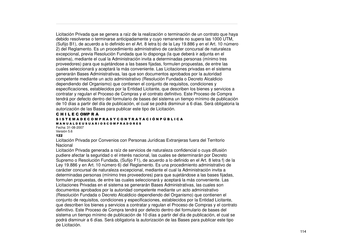Licitación Privada que se genera <sup>a</sup> raíz de la realización <sup>o</sup> terminación de un contrato que haya debido resolverse <sup>o</sup> terminarse anticipadamente y cuyo remanente no supera las 1000 UTM, (Sufijo B1), de acuerdo <sup>a</sup> lo definido en el Art. 8 letra b) de la Ley 19.886 y en el Art. 10 número 2) del Reglamento. Es un procedimiento administrativo de carácter concursal de naturaleza excepcional, previa Resolución Fundada que lo disponga (la que deberá ir adjunta en el sistema), mediante el cual la Administración invita <sup>a</sup> determinadas personas (mínimo tres proveedores) para que sujetándose <sup>a</sup> las bases fijadas, formulen propuestas, de entre las cuales seleccionará y aceptará la más conveniente. Las Licitaciones privadas en el sistema generarán Bases Administrativas, las que son documentos aprobados por la autoridad competente mediante un acto administrativo (Resolución Fundada <sup>o</sup> Decreto Alcaldicio dependiendo del Organismo) que contienen el conjunto de requisitos, condiciones y especificaciones, establecidos por la Entidad Licitante, que describen los bienes y servicios <sup>a</sup> contratar y regulan el Proceso de Compras y el contrato definitivo. Este Proceso de Compra tendrá por defecto dentro del formulario de bases del sistema un tiempo mínimo de publicación de 10 días <sup>a</sup> partir del día de publicación, el cual se podrá disminuir <sup>a</sup> 6 días. Será obligatoria la autorización de las Bases para publicar este tipo de Licitación.

#### C H I L E C OMP R A

#### S I S T E M A D E C O M P R A S Y C O N T R A T A C I Ó N P Ú B L I C A M A N U A L D E U S U A R I O S C O M P R A D O R E S

Fecha: 31-08-2007Versión 5.6

#### $122$

Licitación Privada por Convenios con Personas Jurídicas Extranjeras fuera del Territorio Nacional

Licitación Privada generada <sup>a</sup> raíz de servicios de naturaleza confidencial <sup>o</sup> cuya difusión pudiere afectar la seguridad <sup>o</sup> el interés nacional, las cuales se determinarán por Decreto Supremo <sup>o</sup> Resolución Fundada, (Sufijo F1), de acuerdo <sup>a</sup> lo definido en el Art. 8 letra f) de la Ley 19.886 y en Art. 10 número 6) del Reglamento. Es una procedimiento administrativo de carácter concursal de naturaleza excepcional, mediante el cual la Administración invita <sup>a</sup> determinadas personas (mínimo tres proveedores) para que sujetándose <sup>a</sup> las bases fijadas, formulen propuestas, de entre las cuales seleccionará y aceptará la más conveniente. Las Licitaciones Privadas en el sistema se generarán Bases Administrativas, las cuales son documentos aprobados por la autoridad competente mediante un acto administrativo (Resolución Fundada <sup>o</sup> Decreto Alcaldicio dependiendo del Organismo) que contienen el conjunto de requisitos, condiciones y especificaciones, establecidos por la Entidad Licitante, que describen los bienes y servicios <sup>a</sup> contratar y regulan el Proceso de Compras y el contrato definitivo. Este Proceso de Compra tendrá por defecto dentro del formulario de bases del sistema un tiempo mínimo de publicación de 10 días <sup>a</sup> partir del día de publicación, el cual se podrá disminuir <sup>a</sup> 6 días. Será obligatoria la autorización de las Bases para publicar este tipo de Licitación.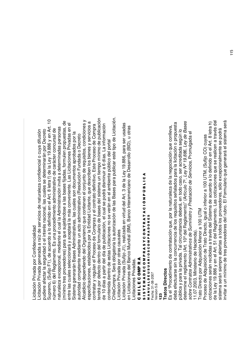## Licita ción Priv a d a p or C onfid encialid a d

Licita ción Priv a d a g enera d a a raíz d e servicios d ወ naturaleza c onfid encial o cuy a difusión pudiere afe ctar la se gurid a d o el interés na cional, las cuales se ರ eterminarán p or D e creto Supre Ξ o, (Sufijo F1), d e a cuerd o a lo d efinid o en el Art. 8 letra f) d e la L e y 19.8 8 6  $\mathord{\geqslant}$ en Art. 10 núm ero ত<br>তি el R e gla mento. Es una pro c e dimiento a d ministrativ o ಕಿ c ará cter c oncursal d  $\mathbf{\underline{\Phi}}$ naturaleza e x c e p cional, m e diante el cual la A d ministra ción invita a d etermina d as p ersonas (mínim o tres pro v e e d ores) p ದ<br>ಹ que sujetánd ose a las b ases fija d as, formulen pro puestas, d e entre las cuales sele c cionará  $\mathord{\geqslant}$ a c e ptará la Ξ ás c ຣ<br>ຣ eniente. L as Licita ciones Priv a d as en el Siste ma ರಾ enerarán B ases A d ministrativ as, las cuales son d o cum entos a pro b a d os p or la autorid a d c o m p etente ٤ e diante un a cto a d ministrativ o (R esolución Fund a d a o  $\mathbf \Omega$ e creto a<br>≼ aldicio d e p endiend o d el Org anism o) que  $\mathbf{\mathsf{c}}$ ontienen el c onjunto d e re quisitos, c ondiciones y esp e cific a ciones, esta ble 고<br>ਹ os p or la Entid a d Licitante, que d escrib en los bienes y servicios a contratar y re gulan el Pro c eso ಕಿ  $\circ$ o m pras y ں<br>ه ontrato d efinitiv o. Este Proceso ಕಿ  $\circ$ o m ք<br>ռ tendrá p or d efe cto d entro ರ el formulario ಕಿ b ases d el siste ma un tie mp o mínim o d e public a ción de 10 días a p artir d el día d e public a ción, el cual se p o drá disminuir a ဖ días. L a inform a ción contenid a d entro d e estas Licita ciones no se  $\,>$ erán en el a ξ biente públic o d el p ortal Chile C o m pra. S erá o blig atoria la autoriza ción d e las B ases p ದ<br>ಹ public ar este tip o d e Licita ción. Licita ción Priv a d a  $\Omega$ or otras c ausales

Licita ción Priv a d a (Sufijo J1), re aliza d a en virtud d el Art. 3 d e la L e y 19.8 8 6, p ara ser usa d as en Licita ciones d e<br>B anc o Mundial (B M), B anc o Intera m eric ದ<br>ದ d e  $\Box$ esarrollo (BID), u otras Licita ciones Priv adas.

#### ပ ー<br>ニ ш ပ e<br>S M ⋖

#### ⋖ ن<br>1 ـا 1 כ Δ. z ە<br>ت A T<br>4 MPRADORES ≃ ⊢ z 0 ပ )<br>の ο ⊄<br>M **RIOSC** Δ. Σ ¤<br>4 0 ALDEUSU ပ<br>။ Fecha: 31-08-2007 Fecha: 31-08-2007 o ⋖ Σ ≤<br>⊃ ш ⊢ Z<br>S თ<br>5<br>თ

/ersión 5.6 Versión 5.6

## <u>ន</u>

## **Trato s Dire cto s**

Es el "Pro c e dimiento ಕಿ c ontrata ción que, p or la naturaleza d e la ne g o cia ción que c onlle v a, de b a efe ctuarse sin la  $\mathbf{\mathsf{c}}$ oncurrencia d e los re quisitos señala d os p ara la licita ción o p<br>D puesta públic a  $\mathord{\geqslant}$ p ara la priv a d a. T al circunstancia d e b erá, en to d o  $\mathbf{\mathsf{c}}$ aso, ser a စ<br>၁ dita d a se gún lo determine el re gla<br>g ento (Art. 10ºd el R e gla m ento)" (Artículo 7º, *L ey Nº19.8 8 6, L ey de B a s e s so bre C o ntrato s A dministrativo s de S u ministro y Pre sta ció n de S ervicio s,* Pro mulg a d a  $\overline{\Phi}$ 0<br>T<br>T 7.2 003, Ministerio ಕಿ Haciend ಹ

Trato Dire cto p or A d quisición M enor a 10 0 ⊃

T MProceso d e A d quisición d e Trato e<br>Öl cto, igual o inferior a 10 0 ⊃ ᄂ M, (Sufijo  $\circ$ O) cuy  $_{\alpha}^{\mathrm{o}}$ cotiza ciones serán re cibid as a tra v és d el Siste ma ಕಿ a cuerd o  $\frac{\circ}{\alpha}$ d efinid o en el Art. 8 letra h) de la L e y 19.8 8 6  $\mathord{\geqslant}$ en el Art. 51 d el R e gla m ento. L as c otiza ciones que se re alic en a tra v és d el siste m ಹ serán sie έ pre a biertas a to d os los pro v e e d ores, sólo excepcionalm ente se p o drá invitar a un mínim o d e tres pro v e e d ores d el rubro. El F ormulario g<br>B g enerará el siste m a será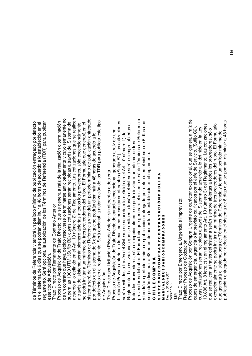de  $\vdash$ érminos d  $\bf{e}$ R eferencia y tendrá un p erío d o mínim o ಕಿ public a ción entre g a d o p or d efe cto en el siste ma d e ဖ días que se p o drán disminuir a 4 8 horas d e a cuerd o a lo esta ble cid o en el re m<br>Mg ento. S erá o p cional la autoriza ción d e los T érminos d  $\mathbf{\underline{\omega}}$  $\propto$ eferencia (T D R) p ಹ<br>ಹ public  $\tilde{\vec{a}}$ este tip odeAdquisición.

Trato Dire cto por Rem anente ಕಿ  $\circ$ ontrato Anterior

Proceso d e A d quisición d e Trato Dire cto, que se g enera a raíz d e la re aliza ción o termina s<br>ö de un c ontrato que ha y a d e bid o resolv erse o terminarse anticip a d a m ente  $\mathord{\geqslant}$ cuy o re m anente no sup era las 10 ខ ⊃ ᄂ M, (Sufijo മ 2) cuy as c otiza ciones serán re cibid as a tra v és d el Siste m a d e acuerd o  $\frac{\circ}{\infty}$ d efinid o en el Art. 10 núm o<br>To ত<br>মি el R e gla m ento. L as c otiza ciones que se re alic e<br>9 a tra v és d el siste Ë ಹ serán sie έ p<br>P a biertas a to d os los pro v e e d ores, sólo excepcionalm ente se p o drá invitar a un mínim o d e tres pro v e e d ores d el rubro. El F ormulario g<br>B g enerará en el siste έ a será d e  $\vdash$ érminos d e Œ eferencia y tendrá un p erío d o mínim o d e public a ción entre g a d o por d efe cto en el siste ξ a ಕಿ ဖ días que se p o drán disminuir a 4 8 horas d  $\mathbf{\underline{\Phi}}$ a cuerd o  $\frac{\circ}{\infty}$ esta ble cid o en el re gla<br>g ento. S erá o p cional la autoriza ción d e los T D ā. p ara public ar este tip o de A d quisición.

Trato Dire cto p or Licita ción Priv a d a Anterior sin oferentes o d esierta Pro c eso d e A d quisición d e Trato Dire cto d e c ará cter excepcional, g enera d o a raíz d e una Licita ción Priv a d a anterior en la cual no se presentaron oferentes (Sufijo A 2), las c otiza ciones serán re cibid as a tra v és d el Siste ξ a d e a cuerd o a lo d efinid o en el Art. 10 núm ero 1) d el Re gla m ento. L as c otiza ciones que se re ں<br>آ en a tra v és d el siste m a serán sie έ p<br>pr a biertas a to d os los pro v e e d ores, sólo excepcionalm ente se p o drá invitar a un mínim o d e tres pro v e e d ores d el rubro. El F ormulario g<br>B g enerará el siste έ a será ಕಿ  $\vdash$ érminos d  $\mathbf{\underline{\Phi}}$  $\approx$ eferencia y tendrá un p erío d o mínim o d e public a ción entre g a d o p or d efe cto en el siste ξ a d e ဖ días que se p o drán disminuir a 4 8 horas d  $\overline{\mathsf{e}}$ a cuerd o a lo esta ble cid o en el re gla m ento. ပ コニエ

#### ш ပ 0 Σ <u>≏</u> ĸ ⋖ თ<br>5<br>თ Н. ш Σ ⋖ ٥ ш ပ 0 Σ Δ. ĸ ⋖ n ≻ ပ 0 z н.

⋖

ن<br>1 ـا 1 9 <u>ρ.</u> z ە<br>ت ⋖ н. MPRADORES ⋖ ĸ 0 **DO 12** œ ⋖ ALDEUSU  $=$ echa: 31-08-2007 Fecha: 31-08-2007 /ersión 5.6 Versión 5.6 ⋖ ∍ z ∡<br>≥

## ,% \*

Trato Dire cto p or E ξ erg encia, Urg encia e Im p<br>pr visto: Realizar Pro ಕಿ Cotiza ción

ceso Proceso d e A d quisición p or C o m ք<br>ռ ይ<br>ጋ ente d e c ará cter e x c e p cional, que se g enera a raíz d e casos d e e m erg encia, urg encia o im pre visto c alific a d os p or el Jefe ಕಿ <u>(</u> ervicio, (Sufijo  $\circ$ ລົ cuy ಲ<br>ದ otiza ciones serán re cibid as a tra v és d el Siste ma ಕಿ a cuerd o  $\frac{\circ}{\infty}$ d efinid o en la L e y 19.8 8 6 Art. 8 letra c) y en el re gla<br>g ento Art. 10 núm e<br>0 ರ<br>೧ el R e gla m ento. L ಲ<br>ದ otiza ciones que se re alic en a tra v és d el siste ma serán sie  $\mathsf{E}% _{T}$ e<br>D a biertas a to d os los pro v e e d ores, sólo excepcionalm ente se p o drá invitar a un mínim o d e tres pro v e e d ores d el rubro. El F ormulario g<br>B g enerará el siste m a será d e  $\vdash$ érminos d  $\bf{e}$  $\approx$ eferencia y tendrá un p erío d o mínim o d e public a ción entre g a d o p or d efe cto en el siste έ a d e  $\circ$ días que se p o drán disminuir a 4 8 horas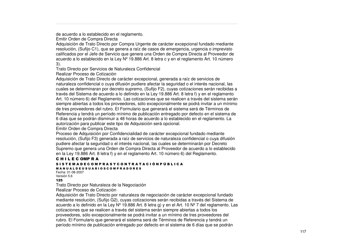de acuerdo <sup>a</sup> lo establecido en el reglamento.

Emitir Orden de Compra Directa

Adquisición de Trato Directo por Compra Urgente de carácter excepcional fundado mediante resolución, (Sufijo C1), que se genera <sup>a</sup> raíz de casos de emergencia, urgencia <sup>o</sup> imprevisto calificados por el Jefe de Servicio que genera una Orden de Compra Directa al Proveedor de acuerdo <sup>a</sup> lo establecido en la Ley Nº19.886 Art. 8 letra <sup>c</sup> y en el reglamento Art. 10 número 3).

Trato Directo por Servicios de Naturaleza Confidencial

Realizar Proceso de Cotización

Adquisición de Trato Directo de carácter excepcional, generada <sup>a</sup> raíz de servicios de naturaleza confidencial <sup>o</sup> cuya difusión pudiere afectar la seguridad <sup>o</sup> el interés nacional, las cuales se determinaran por decreto supremo, (Sufijo F2), cuyas cotizaciones serán recibidas <sup>a</sup> través del Sistema de acuerdo <sup>a</sup> lo definido en la Ley 19.886 Art. 8 letra f) y en el reglamento Art. 10 número 6) del Reglamento. Las cotizaciones que se realicen <sup>a</sup> través del sistema serán siempre abiertas <sup>a</sup> todos los proveedores, sólo excepcionalmente se podrá invitar <sup>a</sup> un mínimo de tres proveedores del rubro. El Formulario que generará el sistema será de Términos de Referencia y tendrá un período mínimo de publicación entregado por defecto en el sistema de 6 días que se podrán disminuir <sup>a</sup> 48 horas de acuerdo <sup>a</sup> lo establecido en el reglamento. La autorización para publicar este tipo de Adquisición será opcional.

Emitir Orden de Compra Directa

Proceso de Adquisición por Confidencialidad de carácter excepcional fundado mediante resolución, (Sufijo F3) generada <sup>a</sup> raíz de servicios de naturaleza confidencial <sup>o</sup> cuya difusión pudiere afectar la seguridad <sup>o</sup> el interés nacional, las cuales se determinarán por Decreto Supremo que genera una Orden de Compra Directa al Proveedor de acuerdo <sup>a</sup> lo establecido en la Ley 19.886 Art. 8 letra f) y en el reglamento Art. 10 número 6) del Reglamento.

#### C H I L E C OMP R A

#### S I S T E M A D E C O M P R A S Y C O N T R A T A C I Ó N P Ú B L I C A

M A N U A L D E U S U A R I O S C O M P R A D O R E S

Fecha: 31-08-2007Versión 5.6

#### 125

Trato Directo por Naturaleza de la Negociación

Realizar Proceso de Cotización

Adquisición de Trato Directo por naturaleza de negociación de carácter excepcional fundado mediante resolución, (Sufijo G2), cuyas cotizaciones serán recibidas <sup>a</sup> través del Sistema de acuerdo <sup>a</sup> lo definido en la Ley Nº19.886 Art. 8 letra g) y en el Art. 10 Nº7 del reglamento. Las cotizaciones que se realicen <sup>a</sup> través del sistema serán siempre abiertas <sup>a</sup> todos los proveedores, sólo excepcionalmente se podrá invitar <sup>a</sup> un mínimo de tres proveedores del rubro. El Formulario que generará el sistema será de Términos de Referencia y tendrá un período mínimo de publicación entregado por defecto en el sistema de 6 días que se podrán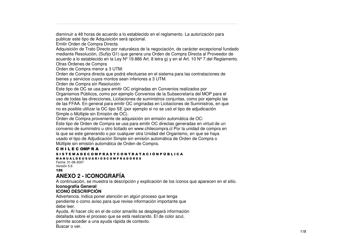disminuir a 48 horas de acuerdo a lo establecido en el reglamento. La autorización para publicar este tipo de Adquisición será opcional.

Emitir Orden d eCompra Directa

Adquisición de Trato Directo por naturaleza de la negociación, de carácter excepcional fundado mediante Resolución, (Sufijo G1) que genera una Orden de Compra Directa al Proveedor de acuerdo a lo establecido en la Ley Nº 19.886 Art. 8 letra g) y en el Art. 10 Nº 7 del Reglamento. Otras Órdenes de Compra

Orden d eCompra menor a3UTM:

Orden de Compra directa que podrá efectuarse en el sistema para las contrataciones de bienes y servicios cuyos montos sean inferiores a 3 UTM.

Orden d eCompra sin R esolución:

Este tipo de OC se usa para emitir OC originadas en Convenios realizados por Organismos Públicos, como por ejemplo Convenios de la Subsecretaría del MOP para el uso de todas las direcciones, Licitaciones de suministros conjuntas, como por ejemplo las de las FFAA. En general para emitir OC originadas en Licitaciones de Suministros, en que no es posible utilizar la OC tipo SE (por ejemplo si no se usó el tipo de adjudicación Simple o Múltiple sin Emisión de OC).

Orden de Compra proveniente de adquisición sin emisión automática de OC:

Este tipo de Orden de Compra se usa para emitir OC directas generadas en virtud de un convenio de suministro u otro licitado en www.chilecompra.cl Por la unidad de compra en la que se este generando o por cualquier otra Unidad del Organismo, en que se haya usado el tipo de Adjudicación Simple sin emisión automática de Orden de Compra o Múltiple sin <sup>e</sup> misión auto máticadeOrden d eCompra.

#### C H I L E C OMP R A

#### S I S T E M A D E C O M P R A S Y C O N T R A T A C I Ó N P Ú B L I C A

M A N U A L D E U S U A R I O S C O M P R A D O R E S

 Fecha: 31-08-2007Versión 5.6 126

#### **ANEXO2 - ICONOGRAFÍA**

A continuación, se muestra la descripción y explicación de los íconos que aparecen en el sitio.

#### **Iconografía General**

#### **ICONODESCRIPCIÓN**

Advertencia. Indica poner atención en algún proceso que tenga pendiente o como aviso para que revise información importante que debe le er.

Ayuda. Al hacer clic en el de color amarillo se desplegará información detallada sobre el proceso que se está realizando. El de color azul, permite acceder a una ayuda rápida de contexto. Buscar o ver.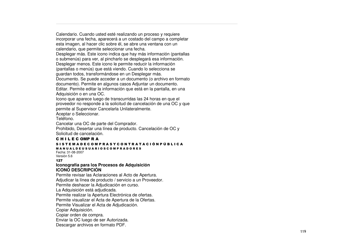Calendario. Cuando usted esté realizando un proceso y requiere incorporar una fecha, aparecerá <sup>a</sup> un costado del campo <sup>a</sup> completar esta imagen, al hacer clic sobre él, se abre una ventana con un calendario, que permite seleccionar una fecha. Desplegar más. Este icono indica que hay más información (pantallas o submenús) para ver, al pincharlo se desplegará esa información. Desplegar menos. Este icono le permite reducir la información (pantallas <sup>o</sup> menús) que está viendo. Cuando lo selecciona se guardan todos, transformándose en un Desplegar más. Documento. Se puede acceder <sup>a</sup> un documento (o archivo en formato documento). Permite en algunos casos Adjuntar un documento. Editar. Permite editar la información que está en la pantalla, en una Adquisición <sup>o</sup> en una OC.

Icono que aparece luego de transcurridas las 24 horas en que el proveedor no responde <sup>a</sup> la solicitud de cancelación de una OC y que permite al Supervisor Cancelarla Unilateralmente. Aceptar <sup>o</sup> Seleccionar.

Teléfono.

Cancelar una OC de parte del Comprador.

Prohibido, Desertar una línea de producto. Cancelación de OC y Solicitud de cancelación.

#### C H I L E C OMP R A

#### S I S T E M A D E C O M P R A S Y C O N T R A T A C I Ó N P Ú B L I C A M A N U A L D E U S U A R I O S C O M P R A D O R E S

Fecha: 31-08-2007Versión 5.6  $127$ 

#### **Iconografía para los Procesos de Adquisición ICONO DESCRIPCIÓN**

Permite revisar las Aclaraciones al Acto de Apertura. Adjudicar la línea de producto / servicio <sup>a</sup> un Proveedor. Permite deshacer la Adjudicación en curso. La Adquisición está adjudicada. Permite realizar la Apertura Electrónica de ofertas. Permite visualizar el Acta de Apertura de la Ofertas. Permite Visualizar el Acta de Adjudicación. Copiar Adquisición. Copiar orden de compra. Enviar la OC luego de ser Autorizada. Descargar archivos en formato PDF.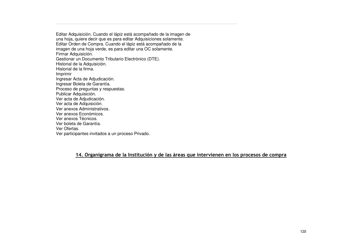Editar Adquisición. Cuando el lápiz está acompañado de la imagen de una hoja, quiere decir que es para editar Adquisiciones solamente. Editar Orden de Compra. Cuando el lápiz está acompañado de la imagen de una hoja verde, es para editar una OC solamente. Firmar Adquisición. Gestionar un Documento Tributario Electrónico (DTE). Historial de la Adquisición. Historial de la firma. Imprimir Ingresar Acta de Adjudicación. Ingresar Boleta de Garantía. Proceso de preguntas y respuestas. Publicar Adquisición. Ver acta de Adjudicación. Ver acta de Adquisición. Ver anexos Administrativos. Ver anexos Económicos. Ver anexos Técnicos. Ver boleta de Garantía. Ver Ofertas. Ver participantes invitados <sup>a</sup> un proceso Privado.

#### <u>14. Organigrama de la Institución y de las áreas que intervienen en los procesos de compra</u>